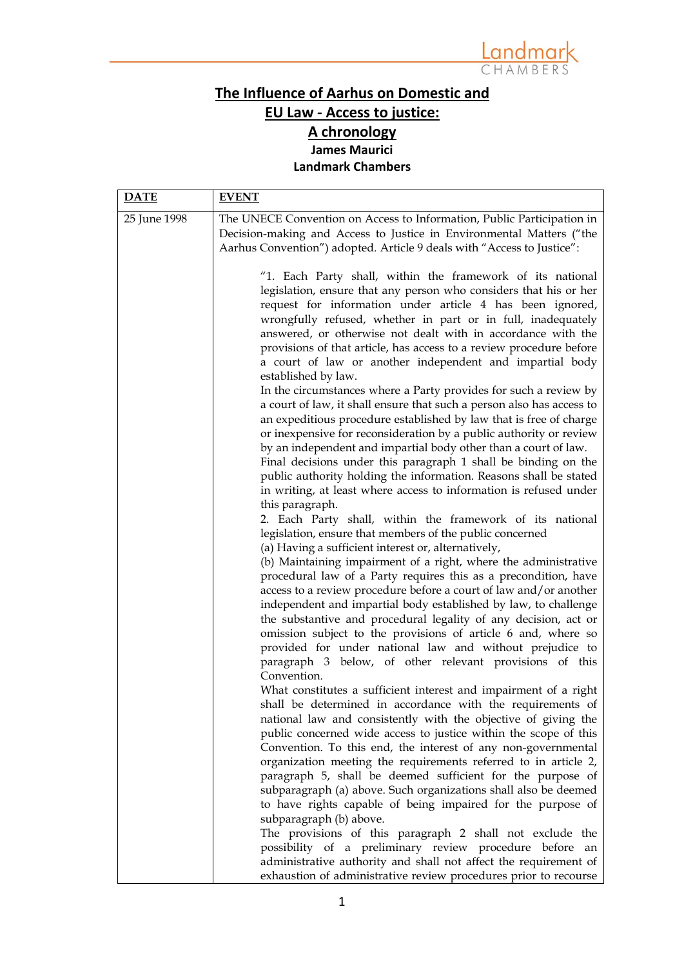

### **The Influence of Aarhus on Domestic and EU Law - Access to justice: A chronology James Maurici Landmark Chambers**

| <b>DATE</b>  | <b>EVENT</b>                                                                                                                                                                                                                                                                                                                                                                                                                                                                                                                                                                                                                                                                                                                                                                                                                                                                                                      |
|--------------|-------------------------------------------------------------------------------------------------------------------------------------------------------------------------------------------------------------------------------------------------------------------------------------------------------------------------------------------------------------------------------------------------------------------------------------------------------------------------------------------------------------------------------------------------------------------------------------------------------------------------------------------------------------------------------------------------------------------------------------------------------------------------------------------------------------------------------------------------------------------------------------------------------------------|
| 25 June 1998 | The UNECE Convention on Access to Information, Public Participation in<br>Decision-making and Access to Justice in Environmental Matters ("the<br>Aarhus Convention") adopted. Article 9 deals with "Access to Justice":                                                                                                                                                                                                                                                                                                                                                                                                                                                                                                                                                                                                                                                                                          |
|              | "1. Each Party shall, within the framework of its national<br>legislation, ensure that any person who considers that his or her<br>request for information under article 4 has been ignored,<br>wrongfully refused, whether in part or in full, inadequately<br>answered, or otherwise not dealt with in accordance with the<br>provisions of that article, has access to a review procedure before<br>a court of law or another independent and impartial body<br>established by law.                                                                                                                                                                                                                                                                                                                                                                                                                            |
|              | In the circumstances where a Party provides for such a review by<br>a court of law, it shall ensure that such a person also has access to<br>an expeditious procedure established by law that is free of charge<br>or inexpensive for reconsideration by a public authority or review<br>by an independent and impartial body other than a court of law.<br>Final decisions under this paragraph 1 shall be binding on the<br>public authority holding the information. Reasons shall be stated<br>in writing, at least where access to information is refused under<br>this paragraph.                                                                                                                                                                                                                                                                                                                           |
|              | 2. Each Party shall, within the framework of its national<br>legislation, ensure that members of the public concerned<br>(a) Having a sufficient interest or, alternatively,<br>(b) Maintaining impairment of a right, where the administrative<br>procedural law of a Party requires this as a precondition, have<br>access to a review procedure before a court of law and/or another<br>independent and impartial body established by law, to challenge<br>the substantive and procedural legality of any decision, act or<br>omission subject to the provisions of article 6 and, where so<br>provided for under national law and without prejudice to<br>paragraph 3 below, of other relevant provisions of this                                                                                                                                                                                             |
|              | Convention.<br>What constitutes a sufficient interest and impairment of a right<br>shall be determined in accordance with the requirements of<br>national law and consistently with the objective of giving the<br>public concerned wide access to justice within the scope of this<br>Convention. To this end, the interest of any non-governmental<br>organization meeting the requirements referred to in article 2,<br>paragraph 5, shall be deemed sufficient for the purpose of<br>subparagraph (a) above. Such organizations shall also be deemed<br>to have rights capable of being impaired for the purpose of<br>subparagraph (b) above.<br>The provisions of this paragraph 2 shall not exclude the<br>possibility of a preliminary review procedure before an<br>administrative authority and shall not affect the requirement of<br>exhaustion of administrative review procedures prior to recourse |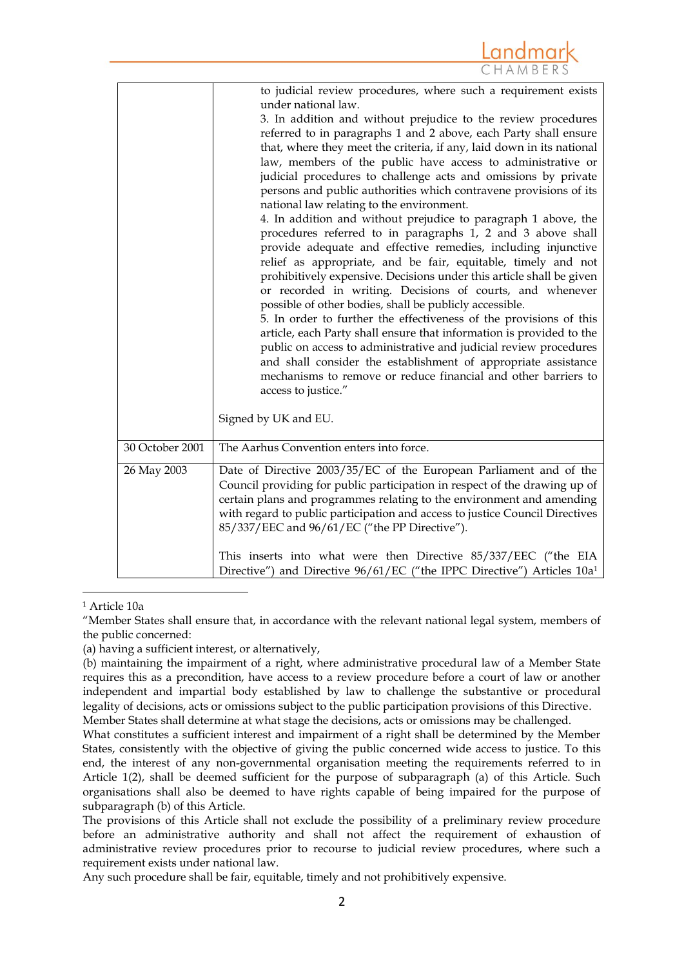|                 | CHAMBERS                                                                                                                                                                                                                                                                                                                                                                                                                                                                                                                                                                                                                                                                                                                                                                                                                                                                                                                                                                                                                                                                                                                                                                                                                                                                                                                                                                                                                        |
|-----------------|---------------------------------------------------------------------------------------------------------------------------------------------------------------------------------------------------------------------------------------------------------------------------------------------------------------------------------------------------------------------------------------------------------------------------------------------------------------------------------------------------------------------------------------------------------------------------------------------------------------------------------------------------------------------------------------------------------------------------------------------------------------------------------------------------------------------------------------------------------------------------------------------------------------------------------------------------------------------------------------------------------------------------------------------------------------------------------------------------------------------------------------------------------------------------------------------------------------------------------------------------------------------------------------------------------------------------------------------------------------------------------------------------------------------------------|
|                 | to judicial review procedures, where such a requirement exists<br>under national law.<br>3. In addition and without prejudice to the review procedures<br>referred to in paragraphs 1 and 2 above, each Party shall ensure<br>that, where they meet the criteria, if any, laid down in its national<br>law, members of the public have access to administrative or<br>judicial procedures to challenge acts and omissions by private<br>persons and public authorities which contravene provisions of its<br>national law relating to the environment.<br>4. In addition and without prejudice to paragraph 1 above, the<br>procedures referred to in paragraphs 1, 2 and 3 above shall<br>provide adequate and effective remedies, including injunctive<br>relief as appropriate, and be fair, equitable, timely and not<br>prohibitively expensive. Decisions under this article shall be given<br>or recorded in writing. Decisions of courts, and whenever<br>possible of other bodies, shall be publicly accessible.<br>5. In order to further the effectiveness of the provisions of this<br>article, each Party shall ensure that information is provided to the<br>public on access to administrative and judicial review procedures<br>and shall consider the establishment of appropriate assistance<br>mechanisms to remove or reduce financial and other barriers to<br>access to justice."<br>Signed by UK and EU. |
| 30 October 2001 | The Aarhus Convention enters into force.                                                                                                                                                                                                                                                                                                                                                                                                                                                                                                                                                                                                                                                                                                                                                                                                                                                                                                                                                                                                                                                                                                                                                                                                                                                                                                                                                                                        |
| 26 May 2003     | Date of Directive 2003/35/EC of the European Parliament and of the<br>Council providing for public participation in respect of the drawing up of<br>certain plans and programmes relating to the environment and amending<br>with regard to public participation and access to justice Council Directives<br>85/337/EEC and 96/61/EC ("the PP Directive").<br>This inserts into what were then Directive 85/337/EEC ("the EIA<br>Directive") and Directive 96/61/EC ("the IPPC Directive") Articles 10a <sup>1</sup>                                                                                                                                                                                                                                                                                                                                                                                                                                                                                                                                                                                                                                                                                                                                                                                                                                                                                                            |

<u>.</u> <sup>1</sup> Article 10a

<sup>&</sup>quot;Member States shall ensure that, in accordance with the relevant national legal system, members of the public concerned:

<sup>(</sup>a) having a sufficient interest, or alternatively,

<sup>(</sup>b) maintaining the impairment of a right, where administrative procedural law of a Member State requires this as a precondition, have access to a review procedure before a court of law or another independent and impartial body established by law to challenge the substantive or procedural legality of decisions, acts or omissions subject to the public participation provisions of this Directive. Member States shall determine at what stage the decisions, acts or omissions may be challenged.

What constitutes a sufficient interest and impairment of a right shall be determined by the Member States, consistently with the objective of giving the public concerned wide access to justice. To this end, the interest of any non-governmental organisation meeting the requirements referred to in Article 1(2), shall be deemed sufficient for the purpose of subparagraph (a) of this Article. Such organisations shall also be deemed to have rights capable of being impaired for the purpose of subparagraph (b) of this Article.

The provisions of this Article shall not exclude the possibility of a preliminary review procedure before an administrative authority and shall not affect the requirement of exhaustion of administrative review procedures prior to recourse to judicial review procedures, where such a requirement exists under national law.

Any such procedure shall be fair, equitable, timely and not prohibitively expensive.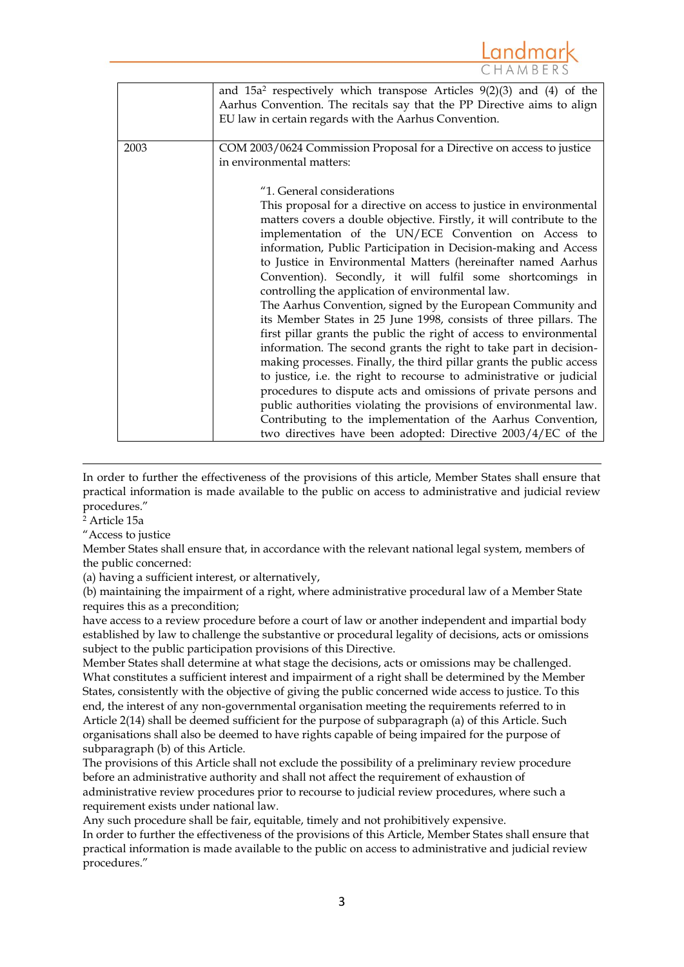|      | C N A M D E K J                                                                                                                                                                                                  |
|------|------------------------------------------------------------------------------------------------------------------------------------------------------------------------------------------------------------------|
|      | and $15a^2$ respectively which transpose Articles $9(2)(3)$ and $(4)$ of the<br>Aarhus Convention. The recitals say that the PP Directive aims to align<br>EU law in certain regards with the Aarhus Convention. |
| 2003 | COM 2003/0624 Commission Proposal for a Directive on access to justice                                                                                                                                           |
|      | in environmental matters:                                                                                                                                                                                        |
|      | "1. General considerations                                                                                                                                                                                       |
|      | This proposal for a directive on access to justice in environmental                                                                                                                                              |
|      | matters covers a double objective. Firstly, it will contribute to the                                                                                                                                            |
|      | implementation of the UN/ECE Convention on Access to                                                                                                                                                             |
|      | information, Public Participation in Decision-making and Access                                                                                                                                                  |
|      | to Justice in Environmental Matters (hereinafter named Aarhus                                                                                                                                                    |
|      | Convention). Secondly, it will fulfil some shortcomings in<br>controlling the application of environmental law.                                                                                                  |
|      | The Aarhus Convention, signed by the European Community and                                                                                                                                                      |
|      | its Member States in 25 June 1998, consists of three pillars. The                                                                                                                                                |
|      | first pillar grants the public the right of access to environmental                                                                                                                                              |
|      | information. The second grants the right to take part in decision-                                                                                                                                               |
|      | making processes. Finally, the third pillar grants the public access                                                                                                                                             |
|      | to justice, i.e. the right to recourse to administrative or judicial                                                                                                                                             |
|      | procedures to dispute acts and omissions of private persons and                                                                                                                                                  |
|      | public authorities violating the provisions of environmental law.                                                                                                                                                |
|      | Contributing to the implementation of the Aarhus Convention,                                                                                                                                                     |
|      | two directives have been adopted: Directive 2003/4/EC of the                                                                                                                                                     |

In order to further the effectiveness of the provisions of this article, Member States shall ensure that practical information is made available to the public on access to administrative and judicial review procedures."

<sup>2</sup> Article 15a

<u>.</u>

"Access to justice

Member States shall ensure that, in accordance with the relevant national legal system, members of the public concerned:

(a) having a sufficient interest, or alternatively,

(b) maintaining the impairment of a right, where administrative procedural law of a Member State requires this as a precondition;

have access to a review procedure before a court of law or another independent and impartial body established by law to challenge the substantive or procedural legality of decisions, acts or omissions subject to the public participation provisions of this Directive.

Member States shall determine at what stage the decisions, acts or omissions may be challenged. What constitutes a sufficient interest and impairment of a right shall be determined by the Member States, consistently with the objective of giving the public concerned wide access to justice. To this end, the interest of any non-governmental organisation meeting the requirements referred to in Article 2(14) shall be deemed sufficient for the purpose of subparagraph (a) of this Article. Such organisations shall also be deemed to have rights capable of being impaired for the purpose of subparagraph (b) of this Article.

The provisions of this Article shall not exclude the possibility of a preliminary review procedure before an administrative authority and shall not affect the requirement of exhaustion of administrative review procedures prior to recourse to judicial review procedures, where such a requirement exists under national law.

Any such procedure shall be fair, equitable, timely and not prohibitively expensive.

In order to further the effectiveness of the provisions of this Article, Member States shall ensure that practical information is made available to the public on access to administrative and judicial review procedures."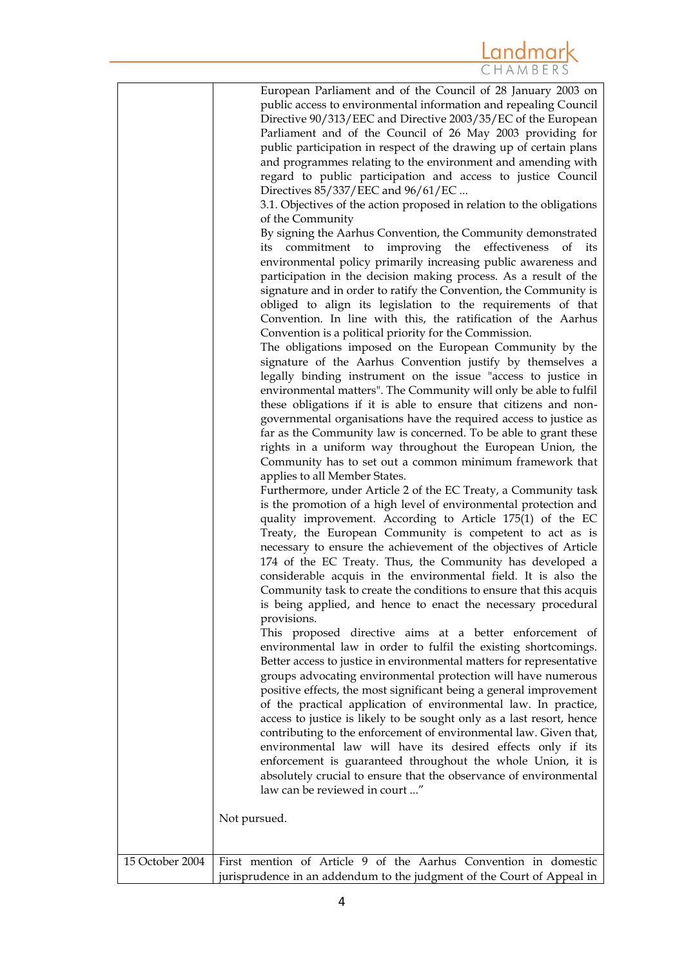|                 | <b>Landmark</b><br>CHAMBERS                                                                                                                                                                                                                                                                                                                                                                                                                                                                                                                                                                                                                                                                                                                                                                                                                                                                                                                                                                                                                                                                                                                                                                                                                                                                                                                                                                                                                                                                                                                                                                                                                                                                                                                                                                                                                                                                                                                                                                                                                                                                                                                                                                                                                                                                                                                                                                     |
|-----------------|-------------------------------------------------------------------------------------------------------------------------------------------------------------------------------------------------------------------------------------------------------------------------------------------------------------------------------------------------------------------------------------------------------------------------------------------------------------------------------------------------------------------------------------------------------------------------------------------------------------------------------------------------------------------------------------------------------------------------------------------------------------------------------------------------------------------------------------------------------------------------------------------------------------------------------------------------------------------------------------------------------------------------------------------------------------------------------------------------------------------------------------------------------------------------------------------------------------------------------------------------------------------------------------------------------------------------------------------------------------------------------------------------------------------------------------------------------------------------------------------------------------------------------------------------------------------------------------------------------------------------------------------------------------------------------------------------------------------------------------------------------------------------------------------------------------------------------------------------------------------------------------------------------------------------------------------------------------------------------------------------------------------------------------------------------------------------------------------------------------------------------------------------------------------------------------------------------------------------------------------------------------------------------------------------------------------------------------------------------------------------------------------------|
|                 |                                                                                                                                                                                                                                                                                                                                                                                                                                                                                                                                                                                                                                                                                                                                                                                                                                                                                                                                                                                                                                                                                                                                                                                                                                                                                                                                                                                                                                                                                                                                                                                                                                                                                                                                                                                                                                                                                                                                                                                                                                                                                                                                                                                                                                                                                                                                                                                                 |
|                 | European Parliament and of the Council of 28 January 2003 on<br>public access to environmental information and repealing Council<br>Directive 90/313/EEC and Directive 2003/35/EC of the European<br>Parliament and of the Council of 26 May 2003 providing for<br>public participation in respect of the drawing up of certain plans<br>and programmes relating to the environment and amending with<br>regard to public participation and access to justice Council<br>Directives 85/337/EEC and 96/61/EC<br>3.1. Objectives of the action proposed in relation to the obligations<br>of the Community<br>By signing the Aarhus Convention, the Community demonstrated<br>commitment to improving the effectiveness of<br>its<br>its<br>environmental policy primarily increasing public awareness and<br>participation in the decision making process. As a result of the<br>signature and in order to ratify the Convention, the Community is<br>obliged to align its legislation to the requirements of that<br>Convention. In line with this, the ratification of the Aarhus<br>Convention is a political priority for the Commission.<br>The obligations imposed on the European Community by the<br>signature of the Aarhus Convention justify by themselves a<br>legally binding instrument on the issue "access to justice in<br>environmental matters". The Community will only be able to fulfil<br>these obligations if it is able to ensure that citizens and non-<br>governmental organisations have the required access to justice as<br>far as the Community law is concerned. To be able to grant these<br>rights in a uniform way throughout the European Union, the<br>Community has to set out a common minimum framework that<br>applies to all Member States.<br>Furthermore, under Article 2 of the EC Treaty, a Community task<br>is the promotion of a high level of environmental protection and<br>quality improvement. According to Article 175(1) of the EC<br>Treaty, the European Community is competent to act as is<br>necessary to ensure the achievement of the objectives of Article<br>174 of the EC Treaty. Thus, the Community has developed a<br>considerable acquis in the environmental field. It is also the<br>Community task to create the conditions to ensure that this acquis<br>is being applied, and hence to enact the necessary procedural |
|                 | provisions.<br>This proposed directive aims at a better enforcement of<br>environmental law in order to fulfil the existing shortcomings.<br>Better access to justice in environmental matters for representative<br>groups advocating environmental protection will have numerous<br>positive effects, the most significant being a general improvement<br>of the practical application of environmental law. In practice,<br>access to justice is likely to be sought only as a last resort, hence<br>contributing to the enforcement of environmental law. Given that,<br>environmental law will have its desired effects only if its<br>enforcement is guaranteed throughout the whole Union, it is<br>absolutely crucial to ensure that the observance of environmental                                                                                                                                                                                                                                                                                                                                                                                                                                                                                                                                                                                                                                                                                                                                                                                                                                                                                                                                                                                                                                                                                                                                                                                                                                                                                                                                                                                                                                                                                                                                                                                                                    |
|                 | law can be reviewed in court "<br>Not pursued.                                                                                                                                                                                                                                                                                                                                                                                                                                                                                                                                                                                                                                                                                                                                                                                                                                                                                                                                                                                                                                                                                                                                                                                                                                                                                                                                                                                                                                                                                                                                                                                                                                                                                                                                                                                                                                                                                                                                                                                                                                                                                                                                                                                                                                                                                                                                                  |
|                 |                                                                                                                                                                                                                                                                                                                                                                                                                                                                                                                                                                                                                                                                                                                                                                                                                                                                                                                                                                                                                                                                                                                                                                                                                                                                                                                                                                                                                                                                                                                                                                                                                                                                                                                                                                                                                                                                                                                                                                                                                                                                                                                                                                                                                                                                                                                                                                                                 |
|                 |                                                                                                                                                                                                                                                                                                                                                                                                                                                                                                                                                                                                                                                                                                                                                                                                                                                                                                                                                                                                                                                                                                                                                                                                                                                                                                                                                                                                                                                                                                                                                                                                                                                                                                                                                                                                                                                                                                                                                                                                                                                                                                                                                                                                                                                                                                                                                                                                 |
| 15 October 2004 | First mention of Article 9 of the Aarhus Convention in domestic<br>jurisprudence in an addendum to the judgment of the Court of Appeal in                                                                                                                                                                                                                                                                                                                                                                                                                                                                                                                                                                                                                                                                                                                                                                                                                                                                                                                                                                                                                                                                                                                                                                                                                                                                                                                                                                                                                                                                                                                                                                                                                                                                                                                                                                                                                                                                                                                                                                                                                                                                                                                                                                                                                                                       |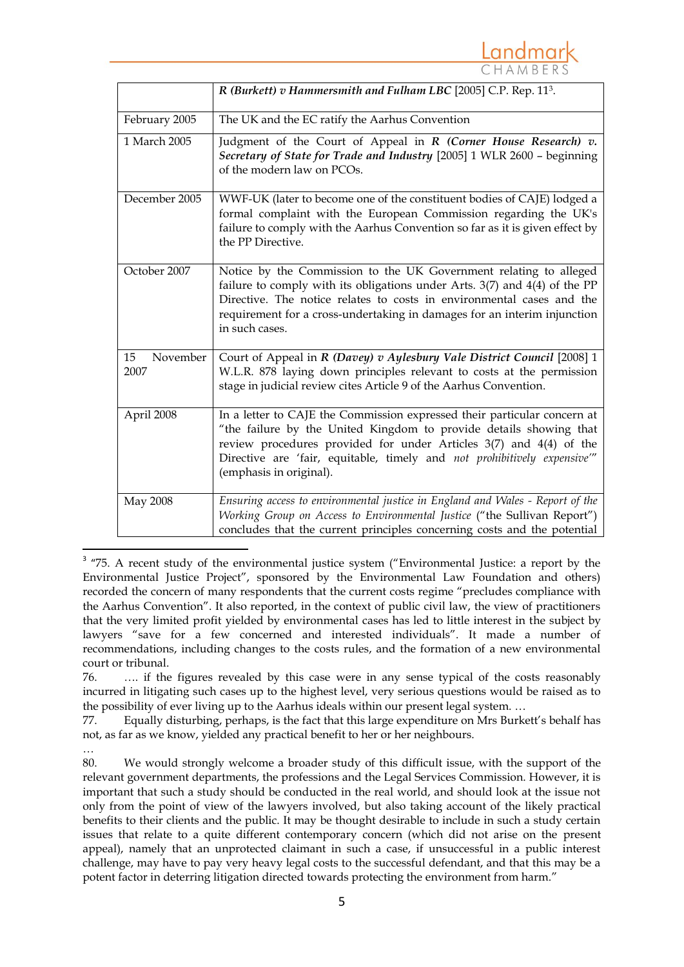|                        | R (Burkett) v Hammersmith and Fulham LBC [2005] C.P. Rep. 11 <sup>3</sup> .                                                                                                                                                                                                                                                |
|------------------------|----------------------------------------------------------------------------------------------------------------------------------------------------------------------------------------------------------------------------------------------------------------------------------------------------------------------------|
| February 2005          | The UK and the EC ratify the Aarhus Convention                                                                                                                                                                                                                                                                             |
| 1 March 2005           | Judgment of the Court of Appeal in R (Corner House Research) v.<br>Secretary of State for Trade and Industry [2005] 1 WLR 2600 - beginning<br>of the modern law on PCOs.                                                                                                                                                   |
| December 2005          | WWF-UK (later to become one of the constituent bodies of CAJE) lodged a<br>formal complaint with the European Commission regarding the UK's<br>failure to comply with the Aarhus Convention so far as it is given effect by<br>the PP Directive.                                                                           |
| October 2007           | Notice by the Commission to the UK Government relating to alleged<br>failure to comply with its obligations under Arts. $3(7)$ and $4(4)$ of the PP<br>Directive. The notice relates to costs in environmental cases and the<br>requirement for a cross-undertaking in damages for an interim injunction<br>in such cases. |
| November<br>15<br>2007 | Court of Appeal in R (Davey) v Aylesbury Vale District Council [2008] 1<br>W.L.R. 878 laying down principles relevant to costs at the permission<br>stage in judicial review cites Article 9 of the Aarhus Convention.                                                                                                     |
| April 2008             | In a letter to CAJE the Commission expressed their particular concern at<br>"the failure by the United Kingdom to provide details showing that<br>review procedures provided for under Articles 3(7) and 4(4) of the<br>Directive are 'fair, equitable, timely and not prohibitively expensive"<br>(emphasis in original). |
| May 2008               | Ensuring access to environmental justice in England and Wales - Report of the<br>Working Group on Access to Environmental Justice ("the Sullivan Report")<br>concludes that the current principles concerning costs and the potential                                                                                      |

<sup>&</sup>lt;u>.</u> <sup>3</sup> "75. A recent study of the environmental justice system ("Environmental Justice: a report by the Environmental Justice Project", sponsored by the Environmental Law Foundation and others) recorded the concern of many respondents that the current costs regime "precludes compliance with the Aarhus Convention". It also reported, in the context of public civil law, the view of practitioners that the very limited profit yielded by environmental cases has led to little interest in the subject by lawyers "save for a few concerned and interested individuals". It made a number of recommendations, including changes to the costs rules, and the formation of a new environmental court or tribunal.

…

<sup>76.</sup> …. if the figures revealed by this case were in any sense typical of the costs reasonably incurred in litigating such cases up to the highest level, very serious questions would be raised as to the possibility of ever living up to the Aarhus ideals within our present legal system. …

<sup>77.</sup> Equally disturbing, perhaps, is the fact that this large expenditure on Mrs Burkett's behalf has not, as far as we know, yielded any practical benefit to her or her neighbours.

<sup>80.</sup> We would strongly welcome a broader study of this difficult issue, with the support of the relevant government departments, the professions and the Legal Services Commission. However, it is important that such a study should be conducted in the real world, and should look at the issue not only from the point of view of the lawyers involved, but also taking account of the likely practical benefits to their clients and the public. It may be thought desirable to include in such a study certain issues that relate to a quite different contemporary concern (which did not arise on the present appeal), namely that an unprotected claimant in such a case, if unsuccessful in a public interest challenge, may have to pay very heavy legal costs to the successful defendant, and that this may be a potent factor in deterring litigation directed towards protecting the environment from harm."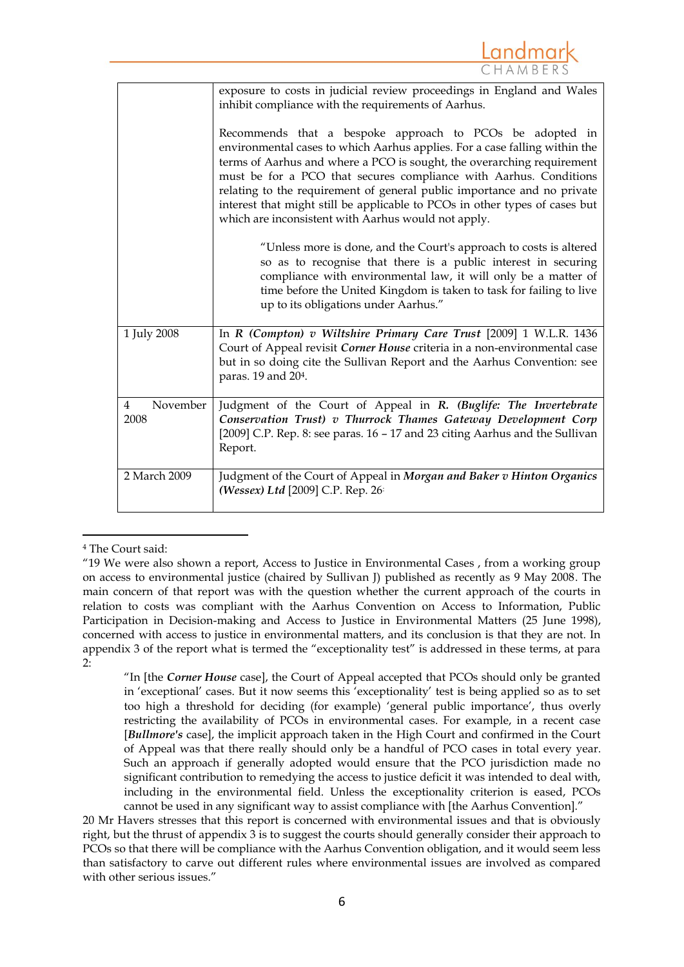|                                    | CHAMBERS                                                                                                                                                                                                                                                                                                                                                                                                                                                                                               |
|------------------------------------|--------------------------------------------------------------------------------------------------------------------------------------------------------------------------------------------------------------------------------------------------------------------------------------------------------------------------------------------------------------------------------------------------------------------------------------------------------------------------------------------------------|
|                                    | exposure to costs in judicial review proceedings in England and Wales<br>inhibit compliance with the requirements of Aarhus.                                                                                                                                                                                                                                                                                                                                                                           |
|                                    | Recommends that a bespoke approach to PCOs be adopted in<br>environmental cases to which Aarhus applies. For a case falling within the<br>terms of Aarhus and where a PCO is sought, the overarching requirement<br>must be for a PCO that secures compliance with Aarhus. Conditions<br>relating to the requirement of general public importance and no private<br>interest that might still be applicable to PCOs in other types of cases but<br>which are inconsistent with Aarhus would not apply. |
|                                    | "Unless more is done, and the Court's approach to costs is altered<br>so as to recognise that there is a public interest in securing<br>compliance with environmental law, it will only be a matter of<br>time before the United Kingdom is taken to task for failing to live<br>up to its obligations under Aarhus."                                                                                                                                                                                  |
| 1 July 2008                        | In R (Compton) v Wiltshire Primary Care Trust $[2009]$ 1 W.L.R. 1436<br>Court of Appeal revisit Corner House criteria in a non-environmental case<br>but in so doing cite the Sullivan Report and the Aarhus Convention: see<br>paras. 19 and 204.                                                                                                                                                                                                                                                     |
| November<br>$\overline{4}$<br>2008 | Judgment of the Court of Appeal in R. (Buglife: The Invertebrate<br>Conservation Trust) v Thurrock Thames Gateway Development Corp<br>[2009] C.P. Rep. 8: see paras. 16 - 17 and 23 citing Aarhus and the Sullivan<br>Report.                                                                                                                                                                                                                                                                          |
| 2 March 2009                       | Judgment of the Court of Appeal in Morgan and Baker v Hinton Organics<br>(Wessex) Ltd [2009] C.P. Rep. 26                                                                                                                                                                                                                                                                                                                                                                                              |

<u>.</u>

20 Mr Havers stresses that this report is concerned with environmental issues and that is obviously right, but the thrust of appendix 3 is to suggest the courts should generally consider their approach to PCOs so that there will be compliance with the Aarhus Convention obligation, and it would seem less than satisfactory to carve out different rules where environmental issues are involved as compared with other serious issues."

<sup>4</sup> The Court said:

<sup>&</sup>quot;19 We were also shown a report, Access to Justice in Environmental Cases , from a working group on access to environmental justice (chaired by Sullivan J) published as recently as 9 May 2008. The main concern of that report was with the question whether the current approach of the courts in relation to costs was compliant with the Aarhus Convention on Access to Information, Public Participation in Decision-making and Access to Justice in Environmental Matters (25 June 1998), concerned with access to justice in environmental matters, and its conclusion is that they are not. In appendix 3 of the report what is termed the "exceptionality test" is addressed in these terms, at para 2:

<sup>&</sup>quot;In [the *Corner House* case], the Court of Appeal accepted that PCOs should only be granted in 'exceptional' cases. But it now seems this 'exceptionality' test is being applied so as to set too high a threshold for deciding (for example) 'general public importance', thus overly restricting the availability of PCOs in environmental cases. For example, in a recent case [*Bullmore's* case], the implicit approach taken in the High Court and confirmed in the Court of Appeal was that there really should only be a handful of PCO cases in total every year. Such an approach if generally adopted would ensure that the PCO jurisdiction made no significant contribution to remedying the access to justice deficit it was intended to deal with, including in the environmental field. Unless the exceptionality criterion is eased, PCOs cannot be used in any significant way to assist compliance with [the Aarhus Convention]."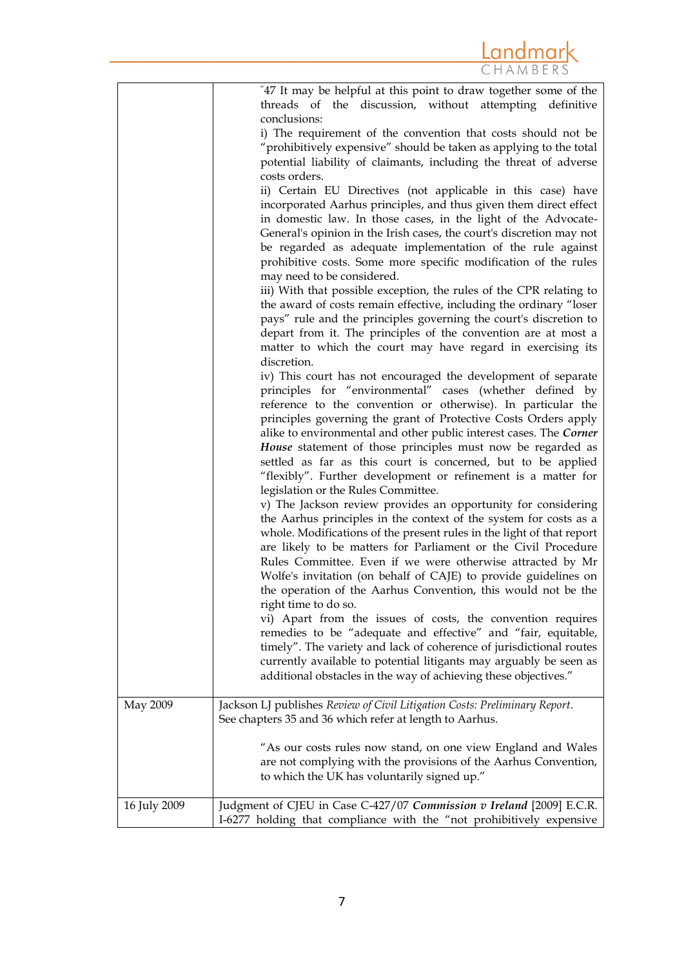|              | <b>Landmark</b>                                                                                                                                                                                                                                                                                                                                                                                                                                                                                                                                                           |
|--------------|---------------------------------------------------------------------------------------------------------------------------------------------------------------------------------------------------------------------------------------------------------------------------------------------------------------------------------------------------------------------------------------------------------------------------------------------------------------------------------------------------------------------------------------------------------------------------|
|              | "47 It may be helpful at this point to draw together some of the<br>threads of the discussion, without attempting definitive                                                                                                                                                                                                                                                                                                                                                                                                                                              |
|              | conclusions:<br>i) The requirement of the convention that costs should not be<br>"prohibitively expensive" should be taken as applying to the total<br>potential liability of claimants, including the threat of adverse<br>costs orders.                                                                                                                                                                                                                                                                                                                                 |
|              | ii) Certain EU Directives (not applicable in this case) have<br>incorporated Aarhus principles, and thus given them direct effect<br>in domestic law. In those cases, in the light of the Advocate-<br>General's opinion in the Irish cases, the court's discretion may not<br>be regarded as adequate implementation of the rule against<br>prohibitive costs. Some more specific modification of the rules<br>may need to be considered.                                                                                                                                |
|              | iii) With that possible exception, the rules of the CPR relating to<br>the award of costs remain effective, including the ordinary "loser<br>pays" rule and the principles governing the court's discretion to<br>depart from it. The principles of the convention are at most a<br>matter to which the court may have regard in exercising its<br>discretion.                                                                                                                                                                                                            |
|              | iv) This court has not encouraged the development of separate<br>principles for "environmental" cases (whether defined by<br>reference to the convention or otherwise). In particular the<br>principles governing the grant of Protective Costs Orders apply<br>alike to environmental and other public interest cases. The Corner<br>House statement of those principles must now be regarded as<br>settled as far as this court is concerned, but to be applied<br>"flexibly". Further development or refinement is a matter for<br>legislation or the Rules Committee. |
|              | v) The Jackson review provides an opportunity for considering<br>the Aarhus principles in the context of the system for costs as a<br>whole. Modifications of the present rules in the light of that report<br>are likely to be matters for Parliament or the Civil Procedure<br>Rules Committee. Even if we were otherwise attracted by Mr<br>Wolfe's invitation (on behalf of CAJE) to provide guidelines on<br>the operation of the Aarhus Convention, this would not be the                                                                                           |
|              | right time to do so.<br>vi) Apart from the issues of costs, the convention requires<br>remedies to be "adequate and effective" and "fair, equitable,<br>timely". The variety and lack of coherence of jurisdictional routes<br>currently available to potential litigants may arguably be seen as<br>additional obstacles in the way of achieving these objectives."                                                                                                                                                                                                      |
| May 2009     | Jackson LJ publishes Review of Civil Litigation Costs: Preliminary Report.<br>See chapters 35 and 36 which refer at length to Aarhus.                                                                                                                                                                                                                                                                                                                                                                                                                                     |
|              | "As our costs rules now stand, on one view England and Wales<br>are not complying with the provisions of the Aarhus Convention,<br>to which the UK has voluntarily signed up."                                                                                                                                                                                                                                                                                                                                                                                            |
| 16 July 2009 | Judgment of CJEU in Case C-427/07 Commission v Ireland [2009] E.C.R.<br>I-6277 holding that compliance with the "not prohibitively expensive                                                                                                                                                                                                                                                                                                                                                                                                                              |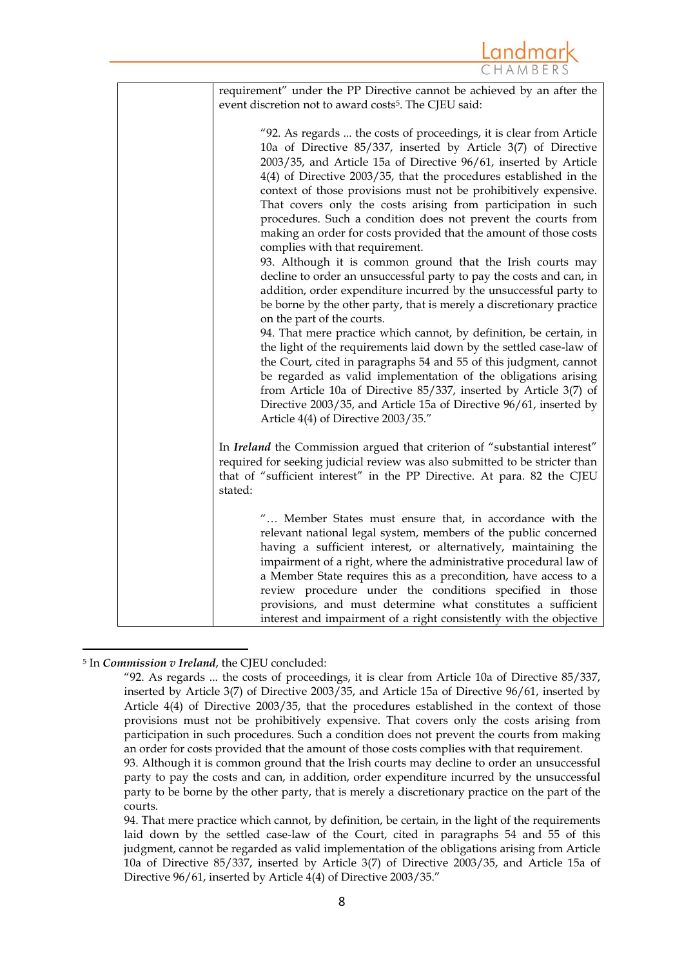| CHAMBERS                                                                                                                                                                                                                                                                                                                                                                                                                                                                                                                                                                                                                                                                                                                                                                                                                                                                                                                                                                                                                                                                                                                                                                                                                                                                                                                                                                            |
|-------------------------------------------------------------------------------------------------------------------------------------------------------------------------------------------------------------------------------------------------------------------------------------------------------------------------------------------------------------------------------------------------------------------------------------------------------------------------------------------------------------------------------------------------------------------------------------------------------------------------------------------------------------------------------------------------------------------------------------------------------------------------------------------------------------------------------------------------------------------------------------------------------------------------------------------------------------------------------------------------------------------------------------------------------------------------------------------------------------------------------------------------------------------------------------------------------------------------------------------------------------------------------------------------------------------------------------------------------------------------------------|
| requirement" under the PP Directive cannot be achieved by an after the<br>event discretion not to award costs <sup>5</sup> . The CJEU said:                                                                                                                                                                                                                                                                                                                                                                                                                                                                                                                                                                                                                                                                                                                                                                                                                                                                                                                                                                                                                                                                                                                                                                                                                                         |
| "92. As regards  the costs of proceedings, it is clear from Article<br>10a of Directive 85/337, inserted by Article 3(7) of Directive<br>2003/35, and Article 15a of Directive 96/61, inserted by Article<br>$4(4)$ of Directive 2003/35, that the procedures established in the<br>context of those provisions must not be prohibitively expensive.<br>That covers only the costs arising from participation in such<br>procedures. Such a condition does not prevent the courts from<br>making an order for costs provided that the amount of those costs<br>complies with that requirement.<br>93. Although it is common ground that the Irish courts may<br>decline to order an unsuccessful party to pay the costs and can, in<br>addition, order expenditure incurred by the unsuccessful party to<br>be borne by the other party, that is merely a discretionary practice<br>on the part of the courts.<br>94. That mere practice which cannot, by definition, be certain, in<br>the light of the requirements laid down by the settled case-law of<br>the Court, cited in paragraphs 54 and 55 of this judgment, cannot<br>be regarded as valid implementation of the obligations arising<br>from Article 10a of Directive 85/337, inserted by Article 3(7) of<br>Directive 2003/35, and Article 15a of Directive 96/61, inserted by<br>Article 4(4) of Directive 2003/35." |
| In Ireland the Commission argued that criterion of "substantial interest"<br>required for seeking judicial review was also submitted to be stricter than<br>that of "sufficient interest" in the PP Directive. At para. 82 the CJEU<br>stated:                                                                                                                                                                                                                                                                                                                                                                                                                                                                                                                                                                                                                                                                                                                                                                                                                                                                                                                                                                                                                                                                                                                                      |
| " Member States must ensure that, in accordance with the<br>relevant national legal system, members of the public concerned<br>having a sufficient interest, or alternatively, maintaining the<br>impairment of a right, where the administrative procedural law of<br>a Member State requires this as a precondition, have access to a<br>review procedure under the conditions specified in those<br>provisions, and must determine what constitutes a sufficient<br>interest and impairment of a right consistently with the objective                                                                                                                                                                                                                                                                                                                                                                                                                                                                                                                                                                                                                                                                                                                                                                                                                                           |

 $landmark$ 

<u>.</u>

<sup>5</sup> In *Commission v Ireland*, the CJEU concluded:

<sup>&</sup>quot;92. As regards ... the costs of proceedings, it is clear from Article 10a of Directive 85/337, inserted by Article 3(7) of Directive 2003/35, and Article 15a of Directive 96/61, inserted by Article 4(4) of Directive 2003/35, that the procedures established in the context of those provisions must not be prohibitively expensive. That covers only the costs arising from participation in such procedures. Such a condition does not prevent the courts from making an order for costs provided that the amount of those costs complies with that requirement.

<sup>93.</sup> Although it is common ground that the Irish courts may decline to order an unsuccessful party to pay the costs and can, in addition, order expenditure incurred by the unsuccessful party to be borne by the other party, that is merely a discretionary practice on the part of the courts.

<sup>94.</sup> That mere practice which cannot, by definition, be certain, in the light of the requirements laid down by the settled case-law of the Court, cited in paragraphs 54 and 55 of this judgment, cannot be regarded as valid implementation of the obligations arising from Article 10a of Directive 85/337, inserted by Article 3(7) of Directive 2003/35, and Article 15a of Directive 96/61, inserted by Article 4(4) of Directive 2003/35."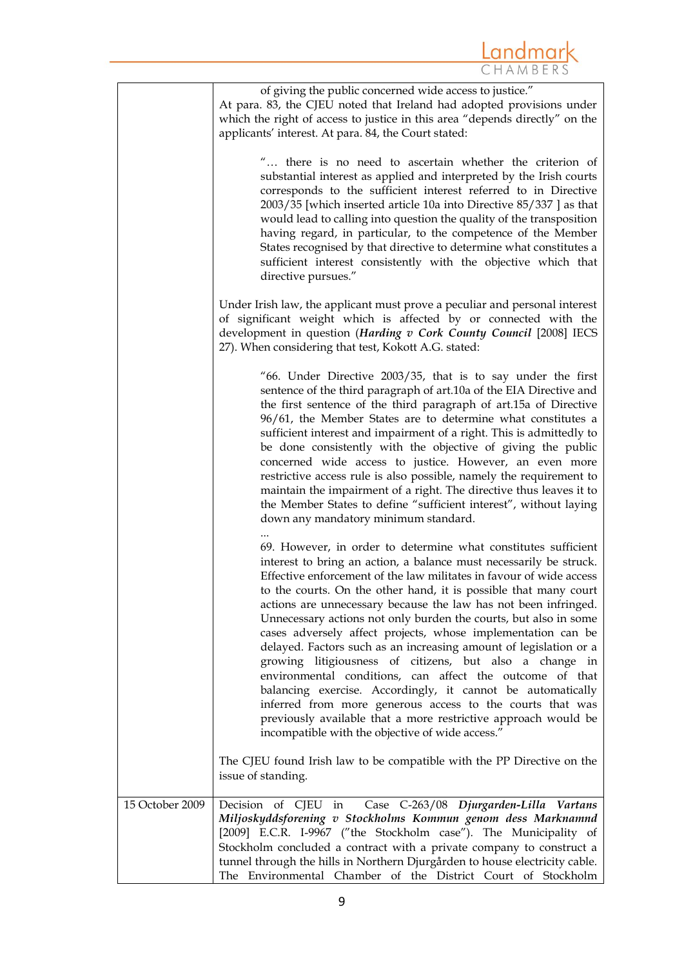|                 | <b>Landmark</b>                                                                                                                                                                                                                                                                                                                                                                                                                                                                                                                                                                                                                                                                                                                                                                                                                                                                                                                      |
|-----------------|--------------------------------------------------------------------------------------------------------------------------------------------------------------------------------------------------------------------------------------------------------------------------------------------------------------------------------------------------------------------------------------------------------------------------------------------------------------------------------------------------------------------------------------------------------------------------------------------------------------------------------------------------------------------------------------------------------------------------------------------------------------------------------------------------------------------------------------------------------------------------------------------------------------------------------------|
|                 | of giving the public concerned wide access to justice."<br>At para. 83, the CJEU noted that Ireland had adopted provisions under<br>which the right of access to justice in this area "depends directly" on the<br>applicants' interest. At para. 84, the Court stated:                                                                                                                                                                                                                                                                                                                                                                                                                                                                                                                                                                                                                                                              |
|                 | " there is no need to ascertain whether the criterion of<br>substantial interest as applied and interpreted by the Irish courts<br>corresponds to the sufficient interest referred to in Directive<br>2003/35 [which inserted article 10a into Directive 85/337 ] as that<br>would lead to calling into question the quality of the transposition<br>having regard, in particular, to the competence of the Member<br>States recognised by that directive to determine what constitutes a<br>sufficient interest consistently with the objective which that<br>directive pursues."                                                                                                                                                                                                                                                                                                                                                   |
|                 | Under Irish law, the applicant must prove a peculiar and personal interest<br>of significant weight which is affected by or connected with the<br>development in question (Harding v Cork County Council [2008] IECS<br>27). When considering that test, Kokott A.G. stated:                                                                                                                                                                                                                                                                                                                                                                                                                                                                                                                                                                                                                                                         |
|                 | "66. Under Directive 2003/35, that is to say under the first<br>sentence of the third paragraph of art.10a of the EIA Directive and<br>the first sentence of the third paragraph of art.15a of Directive<br>96/61, the Member States are to determine what constitutes a<br>sufficient interest and impairment of a right. This is admittedly to<br>be done consistently with the objective of giving the public<br>concerned wide access to justice. However, an even more<br>restrictive access rule is also possible, namely the requirement to<br>maintain the impairment of a right. The directive thus leaves it to<br>the Member States to define "sufficient interest", without laying<br>down any mandatory minimum standard.                                                                                                                                                                                               |
|                 | 69. However, in order to determine what constitutes sufficient<br>interest to bring an action, a balance must necessarily be struck.<br>Effective enforcement of the law militates in favour of wide access<br>to the courts. On the other hand, it is possible that many court<br>actions are unnecessary because the law has not been infringed.<br>Unnecessary actions not only burden the courts, but also in some<br>cases adversely affect projects, whose implementation can be<br>delayed. Factors such as an increasing amount of legislation or a<br>growing litigiousness of citizens, but also a change in<br>environmental conditions, can affect the outcome of that<br>balancing exercise. Accordingly, it cannot be automatically<br>inferred from more generous access to the courts that was<br>previously available that a more restrictive approach would be<br>incompatible with the objective of wide access." |
|                 | The CJEU found Irish law to be compatible with the PP Directive on the<br>issue of standing.                                                                                                                                                                                                                                                                                                                                                                                                                                                                                                                                                                                                                                                                                                                                                                                                                                         |
| 15 October 2009 | Case C-263/08 Djurgarden-Lilla Vartans<br>Decision of CJEU in<br>Miljoskyddsforening v Stockholms Kommun genom dess Marknamnd<br>[2009] E.C.R. I-9967 ("the Stockholm case"). The Municipality of<br>Stockholm concluded a contract with a private company to construct a<br>tunnel through the hills in Northern Djurgården to house electricity cable.<br>The Environmental Chamber of the District Court of Stockholm                                                                                                                                                                                                                                                                                                                                                                                                                                                                                                             |

-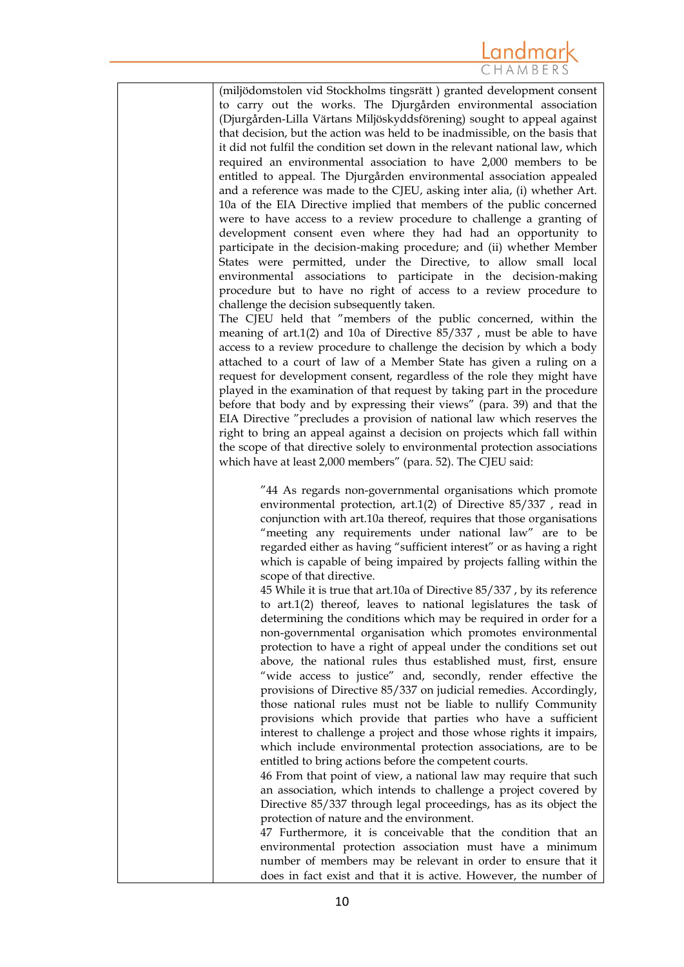(miljödomstolen vid Stockholms tingsrätt ) granted development consent to carry out the works. The Djurgården environmental association (Djurgården-Lilla Värtans Miljöskyddsförening) sought to appeal against that decision, but the action was held to be inadmissible, on the basis that it did not fulfil the condition set down in the relevant national law, which required an environmental association to have 2,000 members to be entitled to appeal. The Djurgården environmental association appealed and a reference was made to the CJEU, asking inter alia, (i) whether Art. 10a of the EIA Directive implied that members of the public concerned were to have access to a review procedure to challenge a granting of development consent even where they had had an opportunity to participate in the decision-making procedure; and (ii) whether Member States were permitted, under the Directive, to allow small local environmental associations to participate in the decision-making procedure but to have no right of access to a review procedure to challenge the decision subsequently taken.

The CJEU held that "members of the public concerned, within the meaning of art.1(2) and 10a of Directive 85/337 , must be able to have access to a review procedure to challenge the decision by which a body attached to a court of law of a Member State has given a ruling on a request for development consent, regardless of the role they might have played in the examination of that request by taking part in the procedure before that body and by expressing their views" (para. 39) and that the EIA Directive "precludes a provision of national law which reserves the right to bring an appeal against a decision on projects which fall within the scope of that directive solely to environmental protection associations which have at least 2,000 members" (para. 52). The CJEU said:

> "44 As regards non-governmental organisations which promote environmental protection, art.1(2) of Directive 85/337 , read in conjunction with art.10a thereof, requires that those organisations "meeting any requirements under national law" are to be regarded either as having "sufficient interest" or as having a right which is capable of being impaired by projects falling within the scope of that directive.

> 45 While it is true that art.10a of Directive 85/337 , by its reference to art.1(2) thereof, leaves to national legislatures the task of determining the conditions which may be required in order for a non-governmental organisation which promotes environmental protection to have a right of appeal under the conditions set out above, the national rules thus established must, first, ensure "wide access to justice" and, secondly, render effective the provisions of Directive 85/337 on judicial remedies. Accordingly, those national rules must not be liable to nullify Community provisions which provide that parties who have a sufficient interest to challenge a project and those whose rights it impairs, which include environmental protection associations, are to be entitled to bring actions before the competent courts.

> 46 From that point of view, a national law may require that such an association, which intends to challenge a project covered by Directive 85/337 through legal proceedings, has as its object the protection of nature and the environment.

> 47 Furthermore, it is conceivable that the condition that an environmental protection association must have a minimum number of members may be relevant in order to ensure that it does in fact exist and that it is active. However, the number of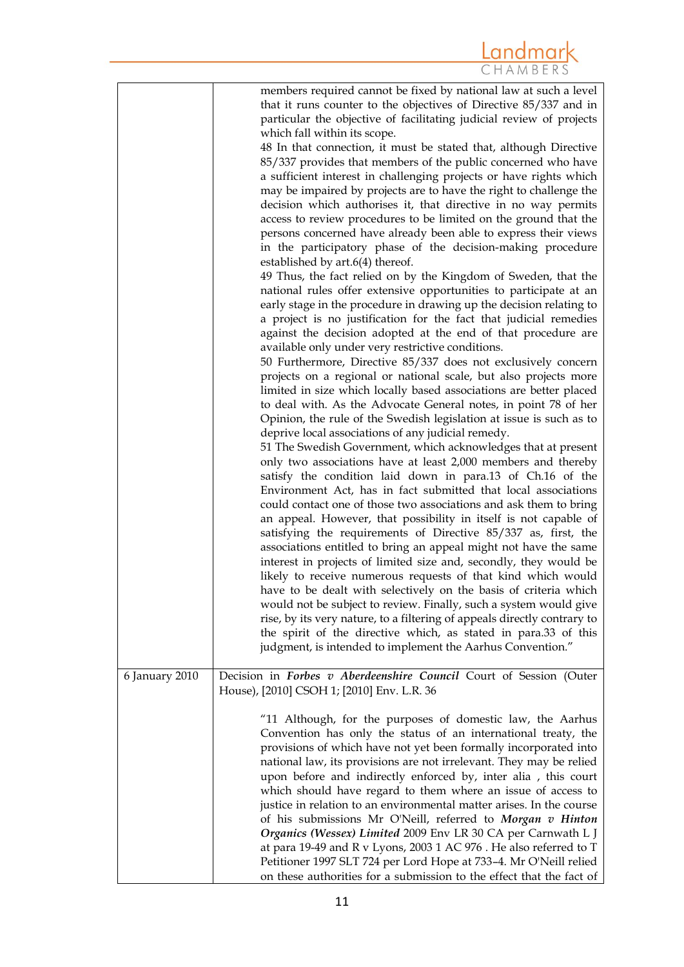|                | <b>Landmark</b>                                                                                                                                                                                                                                                                                                                                                                                                                                                                                                                                                                                                                                                                                                                                                                                                                                                                                                                                                                                                                                                                                                                                                       |
|----------------|-----------------------------------------------------------------------------------------------------------------------------------------------------------------------------------------------------------------------------------------------------------------------------------------------------------------------------------------------------------------------------------------------------------------------------------------------------------------------------------------------------------------------------------------------------------------------------------------------------------------------------------------------------------------------------------------------------------------------------------------------------------------------------------------------------------------------------------------------------------------------------------------------------------------------------------------------------------------------------------------------------------------------------------------------------------------------------------------------------------------------------------------------------------------------|
|                | members required cannot be fixed by national law at such a level<br>that it runs counter to the objectives of Directive 85/337 and in<br>particular the objective of facilitating judicial review of projects<br>which fall within its scope.                                                                                                                                                                                                                                                                                                                                                                                                                                                                                                                                                                                                                                                                                                                                                                                                                                                                                                                         |
|                | 48 In that connection, it must be stated that, although Directive<br>85/337 provides that members of the public concerned who have<br>a sufficient interest in challenging projects or have rights which<br>may be impaired by projects are to have the right to challenge the<br>decision which authorises it, that directive in no way permits<br>access to review procedures to be limited on the ground that the<br>persons concerned have already been able to express their views<br>in the participatory phase of the decision-making procedure<br>established by art.6(4) thereof.                                                                                                                                                                                                                                                                                                                                                                                                                                                                                                                                                                            |
|                | 49 Thus, the fact relied on by the Kingdom of Sweden, that the<br>national rules offer extensive opportunities to participate at an<br>early stage in the procedure in drawing up the decision relating to<br>a project is no justification for the fact that judicial remedies<br>against the decision adopted at the end of that procedure are<br>available only under very restrictive conditions.                                                                                                                                                                                                                                                                                                                                                                                                                                                                                                                                                                                                                                                                                                                                                                 |
|                | 50 Furthermore, Directive 85/337 does not exclusively concern<br>projects on a regional or national scale, but also projects more<br>limited in size which locally based associations are better placed<br>to deal with. As the Advocate General notes, in point 78 of her                                                                                                                                                                                                                                                                                                                                                                                                                                                                                                                                                                                                                                                                                                                                                                                                                                                                                            |
|                | Opinion, the rule of the Swedish legislation at issue is such as to<br>deprive local associations of any judicial remedy.<br>51 The Swedish Government, which acknowledges that at present<br>only two associations have at least 2,000 members and thereby<br>satisfy the condition laid down in para.13 of Ch.16 of the<br>Environment Act, has in fact submitted that local associations<br>could contact one of those two associations and ask them to bring<br>an appeal. However, that possibility in itself is not capable of<br>satisfying the requirements of Directive 85/337 as, first, the<br>associations entitled to bring an appeal might not have the same<br>interest in projects of limited size and, secondly, they would be<br>likely to receive numerous requests of that kind which would<br>have to be dealt with selectively on the basis of criteria which<br>would not be subject to review. Finally, such a system would give<br>rise, by its very nature, to a filtering of appeals directly contrary to<br>the spirit of the directive which, as stated in para.33 of this<br>judgment, is intended to implement the Aarhus Convention." |
| 6 January 2010 | Decision in Forbes v Aberdeenshire Council Court of Session (Outer<br>House), [2010] CSOH 1; [2010] Env. L.R. 36                                                                                                                                                                                                                                                                                                                                                                                                                                                                                                                                                                                                                                                                                                                                                                                                                                                                                                                                                                                                                                                      |
|                | "11 Although, for the purposes of domestic law, the Aarhus<br>Convention has only the status of an international treaty, the<br>provisions of which have not yet been formally incorporated into<br>national law, its provisions are not irrelevant. They may be relied<br>upon before and indirectly enforced by, inter alia, this court<br>which should have regard to them where an issue of access to<br>justice in relation to an environmental matter arises. In the course<br>of his submissions Mr O'Neill, referred to Morgan v Hinton<br>Organics (Wessex) Limited 2009 Env LR 30 CA per Carnwath L J<br>at para 19-49 and R v Lyons, 2003 1 AC 976. He also referred to T<br>Petitioner 1997 SLT 724 per Lord Hope at 733-4. Mr O'Neill relied<br>on these authorities for a submission to the effect that the fact of                                                                                                                                                                                                                                                                                                                                     |

۰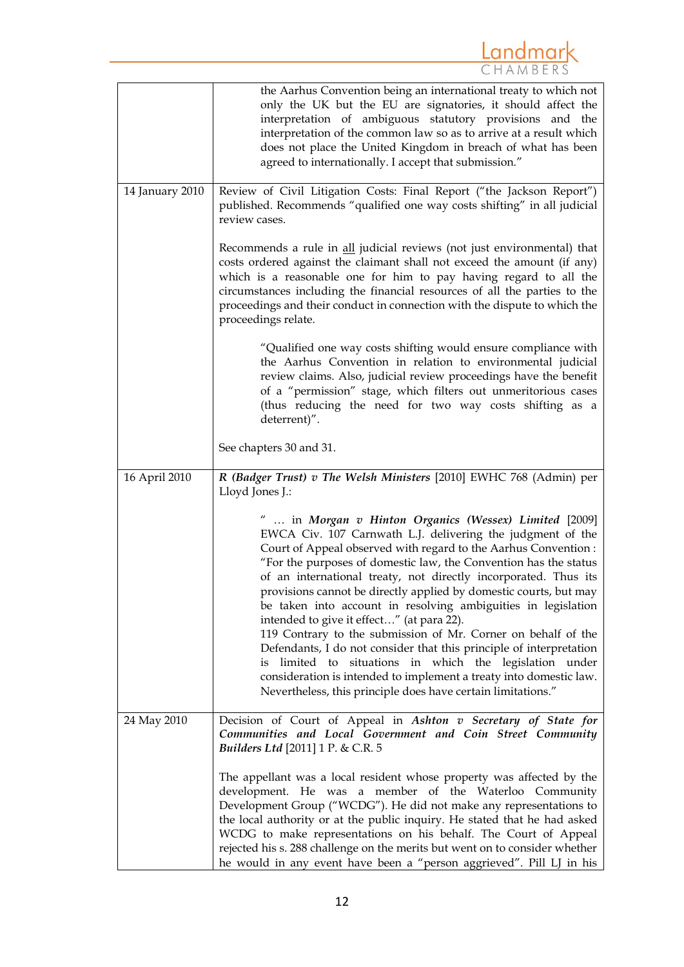|                 | <b>Landmark</b>                                                                                                                                                                                                                                                                                                                                                                                                                                                                                                                                                                                                                                                                                                                                                                                                                                              |
|-----------------|--------------------------------------------------------------------------------------------------------------------------------------------------------------------------------------------------------------------------------------------------------------------------------------------------------------------------------------------------------------------------------------------------------------------------------------------------------------------------------------------------------------------------------------------------------------------------------------------------------------------------------------------------------------------------------------------------------------------------------------------------------------------------------------------------------------------------------------------------------------|
|                 | the Aarhus Convention being an international treaty to which not<br>only the UK but the EU are signatories, it should affect the<br>interpretation of ambiguous statutory provisions and the<br>interpretation of the common law so as to arrive at a result which<br>does not place the United Kingdom in breach of what has been<br>agreed to internationally. I accept that submission."                                                                                                                                                                                                                                                                                                                                                                                                                                                                  |
| 14 January 2010 | Review of Civil Litigation Costs: Final Report ("the Jackson Report")<br>published. Recommends "qualified one way costs shifting" in all judicial<br>review cases.                                                                                                                                                                                                                                                                                                                                                                                                                                                                                                                                                                                                                                                                                           |
|                 | Recommends a rule in all judicial reviews (not just environmental) that<br>costs ordered against the claimant shall not exceed the amount (if any)<br>which is a reasonable one for him to pay having regard to all the<br>circumstances including the financial resources of all the parties to the<br>proceedings and their conduct in connection with the dispute to which the<br>proceedings relate.                                                                                                                                                                                                                                                                                                                                                                                                                                                     |
|                 | "Qualified one way costs shifting would ensure compliance with<br>the Aarhus Convention in relation to environmental judicial<br>review claims. Also, judicial review proceedings have the benefit<br>of a "permission" stage, which filters out unmeritorious cases<br>(thus reducing the need for two way costs shifting as a<br>deterrent)".                                                                                                                                                                                                                                                                                                                                                                                                                                                                                                              |
|                 | See chapters 30 and 31.                                                                                                                                                                                                                                                                                                                                                                                                                                                                                                                                                                                                                                                                                                                                                                                                                                      |
| 16 April 2010   | R (Badger Trust) v The Welsh Ministers [2010] EWHC 768 (Admin) per<br>Lloyd Jones J.:                                                                                                                                                                                                                                                                                                                                                                                                                                                                                                                                                                                                                                                                                                                                                                        |
|                 | "  in Morgan v Hinton Organics (Wessex) Limited [2009]<br>EWCA Civ. 107 Carnwath L.J. delivering the judgment of the<br>Court of Appeal observed with regard to the Aarhus Convention:<br>"For the purposes of domestic law, the Convention has the status<br>of an international treaty, not directly incorporated. Thus its<br>provisions cannot be directly applied by domestic courts, but may<br>be taken into account in resolving ambiguities in legislation<br>intended to give it effect" (at para 22).<br>119 Contrary to the submission of Mr. Corner on behalf of the<br>Defendants, I do not consider that this principle of interpretation<br>limited to situations in which the legislation under<br>1S<br>consideration is intended to implement a treaty into domestic law.<br>Nevertheless, this principle does have certain limitations." |
| 24 May 2010     | Decision of Court of Appeal in Ashton v Secretary of State for<br>Communities and Local Government and Coin Street Community<br>Builders Ltd [2011] 1 P. & C.R. 5                                                                                                                                                                                                                                                                                                                                                                                                                                                                                                                                                                                                                                                                                            |
|                 | The appellant was a local resident whose property was affected by the<br>development. He was a member of the Waterloo Community<br>Development Group ("WCDG"). He did not make any representations to<br>the local authority or at the public inquiry. He stated that he had asked<br>WCDG to make representations on his behalf. The Court of Appeal<br>rejected his s. 288 challenge on the merits but went on to consider whether<br>he would in any event have been a "person aggrieved". Pill LJ in his                                                                                                                                                                                                                                                                                                                                                 |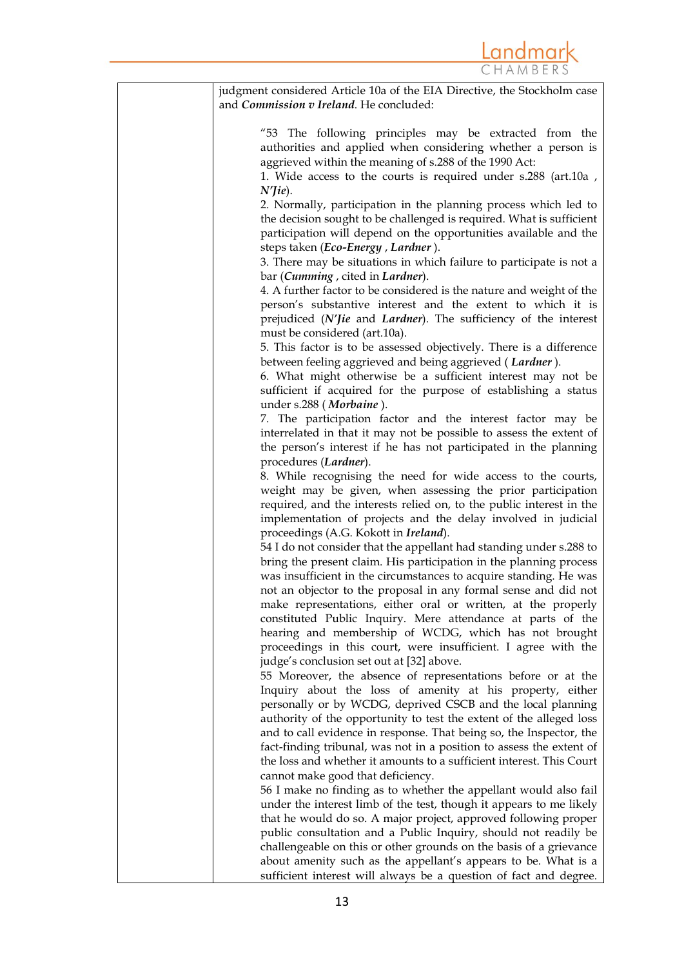| <b>Landmark</b><br>CHAMBERS                                                                                                                                                                                                                                                                                                                                                                                                                                                                                                                                                                             |
|---------------------------------------------------------------------------------------------------------------------------------------------------------------------------------------------------------------------------------------------------------------------------------------------------------------------------------------------------------------------------------------------------------------------------------------------------------------------------------------------------------------------------------------------------------------------------------------------------------|
| judgment considered Article 10a of the EIA Directive, the Stockholm case<br>and <i>Commission v Ireland</i> . He concluded:                                                                                                                                                                                                                                                                                                                                                                                                                                                                             |
| "53 The following principles may be extracted from the<br>authorities and applied when considering whether a person is<br>aggrieved within the meaning of s.288 of the 1990 Act:<br>1. Wide access to the courts is required under s.288 (art.10a,                                                                                                                                                                                                                                                                                                                                                      |
| $N$ / $\int$ ie).<br>2. Normally, participation in the planning process which led to<br>the decision sought to be challenged is required. What is sufficient<br>participation will depend on the opportunities available and the<br>steps taken (Eco-Energy, Lardner).                                                                                                                                                                                                                                                                                                                                  |
| 3. There may be situations in which failure to participate is not a<br>bar (Cumming, cited in Lardner).<br>4. A further factor to be considered is the nature and weight of the<br>person's substantive interest and the extent to which it is<br>prejudiced (N'Jie and Lardner). The sufficiency of the interest<br>must be considered (art.10a).                                                                                                                                                                                                                                                      |
| 5. This factor is to be assessed objectively. There is a difference<br>between feeling aggrieved and being aggrieved (Lardner).<br>6. What might otherwise be a sufficient interest may not be<br>sufficient if acquired for the purpose of establishing a status<br>under s.288 (Morbaine).                                                                                                                                                                                                                                                                                                            |
| 7. The participation factor and the interest factor may be<br>interrelated in that it may not be possible to assess the extent of<br>the person's interest if he has not participated in the planning<br>procedures (Lardner).<br>8. While recognising the need for wide access to the courts,                                                                                                                                                                                                                                                                                                          |
| weight may be given, when assessing the prior participation<br>required, and the interests relied on, to the public interest in the<br>implementation of projects and the delay involved in judicial<br>proceedings (A.G. Kokott in Ireland).                                                                                                                                                                                                                                                                                                                                                           |
| 54 I do not consider that the appellant had standing under s.288 to<br>bring the present claim. His participation in the planning process<br>was insufficient in the circumstances to acquire standing. He was<br>not an objector to the proposal in any formal sense and did not<br>make representations, either oral or written, at the properly<br>constituted Public Inquiry. Mere attendance at parts of the<br>hearing and membership of WCDG, which has not brought<br>proceedings in this court, were insufficient. I agree with the                                                            |
| judge's conclusion set out at [32] above.<br>55 Moreover, the absence of representations before or at the<br>Inquiry about the loss of amenity at his property, either<br>personally or by WCDG, deprived CSCB and the local planning<br>authority of the opportunity to test the extent of the alleged loss<br>and to call evidence in response. That being so, the Inspector, the<br>fact-finding tribunal, was not in a position to assess the extent of                                                                                                                                             |
| the loss and whether it amounts to a sufficient interest. This Court<br>cannot make good that deficiency.<br>56 I make no finding as to whether the appellant would also fail<br>under the interest limb of the test, though it appears to me likely<br>that he would do so. A major project, approved following proper<br>public consultation and a Public Inquiry, should not readily be<br>challengeable on this or other grounds on the basis of a grievance<br>about amenity such as the appellant's appears to be. What is a<br>sufficient interest will always be a question of fact and degree. |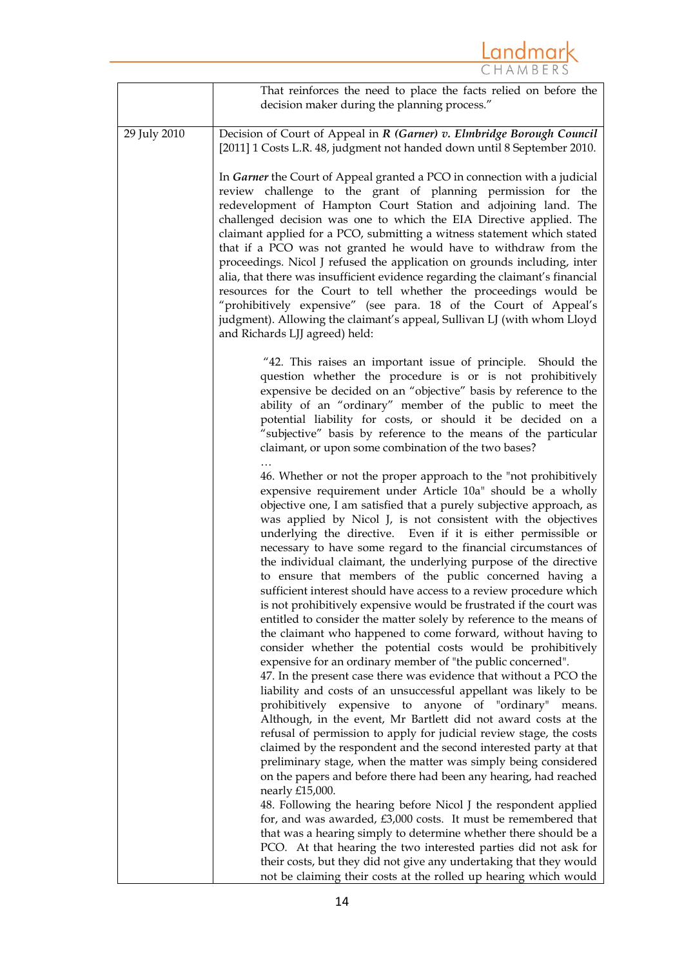|              | <b>Landmark</b><br>CHAMBERS                                                                                                                                                                                                                                                                                                                                                                                                                                                                                                                                                                                                                                                                                                                                                                                                                                                                                                                                                                                                                                                                                                                                                                                                                                                                                                                                                                                                                                                                                                                                                                                   |
|--------------|---------------------------------------------------------------------------------------------------------------------------------------------------------------------------------------------------------------------------------------------------------------------------------------------------------------------------------------------------------------------------------------------------------------------------------------------------------------------------------------------------------------------------------------------------------------------------------------------------------------------------------------------------------------------------------------------------------------------------------------------------------------------------------------------------------------------------------------------------------------------------------------------------------------------------------------------------------------------------------------------------------------------------------------------------------------------------------------------------------------------------------------------------------------------------------------------------------------------------------------------------------------------------------------------------------------------------------------------------------------------------------------------------------------------------------------------------------------------------------------------------------------------------------------------------------------------------------------------------------------|
|              | That reinforces the need to place the facts relied on before the<br>decision maker during the planning process."                                                                                                                                                                                                                                                                                                                                                                                                                                                                                                                                                                                                                                                                                                                                                                                                                                                                                                                                                                                                                                                                                                                                                                                                                                                                                                                                                                                                                                                                                              |
| 29 July 2010 | Decision of Court of Appeal in R (Garner) v. Elmbridge Borough Council<br>[2011] 1 Costs L.R. 48, judgment not handed down until 8 September 2010.                                                                                                                                                                                                                                                                                                                                                                                                                                                                                                                                                                                                                                                                                                                                                                                                                                                                                                                                                                                                                                                                                                                                                                                                                                                                                                                                                                                                                                                            |
|              | In Garner the Court of Appeal granted a PCO in connection with a judicial<br>review challenge to the grant of planning permission for the<br>redevelopment of Hampton Court Station and adjoining land. The<br>challenged decision was one to which the EIA Directive applied. The<br>claimant applied for a PCO, submitting a witness statement which stated<br>that if a PCO was not granted he would have to withdraw from the<br>proceedings. Nicol J refused the application on grounds including, inter<br>alia, that there was insufficient evidence regarding the claimant's financial<br>resources for the Court to tell whether the proceedings would be<br>"prohibitively expensive" (see para. 18 of the Court of Appeal's<br>judgment). Allowing the claimant's appeal, Sullivan LJ (with whom Lloyd<br>and Richards LJJ agreed) held:                                                                                                                                                                                                                                                                                                                                                                                                                                                                                                                                                                                                                                                                                                                                                           |
|              | "42. This raises an important issue of principle. Should the<br>question whether the procedure is or is not prohibitively<br>expensive be decided on an "objective" basis by reference to the<br>ability of an "ordinary" member of the public to meet the<br>potential liability for costs, or should it be decided on a<br>"subjective" basis by reference to the means of the particular<br>claimant, or upon some combination of the two bases?                                                                                                                                                                                                                                                                                                                                                                                                                                                                                                                                                                                                                                                                                                                                                                                                                                                                                                                                                                                                                                                                                                                                                           |
|              | 46. Whether or not the proper approach to the "not prohibitively<br>expensive requirement under Article 10a" should be a wholly<br>objective one, I am satisfied that a purely subjective approach, as<br>was applied by Nicol J, is not consistent with the objectives<br>underlying the directive. Even if it is either permissible or<br>necessary to have some regard to the financial circumstances of<br>the individual claimant, the underlying purpose of the directive<br>to ensure that members of the public concerned having a<br>sufficient interest should have access to a review procedure which<br>is not prohibitively expensive would be frustrated if the court was<br>entitled to consider the matter solely by reference to the means of<br>the claimant who happened to come forward, without having to<br>consider whether the potential costs would be prohibitively<br>expensive for an ordinary member of "the public concerned".<br>47. In the present case there was evidence that without a PCO the<br>liability and costs of an unsuccessful appellant was likely to be<br>prohibitively expensive to anyone of "ordinary"<br>means.<br>Although, in the event, Mr Bartlett did not award costs at the<br>refusal of permission to apply for judicial review stage, the costs<br>claimed by the respondent and the second interested party at that<br>preliminary stage, when the matter was simply being considered<br>on the papers and before there had been any hearing, had reached<br>nearly £15,000.<br>48. Following the hearing before Nicol J the respondent applied |
|              | for, and was awarded, £3,000 costs. It must be remembered that<br>that was a hearing simply to determine whether there should be a<br>PCO. At that hearing the two interested parties did not ask for<br>their costs, but they did not give any undertaking that they would<br>not be claiming their costs at the rolled up hearing which would                                                                                                                                                                                                                                                                                                                                                                                                                                                                                                                                                                                                                                                                                                                                                                                                                                                                                                                                                                                                                                                                                                                                                                                                                                                               |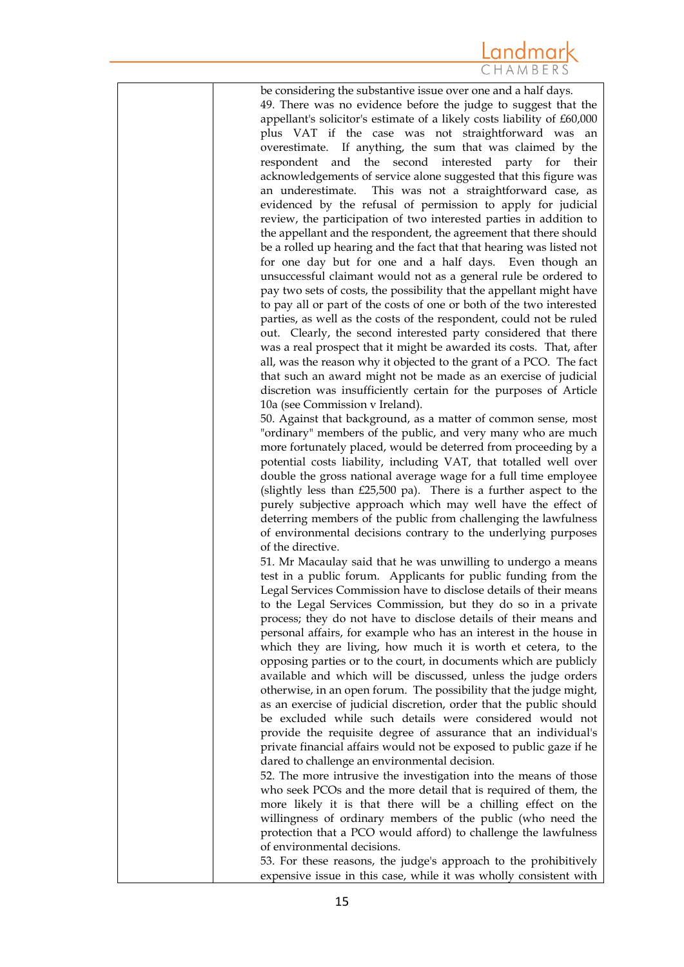be considering the substantive issue over one and a half days. 49. There was no evidence before the judge to suggest that the appellant's solicitor's estimate of a likely costs liability of £60,000 plus VAT if the case was not straightforward was an overestimate. If anything, the sum that was claimed by the respondent and the second interested party for their acknowledgements of service alone suggested that this figure was an underestimate. This was not a straightforward case, as evidenced by the refusal of permission to apply for judicial review, the participation of two interested parties in addition to the appellant and the respondent, the agreement that there should be a rolled up hearing and the fact that that hearing was listed not for one day but for one and a half days. Even though an unsuccessful claimant would not as a general rule be ordered to pay two sets of costs, the possibility that the appellant might have to pay all or part of the costs of one or both of the two interested parties, as well as the costs of the respondent, could not be ruled out. Clearly, the second interested party considered that there was a real prospect that it might be awarded its costs. That, after all, was the reason why it objected to the grant of a PCO. The fact that such an award might not be made as an exercise of judicial discretion was insufficiently certain for the purposes of Article 10a (see Commission v Ireland).

50. Against that background, as a matter of common sense, most "ordinary" members of the public, and very many who are much more fortunately placed, would be deterred from proceeding by a potential costs liability, including VAT, that totalled well over double the gross national average wage for a full time employee (slightly less than £25,500 pa). There is a further aspect to the purely subjective approach which may well have the effect of deterring members of the public from challenging the lawfulness of environmental decisions contrary to the underlying purposes of the directive.

51. Mr Macaulay said that he was unwilling to undergo a means test in a public forum. Applicants for public funding from the Legal Services Commission have to disclose details of their means to the Legal Services Commission, but they do so in a private process; they do not have to disclose details of their means and personal affairs, for example who has an interest in the house in which they are living, how much it is worth et cetera, to the opposing parties or to the court, in documents which are publicly available and which will be discussed, unless the judge orders otherwise, in an open forum. The possibility that the judge might, as an exercise of judicial discretion, order that the public should be excluded while such details were considered would not provide the requisite degree of assurance that an individual's private financial affairs would not be exposed to public gaze if he dared to challenge an environmental decision.

52. The more intrusive the investigation into the means of those who seek PCOs and the more detail that is required of them, the more likely it is that there will be a chilling effect on the willingness of ordinary members of the public (who need the protection that a PCO would afford) to challenge the lawfulness of environmental decisions.

53. For these reasons, the judge's approach to the prohibitively expensive issue in this case, while it was wholly consistent with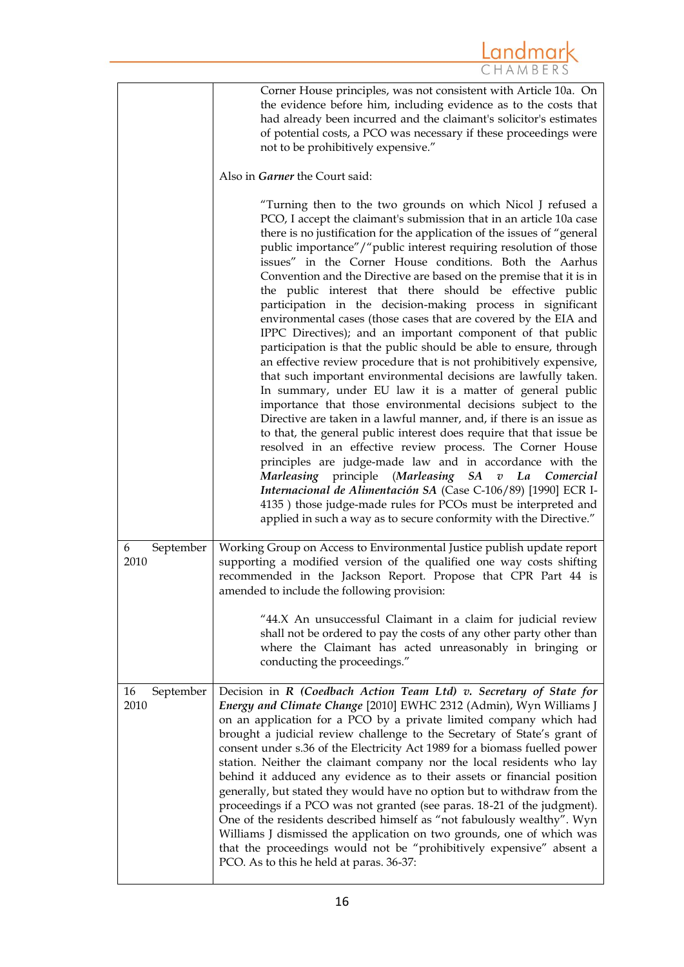|                         | <b>Landmark</b>                                                                                                                                                                                                                                                                                                                                                                                                                                                                                                                                                                                                                                                                                                                                                                                                                                                                                                                                                                                                                                                                                                                                                                                                                                                                                                                                                                                                                                                                                                                                                         |
|-------------------------|-------------------------------------------------------------------------------------------------------------------------------------------------------------------------------------------------------------------------------------------------------------------------------------------------------------------------------------------------------------------------------------------------------------------------------------------------------------------------------------------------------------------------------------------------------------------------------------------------------------------------------------------------------------------------------------------------------------------------------------------------------------------------------------------------------------------------------------------------------------------------------------------------------------------------------------------------------------------------------------------------------------------------------------------------------------------------------------------------------------------------------------------------------------------------------------------------------------------------------------------------------------------------------------------------------------------------------------------------------------------------------------------------------------------------------------------------------------------------------------------------------------------------------------------------------------------------|
|                         | Corner House principles, was not consistent with Article 10a. On<br>the evidence before him, including evidence as to the costs that<br>had already been incurred and the claimant's solicitor's estimates<br>of potential costs, a PCO was necessary if these proceedings were<br>not to be prohibitively expensive."                                                                                                                                                                                                                                                                                                                                                                                                                                                                                                                                                                                                                                                                                                                                                                                                                                                                                                                                                                                                                                                                                                                                                                                                                                                  |
|                         | Also in Garner the Court said:                                                                                                                                                                                                                                                                                                                                                                                                                                                                                                                                                                                                                                                                                                                                                                                                                                                                                                                                                                                                                                                                                                                                                                                                                                                                                                                                                                                                                                                                                                                                          |
|                         | "Turning then to the two grounds on which Nicol J refused a<br>PCO, I accept the claimant's submission that in an article 10a case<br>there is no justification for the application of the issues of "general<br>public importance"/"public interest requiring resolution of those<br>issues" in the Corner House conditions. Both the Aarhus<br>Convention and the Directive are based on the premise that it is in<br>the public interest that there should be effective public<br>participation in the decision-making process in significant<br>environmental cases (those cases that are covered by the EIA and<br>IPPC Directives); and an important component of that public<br>participation is that the public should be able to ensure, through<br>an effective review procedure that is not prohibitively expensive,<br>that such important environmental decisions are lawfully taken.<br>In summary, under EU law it is a matter of general public<br>importance that those environmental decisions subject to the<br>Directive are taken in a lawful manner, and, if there is an issue as<br>to that, the general public interest does require that that issue be<br>resolved in an effective review process. The Corner House<br>principles are judge-made law and in accordance with the<br>Marleasing principle (Marleasing SA v La Comercial<br>Internacional de Alimentación SA (Case C-106/89) [1990] ECR I-<br>4135) those judge-made rules for PCOs must be interpreted and<br>applied in such a way as to secure conformity with the Directive." |
| 6<br>2010               | September   Working Group on Access to Environmental Justice publish update report<br>supporting a modified version of the qualified one way costs shifting<br>recommended in the Jackson Report. Propose that CPR Part 44 is<br>amended to include the following provision:                                                                                                                                                                                                                                                                                                                                                                                                                                                                                                                                                                                                                                                                                                                                                                                                                                                                                                                                                                                                                                                                                                                                                                                                                                                                                            |
|                         | "44.X An unsuccessful Claimant in a claim for judicial review<br>shall not be ordered to pay the costs of any other party other than<br>where the Claimant has acted unreasonably in bringing or<br>conducting the proceedings."                                                                                                                                                                                                                                                                                                                                                                                                                                                                                                                                                                                                                                                                                                                                                                                                                                                                                                                                                                                                                                                                                                                                                                                                                                                                                                                                        |
| September<br>16<br>2010 | Decision in $R$ (Coedbach Action Team Ltd) $v$ . Secretary of State for<br>Energy and Climate Change [2010] EWHC 2312 (Admin), Wyn Williams J<br>on an application for a PCO by a private limited company which had<br>brought a judicial review challenge to the Secretary of State's grant of<br>consent under s.36 of the Electricity Act 1989 for a biomass fuelled power<br>station. Neither the claimant company nor the local residents who lay<br>behind it adduced any evidence as to their assets or financial position<br>generally, but stated they would have no option but to withdraw from the<br>proceedings if a PCO was not granted (see paras. 18-21 of the judgment).<br>One of the residents described himself as "not fabulously wealthy". Wyn<br>Williams J dismissed the application on two grounds, one of which was<br>that the proceedings would not be "prohibitively expensive" absent a<br>PCO. As to this he held at paras. 36-37:                                                                                                                                                                                                                                                                                                                                                                                                                                                                                                                                                                                                       |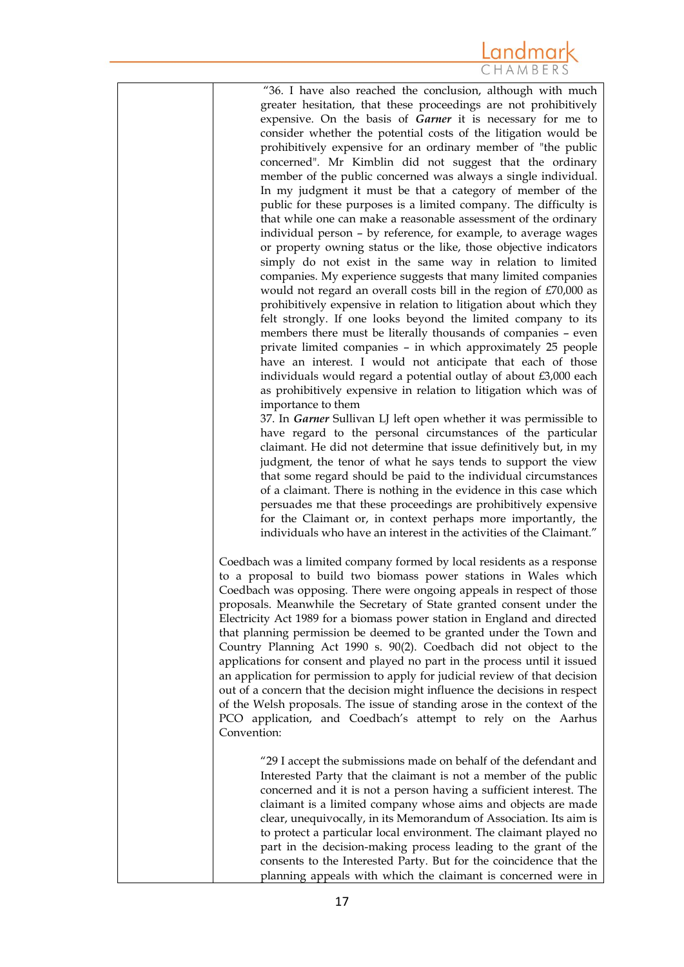### Landmarl

"36. I have also reached the conclusion, although with much greater hesitation, that these proceedings are not prohibitively expensive. On the basis of *Garner* it is necessary for me to consider whether the potential costs of the litigation would be prohibitively expensive for an ordinary member of "the public concerned". Mr Kimblin did not suggest that the ordinary member of the public concerned was always a single individual. In my judgment it must be that a category of member of the public for these purposes is a limited company. The difficulty is that while one can make a reasonable assessment of the ordinary individual person – by reference, for example, to average wages or property owning status or the like, those objective indicators simply do not exist in the same way in relation to limited companies. My experience suggests that many limited companies would not regard an overall costs bill in the region of £70,000 as prohibitively expensive in relation to litigation about which they felt strongly. If one looks beyond the limited company to its members there must be literally thousands of companies – even private limited companies – in which approximately 25 people have an interest. I would not anticipate that each of those individuals would regard a potential outlay of about £3,000 each as prohibitively expensive in relation to litigation which was of importance to them 37. In *Garner* Sullivan LJ left open whether it was permissible to have regard to the personal circumstances of the particular claimant. He did not determine that issue definitively but, in my judgment, the tenor of what he says tends to support the view that some regard should be paid to the individual circumstances of a claimant. There is nothing in the evidence in this case which persuades me that these proceedings are prohibitively expensive for the Claimant or, in context perhaps more importantly, the individuals who have an interest in the activities of the Claimant." Coedbach was a limited company formed by local residents as a response to a proposal to build two biomass power stations in Wales which Coedbach was opposing. There were ongoing appeals in respect of those proposals. Meanwhile the Secretary of State granted consent under the Electricity Act 1989 for a biomass power station in England and directed that planning permission be deemed to be granted under the Town and Country Planning Act 1990 s. 90(2). Coedbach did not object to the applications for consent and played no part in the process until it issued an application for permission to apply for judicial review of that decision out of a concern that the decision might influence the decisions in respect of the Welsh proposals. The issue of standing arose in the context of the PCO application, and Coedbach's attempt to rely on the Aarhus Convention:

> "29 I accept the submissions made on behalf of the defendant and Interested Party that the claimant is not a member of the public concerned and it is not a person having a sufficient interest. The claimant is a limited company whose aims and objects are made clear, unequivocally, in its Memorandum of Association. Its aim is to protect a particular local environment. The claimant played no part in the decision-making process leading to the grant of the consents to the Interested Party. But for the coincidence that the planning appeals with which the claimant is concerned were in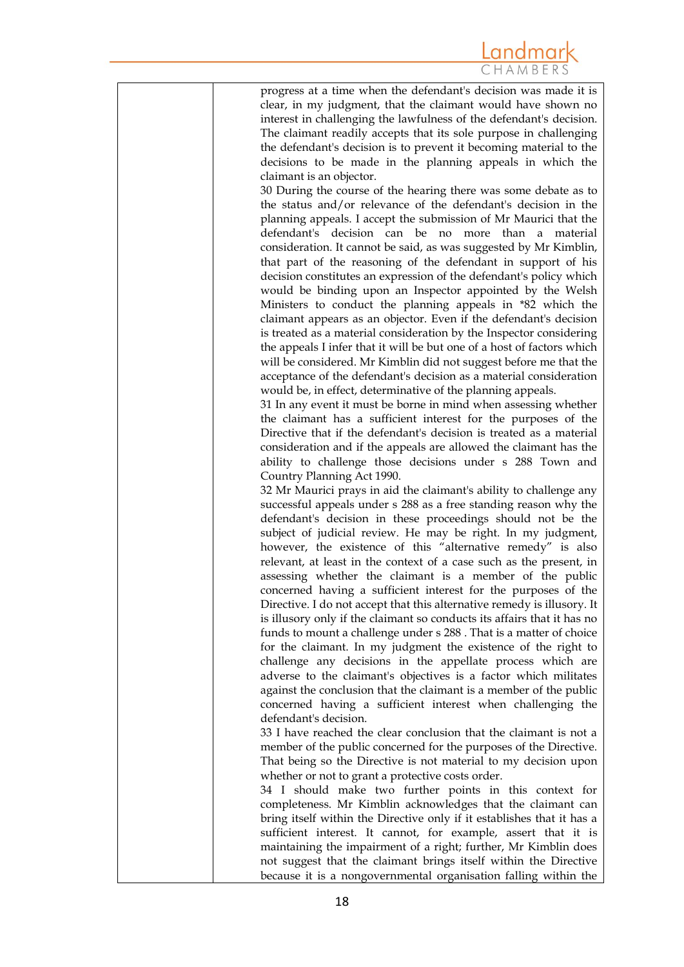progress at a time when the defendant's decision was made it is clear, in my judgment, that the claimant would have shown no interest in challenging the lawfulness of the defendant's decision. The claimant readily accepts that its sole purpose in challenging the defendant's decision is to prevent it becoming material to the decisions to be made in the planning appeals in which the claimant is an objector.

30 During the course of the hearing there was some debate as to the status and/or relevance of the defendant's decision in the planning appeals. I accept the submission of Mr Maurici that the defendant's decision can be no more than a material consideration. It cannot be said, as was suggested by Mr Kimblin, that part of the reasoning of the defendant in support of his decision constitutes an expression of the defendant's policy which would be binding upon an Inspector appointed by the Welsh Ministers to conduct the planning appeals in \*82 which the claimant appears as an objector. Even if the defendant's decision is treated as a material consideration by the Inspector considering the appeals I infer that it will be but one of a host of factors which will be considered. Mr Kimblin did not suggest before me that the acceptance of the defendant's decision as a material consideration would be, in effect, determinative of the planning appeals.

31 In any event it must be borne in mind when assessing whether the claimant has a sufficient interest for the purposes of the Directive that if the defendant's decision is treated as a material consideration and if the appeals are allowed the claimant has the ability to challenge those decisions under s 288 Town and Country Planning Act 1990.

32 Mr Maurici prays in aid the claimant's ability to challenge any successful appeals under s 288 as a free standing reason why the defendant's decision in these proceedings should not be the subject of judicial review. He may be right. In my judgment, however, the existence of this "alternative remedy" is also relevant, at least in the context of a case such as the present, in assessing whether the claimant is a member of the public concerned having a sufficient interest for the purposes of the Directive. I do not accept that this alternative remedy is illusory. It is illusory only if the claimant so conducts its affairs that it has no funds to mount a challenge under s 288 . That is a matter of choice for the claimant. In my judgment the existence of the right to challenge any decisions in the appellate process which are adverse to the claimant's objectives is a factor which militates against the conclusion that the claimant is a member of the public concerned having a sufficient interest when challenging the defendant's decision.

33 I have reached the clear conclusion that the claimant is not a member of the public concerned for the purposes of the Directive. That being so the Directive is not material to my decision upon whether or not to grant a protective costs order.

34 I should make two further points in this context for completeness. Mr Kimblin acknowledges that the claimant can bring itself within the Directive only if it establishes that it has a sufficient interest. It cannot, for example, assert that it is maintaining the impairment of a right; further, Mr Kimblin does not suggest that the claimant brings itself within the Directive because it is a nongovernmental organisation falling within the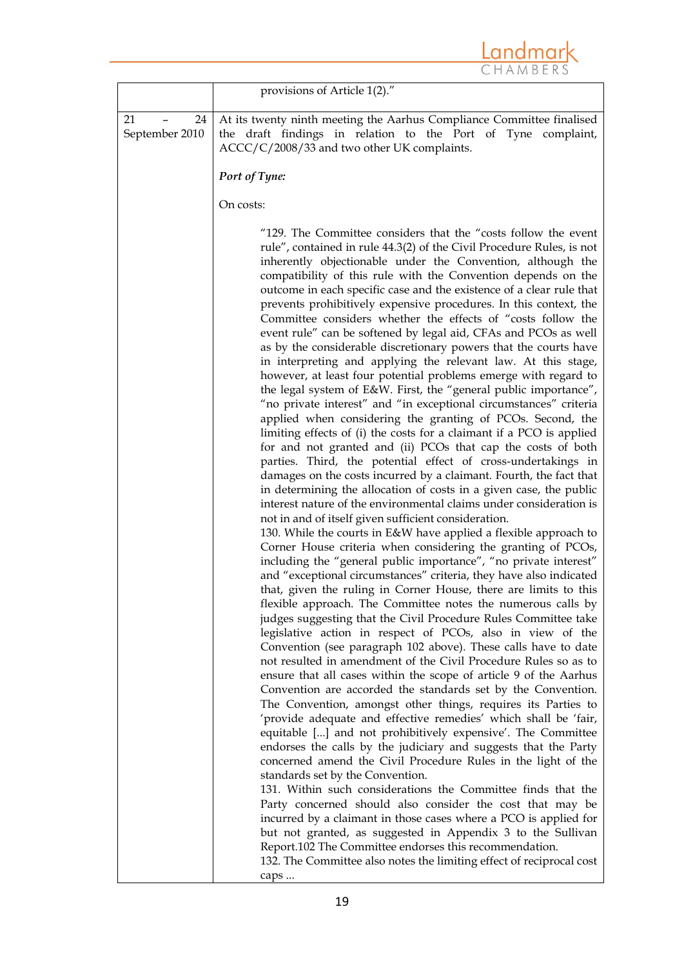|                            | <b>Landmark</b><br>CHAMBERS                                                                                                                                                                                                                                                                                                                                                                                                                                                                                                                                                                                                                                                                                                                                                                                                                                                                                                                                                                                                                                                                                                                                                                                                                                                                                                                                                                                                                                                                                                                                                                                                                                                                                                                                                                                                                                                                                                                                                                                                                                                                                                                                                                                                                                                                                                                                                                                                                                                                                                                                                                                                                                                                                                                                                                                                                                                                                                                                                                  |
|----------------------------|----------------------------------------------------------------------------------------------------------------------------------------------------------------------------------------------------------------------------------------------------------------------------------------------------------------------------------------------------------------------------------------------------------------------------------------------------------------------------------------------------------------------------------------------------------------------------------------------------------------------------------------------------------------------------------------------------------------------------------------------------------------------------------------------------------------------------------------------------------------------------------------------------------------------------------------------------------------------------------------------------------------------------------------------------------------------------------------------------------------------------------------------------------------------------------------------------------------------------------------------------------------------------------------------------------------------------------------------------------------------------------------------------------------------------------------------------------------------------------------------------------------------------------------------------------------------------------------------------------------------------------------------------------------------------------------------------------------------------------------------------------------------------------------------------------------------------------------------------------------------------------------------------------------------------------------------------------------------------------------------------------------------------------------------------------------------------------------------------------------------------------------------------------------------------------------------------------------------------------------------------------------------------------------------------------------------------------------------------------------------------------------------------------------------------------------------------------------------------------------------------------------------------------------------------------------------------------------------------------------------------------------------------------------------------------------------------------------------------------------------------------------------------------------------------------------------------------------------------------------------------------------------------------------------------------------------------------------------------------------------|
|                            | provisions of Article 1(2)."                                                                                                                                                                                                                                                                                                                                                                                                                                                                                                                                                                                                                                                                                                                                                                                                                                                                                                                                                                                                                                                                                                                                                                                                                                                                                                                                                                                                                                                                                                                                                                                                                                                                                                                                                                                                                                                                                                                                                                                                                                                                                                                                                                                                                                                                                                                                                                                                                                                                                                                                                                                                                                                                                                                                                                                                                                                                                                                                                                 |
| 21<br>24<br>September 2010 | At its twenty ninth meeting the Aarhus Compliance Committee finalised<br>the draft findings in relation to the Port of Tyne complaint,<br>ACCC/C/2008/33 and two other UK complaints.                                                                                                                                                                                                                                                                                                                                                                                                                                                                                                                                                                                                                                                                                                                                                                                                                                                                                                                                                                                                                                                                                                                                                                                                                                                                                                                                                                                                                                                                                                                                                                                                                                                                                                                                                                                                                                                                                                                                                                                                                                                                                                                                                                                                                                                                                                                                                                                                                                                                                                                                                                                                                                                                                                                                                                                                        |
|                            | Port of Tyne:                                                                                                                                                                                                                                                                                                                                                                                                                                                                                                                                                                                                                                                                                                                                                                                                                                                                                                                                                                                                                                                                                                                                                                                                                                                                                                                                                                                                                                                                                                                                                                                                                                                                                                                                                                                                                                                                                                                                                                                                                                                                                                                                                                                                                                                                                                                                                                                                                                                                                                                                                                                                                                                                                                                                                                                                                                                                                                                                                                                |
|                            | On costs:                                                                                                                                                                                                                                                                                                                                                                                                                                                                                                                                                                                                                                                                                                                                                                                                                                                                                                                                                                                                                                                                                                                                                                                                                                                                                                                                                                                                                                                                                                                                                                                                                                                                                                                                                                                                                                                                                                                                                                                                                                                                                                                                                                                                                                                                                                                                                                                                                                                                                                                                                                                                                                                                                                                                                                                                                                                                                                                                                                                    |
|                            | "129. The Committee considers that the "costs follow the event<br>rule", contained in rule 44.3(2) of the Civil Procedure Rules, is not<br>inherently objectionable under the Convention, although the<br>compatibility of this rule with the Convention depends on the<br>outcome in each specific case and the existence of a clear rule that<br>prevents prohibitively expensive procedures. In this context, the<br>Committee considers whether the effects of "costs follow the<br>event rule" can be softened by legal aid, CFAs and PCOs as well<br>as by the considerable discretionary powers that the courts have<br>in interpreting and applying the relevant law. At this stage,<br>however, at least four potential problems emerge with regard to<br>the legal system of E&W. First, the "general public importance",<br>"no private interest" and "in exceptional circumstances" criteria<br>applied when considering the granting of PCOs. Second, the<br>limiting effects of (i) the costs for a claimant if a PCO is applied<br>for and not granted and (ii) PCOs that cap the costs of both<br>parties. Third, the potential effect of cross-undertakings in<br>damages on the costs incurred by a claimant. Fourth, the fact that<br>in determining the allocation of costs in a given case, the public<br>interest nature of the environmental claims under consideration is<br>not in and of itself given sufficient consideration.<br>130. While the courts in E&W have applied a flexible approach to<br>Corner House criteria when considering the granting of PCOs,<br>including the "general public importance", "no private interest"<br>and "exceptional circumstances" criteria, they have also indicated<br>that, given the ruling in Corner House, there are limits to this<br>flexible approach. The Committee notes the numerous calls by<br>judges suggesting that the Civil Procedure Rules Committee take<br>legislative action in respect of PCOs, also in view of the<br>Convention (see paragraph 102 above). These calls have to date<br>not resulted in amendment of the Civil Procedure Rules so as to<br>ensure that all cases within the scope of article 9 of the Aarhus<br>Convention are accorded the standards set by the Convention.<br>The Convention, amongst other things, requires its Parties to<br>'provide adequate and effective remedies' which shall be 'fair,<br>equitable [] and not prohibitively expensive'. The Committee<br>endorses the calls by the judiciary and suggests that the Party<br>concerned amend the Civil Procedure Rules in the light of the<br>standards set by the Convention.<br>131. Within such considerations the Committee finds that the<br>Party concerned should also consider the cost that may be<br>incurred by a claimant in those cases where a PCO is applied for<br>but not granted, as suggested in Appendix 3 to the Sullivan<br>Report.102 The Committee endorses this recommendation. |
|                            | 132. The Committee also notes the limiting effect of reciprocal cost<br>caps                                                                                                                                                                                                                                                                                                                                                                                                                                                                                                                                                                                                                                                                                                                                                                                                                                                                                                                                                                                                                                                                                                                                                                                                                                                                                                                                                                                                                                                                                                                                                                                                                                                                                                                                                                                                                                                                                                                                                                                                                                                                                                                                                                                                                                                                                                                                                                                                                                                                                                                                                                                                                                                                                                                                                                                                                                                                                                                 |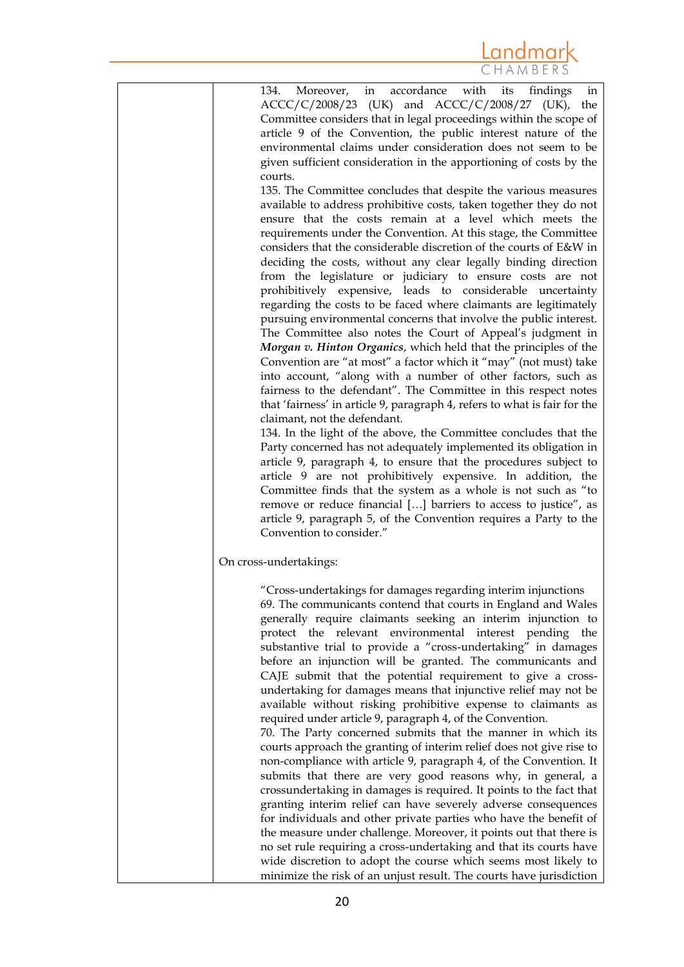| Moreover, in accordance with its findings<br>134.<br>in<br>ACCC/C/2008/23 (UK) and ACCC/C/2008/27 (UK), the<br>Committee considers that in legal proceedings within the scope of<br>article 9 of the Convention, the public interest nature of the<br>environmental claims under consideration does not seem to be |
|--------------------------------------------------------------------------------------------------------------------------------------------------------------------------------------------------------------------------------------------------------------------------------------------------------------------|
| given sufficient consideration in the apportioning of costs by the<br>courts.                                                                                                                                                                                                                                      |
| 135. The Committee concludes that despite the various measures<br>available to address prohibitive costs, taken together they do not                                                                                                                                                                               |
| ensure that the costs remain at a level which meets the<br>requirements under the Convention. At this stage, the Committee                                                                                                                                                                                         |
| considers that the considerable discretion of the courts of E&W in<br>deciding the costs, without any clear legally binding direction<br>from the legislature or judiciary to ensure costs are not                                                                                                                 |
| prohibitively expensive, leads to considerable uncertainty<br>regarding the costs to be faced where claimants are legitimately                                                                                                                                                                                     |
| pursuing environmental concerns that involve the public interest.<br>The Committee also notes the Court of Appeal's judgment in                                                                                                                                                                                    |
| Morgan v. Hinton Organics, which held that the principles of the<br>Convention are "at most" a factor which it "may" (not must) take<br>into account, "along with a number of other factors, such as                                                                                                               |
| fairness to the defendant". The Committee in this respect notes<br>that 'fairness' in article 9, paragraph 4, refers to what is fair for the                                                                                                                                                                       |
| claimant, not the defendant.<br>134. In the light of the above, the Committee concludes that the<br>Party concerned has not adequately implemented its obligation in                                                                                                                                               |
| article 9, paragraph 4, to ensure that the procedures subject to<br>article 9 are not prohibitively expensive. In addition, the                                                                                                                                                                                    |
| Committee finds that the system as a whole is not such as "to<br>remove or reduce financial [] barriers to access to justice", as                                                                                                                                                                                  |
| article 9, paragraph 5, of the Convention requires a Party to the<br>Convention to consider."                                                                                                                                                                                                                      |
| On cross-undertakings:                                                                                                                                                                                                                                                                                             |
| "Cross-undertakings for damages regarding interim injunctions<br>69. The communicants contend that courts in England and Wales<br>generally require claimants seeking an interim injunction to<br>protect the relevant environmental interest pending the                                                          |
| substantive trial to provide a "cross-undertaking" in damages<br>before an injunction will be granted. The communicants and<br>CAJE submit that the potential requirement to give a cross-                                                                                                                         |
| undertaking for damages means that injunctive relief may not be<br>available without risking prohibitive expense to claimants as                                                                                                                                                                                   |
| required under article 9, paragraph 4, of the Convention.<br>70. The Party concerned submits that the manner in which its<br>courts approach the granting of interim relief does not give rise to                                                                                                                  |
| non-compliance with article 9, paragraph 4, of the Convention. It<br>submits that there are very good reasons why, in general, a                                                                                                                                                                                   |
| crossundertaking in damages is required. It points to the fact that<br>granting interim relief can have severely adverse consequences<br>for individuals and other private parties who have the benefit of                                                                                                         |
| the measure under challenge. Moreover, it points out that there is<br>no set rule requiring a cross-undertaking and that its courts have                                                                                                                                                                           |
| wide discretion to adopt the course which seems most likely to<br>minimize the risk of an unjust result. The courts have jurisdiction                                                                                                                                                                              |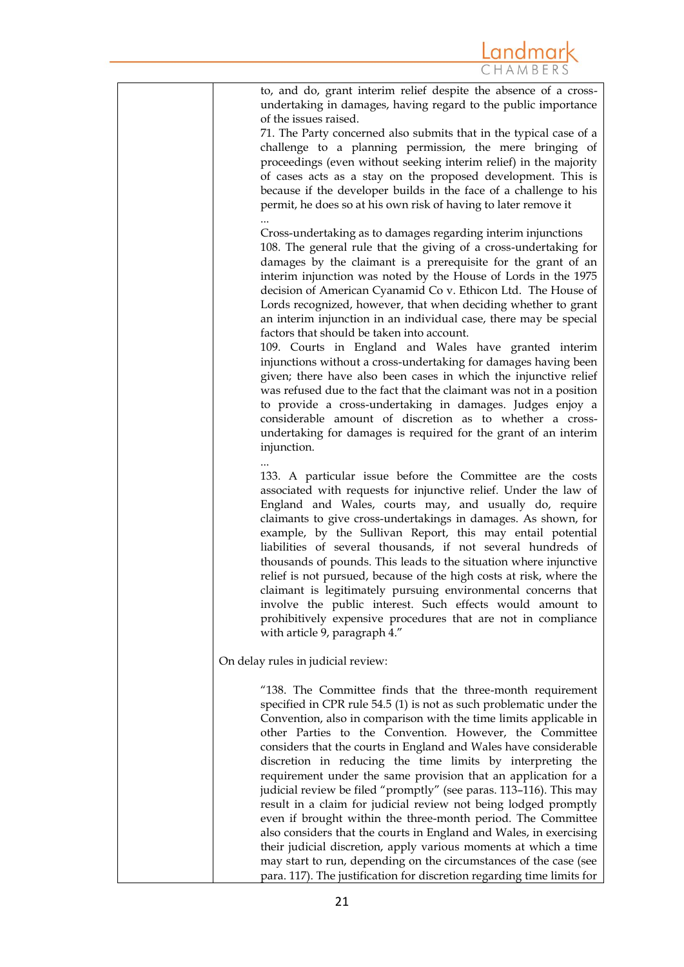| <b>Landmark</b><br>CHAMBERS                                                                                                                                                                                                                                                                                                                                                                                                                                                                                                                                                                                                                                                                                                                                                                                                                                                                                                                                                                                  |
|--------------------------------------------------------------------------------------------------------------------------------------------------------------------------------------------------------------------------------------------------------------------------------------------------------------------------------------------------------------------------------------------------------------------------------------------------------------------------------------------------------------------------------------------------------------------------------------------------------------------------------------------------------------------------------------------------------------------------------------------------------------------------------------------------------------------------------------------------------------------------------------------------------------------------------------------------------------------------------------------------------------|
| to, and do, grant interim relief despite the absence of a cross-<br>undertaking in damages, having regard to the public importance<br>of the issues raised.                                                                                                                                                                                                                                                                                                                                                                                                                                                                                                                                                                                                                                                                                                                                                                                                                                                  |
| 71. The Party concerned also submits that in the typical case of a<br>challenge to a planning permission, the mere bringing of<br>proceedings (even without seeking interim relief) in the majority<br>of cases acts as a stay on the proposed development. This is<br>because if the developer builds in the face of a challenge to his<br>permit, he does so at his own risk of having to later remove it                                                                                                                                                                                                                                                                                                                                                                                                                                                                                                                                                                                                  |
| Cross-undertaking as to damages regarding interim injunctions<br>108. The general rule that the giving of a cross-undertaking for<br>damages by the claimant is a prerequisite for the grant of an<br>interim injunction was noted by the House of Lords in the 1975<br>decision of American Cyanamid Co v. Ethicon Ltd. The House of<br>Lords recognized, however, that when deciding whether to grant<br>an interim injunction in an individual case, there may be special<br>factors that should be taken into account.<br>109. Courts in England and Wales have granted interim<br>injunctions without a cross-undertaking for damages having been<br>given; there have also been cases in which the injunctive relief<br>was refused due to the fact that the claimant was not in a position<br>to provide a cross-undertaking in damages. Judges enjoy a<br>considerable amount of discretion as to whether a cross-<br>undertaking for damages is required for the grant of an interim<br>injunction. |
| 133. A particular issue before the Committee are the costs<br>associated with requests for injunctive relief. Under the law of<br>England and Wales, courts may, and usually do, require<br>claimants to give cross-undertakings in damages. As shown, for<br>example, by the Sullivan Report, this may entail potential<br>liabilities of several thousands, if not several hundreds of<br>thousands of pounds. This leads to the situation where injunctive<br>relief is not pursued, because of the high costs at risk, where the<br>claimant is legitimately pursuing environmental concerns that<br>involve the public interest. Such effects would amount to<br>prohibitively expensive procedures that are not in compliance<br>with article 9, paragraph 4."                                                                                                                                                                                                                                         |
| On delay rules in judicial review:                                                                                                                                                                                                                                                                                                                                                                                                                                                                                                                                                                                                                                                                                                                                                                                                                                                                                                                                                                           |
| "138. The Committee finds that the three-month requirement<br>specified in CPR rule $54.5$ (1) is not as such problematic under the<br>Convention, also in comparison with the time limits applicable in<br>other Parties to the Convention. However, the Committee<br>considers that the courts in England and Wales have considerable<br>discretion in reducing the time limits by interpreting the<br>requirement under the same provision that an application for a<br>judicial review be filed "promptly" (see paras. 113-116). This may<br>result in a claim for judicial review not being lodged promptly<br>even if brought within the three-month period. The Committee<br>also considers that the courts in England and Wales, in exercising<br>their judicial discretion, apply various moments at which a time                                                                                                                                                                                   |
| may start to run, depending on the circumstances of the case (see<br>para. 117). The justification for discretion regarding time limits for                                                                                                                                                                                                                                                                                                                                                                                                                                                                                                                                                                                                                                                                                                                                                                                                                                                                  |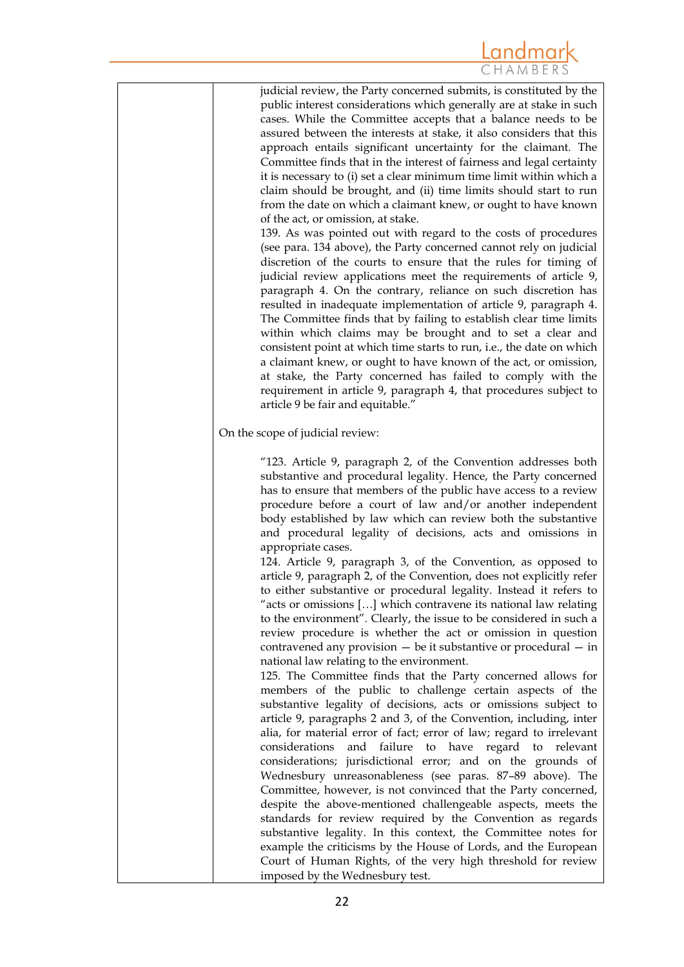judicial review, the Party concerned submits, is constituted by the public interest considerations which generally are at stake in such cases. While the Committee accepts that a balance needs to be assured between the interests at stake, it also considers that this approach entails significant uncertainty for the claimant. The Committee finds that in the interest of fairness and legal certainty it is necessary to (i) set a clear minimum time limit within which a claim should be brought, and (ii) time limits should start to run from the date on which a claimant knew, or ought to have known of the act, or omission, at stake.

139. As was pointed out with regard to the costs of procedures (see para. 134 above), the Party concerned cannot rely on judicial discretion of the courts to ensure that the rules for timing of judicial review applications meet the requirements of article 9, paragraph 4. On the contrary, reliance on such discretion has resulted in inadequate implementation of article 9, paragraph 4. The Committee finds that by failing to establish clear time limits within which claims may be brought and to set a clear and consistent point at which time starts to run, i.e., the date on which a claimant knew, or ought to have known of the act, or omission, at stake, the Party concerned has failed to comply with the requirement in article 9, paragraph 4, that procedures subject to article 9 be fair and equitable."

On the scope of judicial review:

"123. Article 9, paragraph 2, of the Convention addresses both substantive and procedural legality. Hence, the Party concerned has to ensure that members of the public have access to a review procedure before a court of law and/or another independent body established by law which can review both the substantive and procedural legality of decisions, acts and omissions in appropriate cases.

124. Article 9, paragraph 3, of the Convention, as opposed to article 9, paragraph 2, of the Convention, does not explicitly refer to either substantive or procedural legality. Instead it refers to "acts or omissions […] which contravene its national law relating to the environment". Clearly, the issue to be considered in such a review procedure is whether the act or omission in question contravened any provision — be it substantive or procedural — in national law relating to the environment.

125. The Committee finds that the Party concerned allows for members of the public to challenge certain aspects of the substantive legality of decisions, acts or omissions subject to article 9, paragraphs 2 and 3, of the Convention, including, inter alia, for material error of fact; error of law; regard to irrelevant considerations and failure to have regard to relevant considerations; jurisdictional error; and on the grounds of Wednesbury unreasonableness (see paras. 87–89 above). The Committee, however, is not convinced that the Party concerned, despite the above-mentioned challengeable aspects, meets the standards for review required by the Convention as regards substantive legality. In this context, the Committee notes for example the criticisms by the House of Lords, and the European Court of Human Rights, of the very high threshold for review imposed by the Wednesbury test.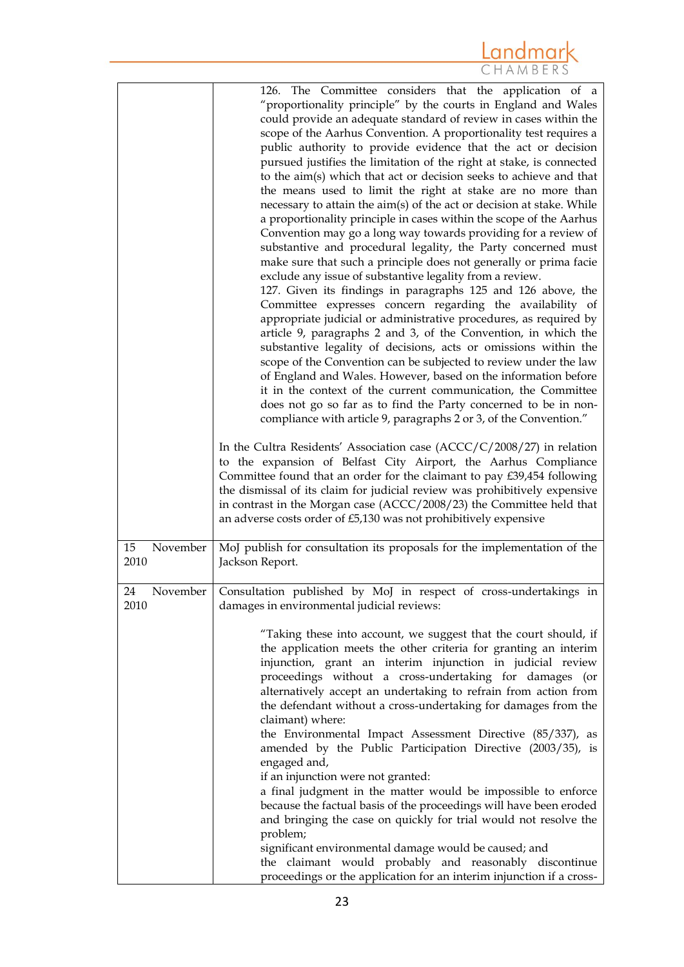|                        | 126. The Committee considers that the application of a<br>"proportionality principle" by the courts in England and Wales<br>could provide an adequate standard of review in cases within the<br>scope of the Aarhus Convention. A proportionality test requires a<br>public authority to provide evidence that the act or decision<br>pursued justifies the limitation of the right at stake, is connected<br>to the aim(s) which that act or decision seeks to achieve and that<br>the means used to limit the right at stake are no more than<br>necessary to attain the aim(s) of the act or decision at stake. While<br>a proportionality principle in cases within the scope of the Aarhus<br>Convention may go a long way towards providing for a review of<br>substantive and procedural legality, the Party concerned must<br>make sure that such a principle does not generally or prima facie<br>exclude any issue of substantive legality from a review.<br>127. Given its findings in paragraphs 125 and 126 above, the<br>Committee expresses concern regarding the availability of<br>appropriate judicial or administrative procedures, as required by<br>article 9, paragraphs 2 and 3, of the Convention, in which the<br>substantive legality of decisions, acts or omissions within the<br>scope of the Convention can be subjected to review under the law<br>of England and Wales. However, based on the information before<br>it in the context of the current communication, the Committee<br>does not go so far as to find the Party concerned to be in non-<br>compliance with article 9, paragraphs 2 or 3, of the Convention."<br>In the Cultra Residents' Association case $(ACCC/C/2008/27)$ in relation<br>to the expansion of Belfast City Airport, the Aarhus Compliance<br>Committee found that an order for the claimant to pay £39,454 following<br>the dismissal of its claim for judicial review was prohibitively expensive<br>in contrast in the Morgan case (ACCC/2008/23) the Committee held that<br>an adverse costs order of £5,130 was not prohibitively expensive |
|------------------------|----------------------------------------------------------------------------------------------------------------------------------------------------------------------------------------------------------------------------------------------------------------------------------------------------------------------------------------------------------------------------------------------------------------------------------------------------------------------------------------------------------------------------------------------------------------------------------------------------------------------------------------------------------------------------------------------------------------------------------------------------------------------------------------------------------------------------------------------------------------------------------------------------------------------------------------------------------------------------------------------------------------------------------------------------------------------------------------------------------------------------------------------------------------------------------------------------------------------------------------------------------------------------------------------------------------------------------------------------------------------------------------------------------------------------------------------------------------------------------------------------------------------------------------------------------------------------------------------------------------------------------------------------------------------------------------------------------------------------------------------------------------------------------------------------------------------------------------------------------------------------------------------------------------------------------------------------------------------------------------------------------------------------------------------------------------------------------------------------------------|
|                        |                                                                                                                                                                                                                                                                                                                                                                                                                                                                                                                                                                                                                                                                                                                                                                                                                                                                                                                                                                                                                                                                                                                                                                                                                                                                                                                                                                                                                                                                                                                                                                                                                                                                                                                                                                                                                                                                                                                                                                                                                                                                                                                |
| November<br>15<br>2010 | MoJ publish for consultation its proposals for the implementation of the<br>Jackson Report.                                                                                                                                                                                                                                                                                                                                                                                                                                                                                                                                                                                                                                                                                                                                                                                                                                                                                                                                                                                                                                                                                                                                                                                                                                                                                                                                                                                                                                                                                                                                                                                                                                                                                                                                                                                                                                                                                                                                                                                                                    |
| 24<br>2010             | November   Consultation published by MoJ in respect of cross-undertakings in<br>damages in environmental judicial reviews:                                                                                                                                                                                                                                                                                                                                                                                                                                                                                                                                                                                                                                                                                                                                                                                                                                                                                                                                                                                                                                                                                                                                                                                                                                                                                                                                                                                                                                                                                                                                                                                                                                                                                                                                                                                                                                                                                                                                                                                     |
|                        | "Taking these into account, we suggest that the court should, if<br>the application meets the other criteria for granting an interim<br>injunction, grant an interim injunction in judicial review<br>proceedings without a cross-undertaking for damages (or<br>alternatively accept an undertaking to refrain from action from<br>the defendant without a cross-undertaking for damages from the<br>claimant) where:<br>the Environmental Impact Assessment Directive (85/337), as<br>amended by the Public Participation Directive (2003/35), is<br>engaged and,<br>if an injunction were not granted:<br>a final judgment in the matter would be impossible to enforce<br>because the factual basis of the proceedings will have been eroded<br>and bringing the case on quickly for trial would not resolve the<br>problem;<br>significant environmental damage would be caused; and<br>the claimant would probably and reasonably discontinue<br>proceedings or the application for an interim injunction if a cross-                                                                                                                                                                                                                                                                                                                                                                                                                                                                                                                                                                                                                                                                                                                                                                                                                                                                                                                                                                                                                                                                                    |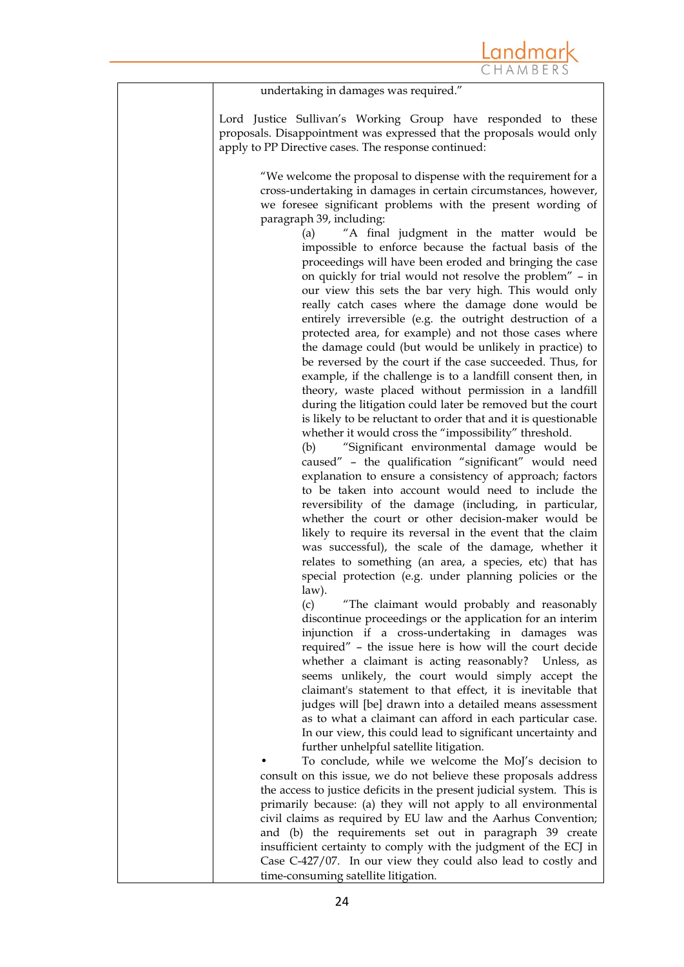| <b>Landmark</b>                                                                                                                                                                                                                                                                                                                                                                                                                                                                                                                                                                                                                                                                                                                                                                                                                                                                                                                                                                                                                                                                                                                                                                                                                                                                                                                                                                                                                                                                                                                                                                                                                                                                                                                                                                                                                                                                                                                                                                                                                                                                                                                                                                                                                                                                                                                                                                                                                                                                                                                                                                                                                                                                                                                            |
|--------------------------------------------------------------------------------------------------------------------------------------------------------------------------------------------------------------------------------------------------------------------------------------------------------------------------------------------------------------------------------------------------------------------------------------------------------------------------------------------------------------------------------------------------------------------------------------------------------------------------------------------------------------------------------------------------------------------------------------------------------------------------------------------------------------------------------------------------------------------------------------------------------------------------------------------------------------------------------------------------------------------------------------------------------------------------------------------------------------------------------------------------------------------------------------------------------------------------------------------------------------------------------------------------------------------------------------------------------------------------------------------------------------------------------------------------------------------------------------------------------------------------------------------------------------------------------------------------------------------------------------------------------------------------------------------------------------------------------------------------------------------------------------------------------------------------------------------------------------------------------------------------------------------------------------------------------------------------------------------------------------------------------------------------------------------------------------------------------------------------------------------------------------------------------------------------------------------------------------------------------------------------------------------------------------------------------------------------------------------------------------------------------------------------------------------------------------------------------------------------------------------------------------------------------------------------------------------------------------------------------------------------------------------------------------------------------------------------------------------|
| undertaking in damages was required."                                                                                                                                                                                                                                                                                                                                                                                                                                                                                                                                                                                                                                                                                                                                                                                                                                                                                                                                                                                                                                                                                                                                                                                                                                                                                                                                                                                                                                                                                                                                                                                                                                                                                                                                                                                                                                                                                                                                                                                                                                                                                                                                                                                                                                                                                                                                                                                                                                                                                                                                                                                                                                                                                                      |
| Lord Justice Sullivan's Working Group have responded to these<br>proposals. Disappointment was expressed that the proposals would only<br>apply to PP Directive cases. The response continued:                                                                                                                                                                                                                                                                                                                                                                                                                                                                                                                                                                                                                                                                                                                                                                                                                                                                                                                                                                                                                                                                                                                                                                                                                                                                                                                                                                                                                                                                                                                                                                                                                                                                                                                                                                                                                                                                                                                                                                                                                                                                                                                                                                                                                                                                                                                                                                                                                                                                                                                                             |
| "We welcome the proposal to dispense with the requirement for a<br>cross-undertaking in damages in certain circumstances, however,<br>we foresee significant problems with the present wording of<br>paragraph 39, including:<br>"A final judgment in the matter would be<br>(a)<br>impossible to enforce because the factual basis of the<br>proceedings will have been eroded and bringing the case<br>on quickly for trial would not resolve the problem" - in<br>our view this sets the bar very high. This would only<br>really catch cases where the damage done would be<br>entirely irreversible (e.g. the outright destruction of a<br>protected area, for example) and not those cases where<br>the damage could (but would be unlikely in practice) to<br>be reversed by the court if the case succeeded. Thus, for<br>example, if the challenge is to a landfill consent then, in<br>theory, waste placed without permission in a landfill<br>during the litigation could later be removed but the court<br>is likely to be reluctant to order that and it is questionable<br>whether it would cross the "impossibility" threshold.<br>"Significant environmental damage would be<br>(b)<br>caused" - the qualification "significant" would need<br>explanation to ensure a consistency of approach; factors<br>to be taken into account would need to include the<br>reversibility of the damage (including, in particular,<br>whether the court or other decision-maker would be<br>likely to require its reversal in the event that the claim<br>was successful), the scale of the damage, whether it<br>relates to something (an area, a species, etc) that has<br>special protection (e.g. under planning policies or the<br>law).<br>(c)<br>"The claimant would probably and reasonably<br>discontinue proceedings or the application for an interim<br>injunction if a cross-undertaking in damages was<br>required" - the issue here is how will the court decide<br>whether a claimant is acting reasonably? Unless, as<br>seems unlikely, the court would simply accept the<br>claimant's statement to that effect, it is inevitable that<br>judges will [be] drawn into a detailed means assessment<br>as to what a claimant can afford in each particular case.<br>In our view, this could lead to significant uncertainty and<br>further unhelpful satellite litigation.<br>To conclude, while we welcome the MoJ's decision to<br>consult on this issue, we do not believe these proposals address<br>the access to justice deficits in the present judicial system. This is<br>primarily because: (a) they will not apply to all environmental<br>civil claims as required by EU law and the Aarhus Convention; |
| and (b) the requirements set out in paragraph 39 create                                                                                                                                                                                                                                                                                                                                                                                                                                                                                                                                                                                                                                                                                                                                                                                                                                                                                                                                                                                                                                                                                                                                                                                                                                                                                                                                                                                                                                                                                                                                                                                                                                                                                                                                                                                                                                                                                                                                                                                                                                                                                                                                                                                                                                                                                                                                                                                                                                                                                                                                                                                                                                                                                    |
| insufficient certainty to comply with the judgment of the ECJ in                                                                                                                                                                                                                                                                                                                                                                                                                                                                                                                                                                                                                                                                                                                                                                                                                                                                                                                                                                                                                                                                                                                                                                                                                                                                                                                                                                                                                                                                                                                                                                                                                                                                                                                                                                                                                                                                                                                                                                                                                                                                                                                                                                                                                                                                                                                                                                                                                                                                                                                                                                                                                                                                           |
| Case C-427/07. In our view they could also lead to costly and<br>time-consuming satellite litigation.                                                                                                                                                                                                                                                                                                                                                                                                                                                                                                                                                                                                                                                                                                                                                                                                                                                                                                                                                                                                                                                                                                                                                                                                                                                                                                                                                                                                                                                                                                                                                                                                                                                                                                                                                                                                                                                                                                                                                                                                                                                                                                                                                                                                                                                                                                                                                                                                                                                                                                                                                                                                                                      |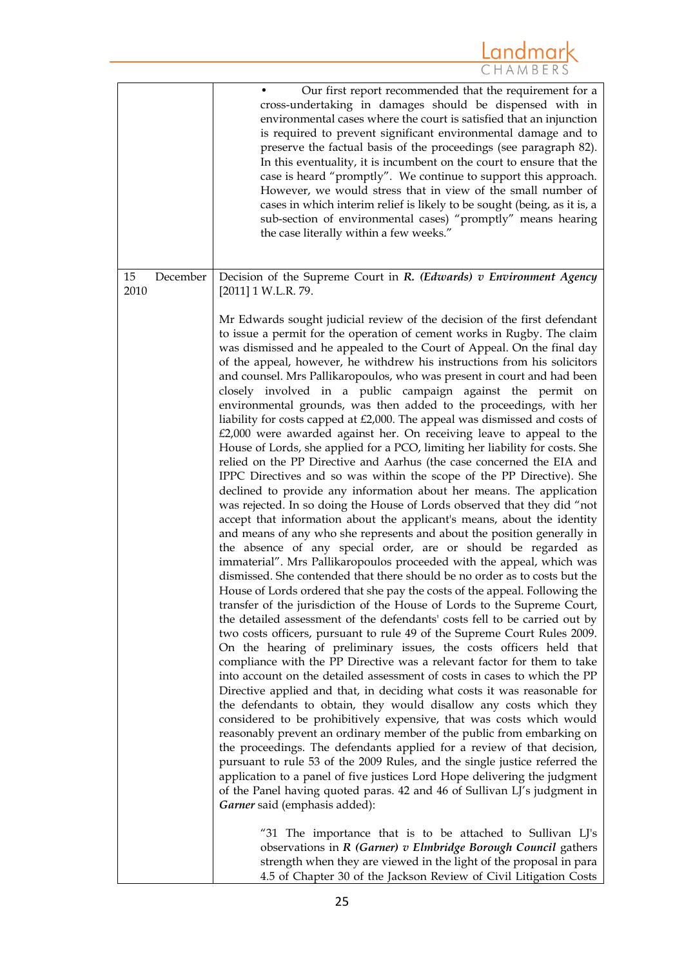|                        | <b>Landmark</b><br>CHAMBERS                                                                                                                                                                                                                                                                                                                                                                                                                                                                                                                                                                                                                                                                                                                                                                                                                                                                                                                                                                                                                                                                                                                                                                                                                                                                                                                                                                                                                                                                                                                                                                                                                                                                                                                                                                                                                                                                                                                                                                                                                                                                                                                                                                                                                                                                                                                                                                                                                                                                                                                                                                                                                                                                                                                                                                  |
|------------------------|----------------------------------------------------------------------------------------------------------------------------------------------------------------------------------------------------------------------------------------------------------------------------------------------------------------------------------------------------------------------------------------------------------------------------------------------------------------------------------------------------------------------------------------------------------------------------------------------------------------------------------------------------------------------------------------------------------------------------------------------------------------------------------------------------------------------------------------------------------------------------------------------------------------------------------------------------------------------------------------------------------------------------------------------------------------------------------------------------------------------------------------------------------------------------------------------------------------------------------------------------------------------------------------------------------------------------------------------------------------------------------------------------------------------------------------------------------------------------------------------------------------------------------------------------------------------------------------------------------------------------------------------------------------------------------------------------------------------------------------------------------------------------------------------------------------------------------------------------------------------------------------------------------------------------------------------------------------------------------------------------------------------------------------------------------------------------------------------------------------------------------------------------------------------------------------------------------------------------------------------------------------------------------------------------------------------------------------------------------------------------------------------------------------------------------------------------------------------------------------------------------------------------------------------------------------------------------------------------------------------------------------------------------------------------------------------------------------------------------------------------------------------------------------------|
|                        | Our first report recommended that the requirement for a<br>cross-undertaking in damages should be dispensed with in<br>environmental cases where the court is satisfied that an injunction<br>is required to prevent significant environmental damage and to<br>preserve the factual basis of the proceedings (see paragraph 82).<br>In this eventuality, it is incumbent on the court to ensure that the<br>case is heard "promptly". We continue to support this approach.<br>However, we would stress that in view of the small number of<br>cases in which interim relief is likely to be sought (being, as it is, a<br>sub-section of environmental cases) "promptly" means hearing<br>the case literally within a few weeks."                                                                                                                                                                                                                                                                                                                                                                                                                                                                                                                                                                                                                                                                                                                                                                                                                                                                                                                                                                                                                                                                                                                                                                                                                                                                                                                                                                                                                                                                                                                                                                                                                                                                                                                                                                                                                                                                                                                                                                                                                                                          |
| December<br>15<br>2010 | Decision of the Supreme Court in R. (Edwards) $v$ Environment Agency<br>[2011] 1 W.L.R. 79.                                                                                                                                                                                                                                                                                                                                                                                                                                                                                                                                                                                                                                                                                                                                                                                                                                                                                                                                                                                                                                                                                                                                                                                                                                                                                                                                                                                                                                                                                                                                                                                                                                                                                                                                                                                                                                                                                                                                                                                                                                                                                                                                                                                                                                                                                                                                                                                                                                                                                                                                                                                                                                                                                                  |
|                        | Mr Edwards sought judicial review of the decision of the first defendant<br>to issue a permit for the operation of cement works in Rugby. The claim<br>was dismissed and he appealed to the Court of Appeal. On the final day<br>of the appeal, however, he withdrew his instructions from his solicitors<br>and counsel. Mrs Pallikaropoulos, who was present in court and had been<br>closely involved in a public campaign against the permit on<br>environmental grounds, was then added to the proceedings, with her<br>liability for costs capped at £2,000. The appeal was dismissed and costs of<br>£2,000 were awarded against her. On receiving leave to appeal to the<br>House of Lords, she applied for a PCO, limiting her liability for costs. She<br>relied on the PP Directive and Aarhus (the case concerned the EIA and<br>IPPC Directives and so was within the scope of the PP Directive). She<br>declined to provide any information about her means. The application<br>was rejected. In so doing the House of Lords observed that they did "not<br>accept that information about the applicant's means, about the identity<br>and means of any who she represents and about the position generally in<br>the absence of any special order, are or should be regarded as<br>immaterial". Mrs Pallikaropoulos proceeded with the appeal, which was<br>dismissed. She contended that there should be no order as to costs but the<br>House of Lords ordered that she pay the costs of the appeal. Following the<br>transfer of the jurisdiction of the House of Lords to the Supreme Court,<br>the detailed assessment of the defendants' costs fell to be carried out by<br>two costs officers, pursuant to rule 49 of the Supreme Court Rules 2009.<br>On the hearing of preliminary issues, the costs officers held that<br>compliance with the PP Directive was a relevant factor for them to take<br>into account on the detailed assessment of costs in cases to which the PP<br>Directive applied and that, in deciding what costs it was reasonable for<br>the defendants to obtain, they would disallow any costs which they<br>considered to be prohibitively expensive, that was costs which would<br>reasonably prevent an ordinary member of the public from embarking on<br>the proceedings. The defendants applied for a review of that decision,<br>pursuant to rule 53 of the 2009 Rules, and the single justice referred the<br>application to a panel of five justices Lord Hope delivering the judgment<br>of the Panel having quoted paras. 42 and 46 of Sullivan LJ's judgment in<br>Garner said (emphasis added):<br>"31 The importance that is to be attached to Sullivan LJ's<br>observations in R (Garner) v Elmbridge Borough Council gathers |
|                        | strength when they are viewed in the light of the proposal in para<br>4.5 of Chapter 30 of the Jackson Review of Civil Litigation Costs                                                                                                                                                                                                                                                                                                                                                                                                                                                                                                                                                                                                                                                                                                                                                                                                                                                                                                                                                                                                                                                                                                                                                                                                                                                                                                                                                                                                                                                                                                                                                                                                                                                                                                                                                                                                                                                                                                                                                                                                                                                                                                                                                                                                                                                                                                                                                                                                                                                                                                                                                                                                                                                      |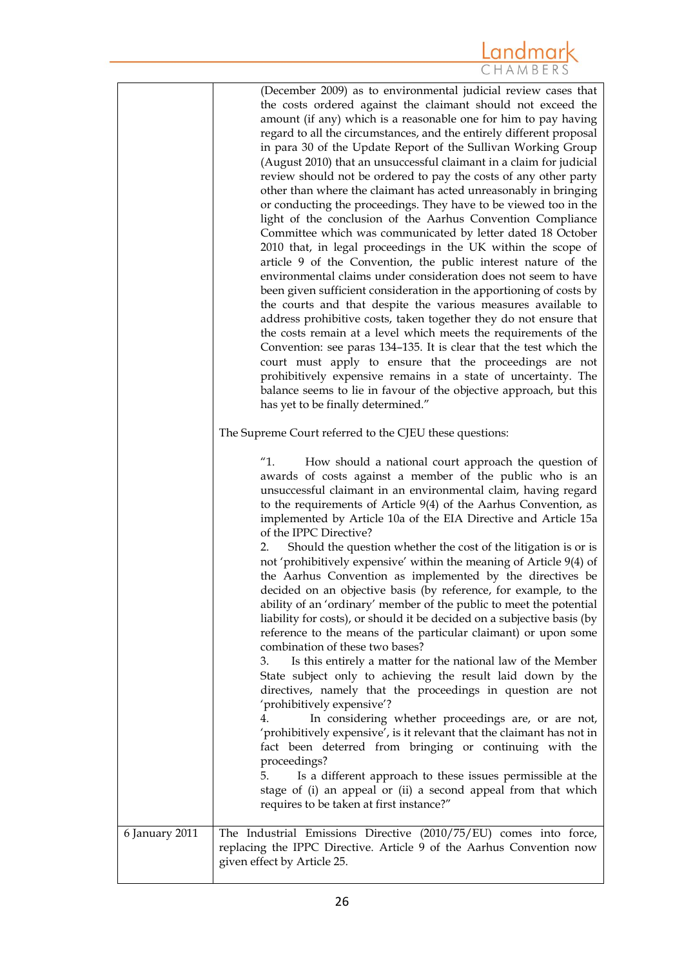|                | (December 2009) as to environmental judicial review cases that<br>the costs ordered against the claimant should not exceed the<br>amount (if any) which is a reasonable one for him to pay having<br>regard to all the circumstances, and the entirely different proposal<br>in para 30 of the Update Report of the Sullivan Working Group<br>(August 2010) that an unsuccessful claimant in a claim for judicial<br>review should not be ordered to pay the costs of any other party<br>other than where the claimant has acted unreasonably in bringing<br>or conducting the proceedings. They have to be viewed too in the<br>light of the conclusion of the Aarhus Convention Compliance<br>Committee which was communicated by letter dated 18 October<br>2010 that, in legal proceedings in the UK within the scope of<br>article 9 of the Convention, the public interest nature of the<br>environmental claims under consideration does not seem to have<br>been given sufficient consideration in the apportioning of costs by<br>the courts and that despite the various measures available to<br>address prohibitive costs, taken together they do not ensure that<br>the costs remain at a level which meets the requirements of the<br>Convention: see paras 134-135. It is clear that the test which the<br>court must apply to ensure that the proceedings are not<br>prohibitively expensive remains in a state of uncertainty. The<br>balance seems to lie in favour of the objective approach, but this<br>has yet to be finally determined."<br>The Supreme Court referred to the CJEU these questions:<br>"1.<br>How should a national court approach the question of<br>awards of costs against a member of the public who is an<br>unsuccessful claimant in an environmental claim, having regard<br>to the requirements of Article $9(4)$ of the Aarhus Convention, as<br>implemented by Article 10a of the EIA Directive and Article 15a<br>of the IPPC Directive?<br>Should the question whether the cost of the litigation is or is<br>2.<br>not 'prohibitively expensive' within the meaning of Article 9(4) of<br>the Aarhus Convention as implemented by the directives be<br>decided on an objective basis (by reference, for example, to the<br>ability of an 'ordinary' member of the public to meet the potential<br>liability for costs), or should it be decided on a subjective basis (by<br>reference to the means of the particular claimant) or upon some<br>combination of these two bases?<br>3.<br>Is this entirely a matter for the national law of the Member<br>State subject only to achieving the result laid down by the |
|----------------|--------------------------------------------------------------------------------------------------------------------------------------------------------------------------------------------------------------------------------------------------------------------------------------------------------------------------------------------------------------------------------------------------------------------------------------------------------------------------------------------------------------------------------------------------------------------------------------------------------------------------------------------------------------------------------------------------------------------------------------------------------------------------------------------------------------------------------------------------------------------------------------------------------------------------------------------------------------------------------------------------------------------------------------------------------------------------------------------------------------------------------------------------------------------------------------------------------------------------------------------------------------------------------------------------------------------------------------------------------------------------------------------------------------------------------------------------------------------------------------------------------------------------------------------------------------------------------------------------------------------------------------------------------------------------------------------------------------------------------------------------------------------------------------------------------------------------------------------------------------------------------------------------------------------------------------------------------------------------------------------------------------------------------------------------------------------------------------------------------------------------------------------------------------------------------------------------------------------------------------------------------------------------------------------------------------------------------------------------------------------------------------------------------------------------------------------------------------------------------------------------------------------------------------------------------------------------------------------------------------------------------------------------------------------------|
|                | directives, namely that the proceedings in question are not<br>'prohibitively expensive'?                                                                                                                                                                                                                                                                                                                                                                                                                                                                                                                                                                                                                                                                                                                                                                                                                                                                                                                                                                                                                                                                                                                                                                                                                                                                                                                                                                                                                                                                                                                                                                                                                                                                                                                                                                                                                                                                                                                                                                                                                                                                                                                                                                                                                                                                                                                                                                                                                                                                                                                                                                                |
|                | In considering whether proceedings are, or are not,<br>4.<br>'prohibitively expensive', is it relevant that the claimant has not in<br>fact been deterred from bringing or continuing with the<br>proceedings?<br>5.<br>Is a different approach to these issues permissible at the<br>stage of (i) an appeal or (ii) a second appeal from that which<br>requires to be taken at first instance?"                                                                                                                                                                                                                                                                                                                                                                                                                                                                                                                                                                                                                                                                                                                                                                                                                                                                                                                                                                                                                                                                                                                                                                                                                                                                                                                                                                                                                                                                                                                                                                                                                                                                                                                                                                                                                                                                                                                                                                                                                                                                                                                                                                                                                                                                         |
| 6 January 2011 | The Industrial Emissions Directive (2010/75/EU) comes into force,<br>replacing the IPPC Directive. Article 9 of the Aarhus Convention now<br>given effect by Article 25.                                                                                                                                                                                                                                                                                                                                                                                                                                                                                                                                                                                                                                                                                                                                                                                                                                                                                                                                                                                                                                                                                                                                                                                                                                                                                                                                                                                                                                                                                                                                                                                                                                                                                                                                                                                                                                                                                                                                                                                                                                                                                                                                                                                                                                                                                                                                                                                                                                                                                                 |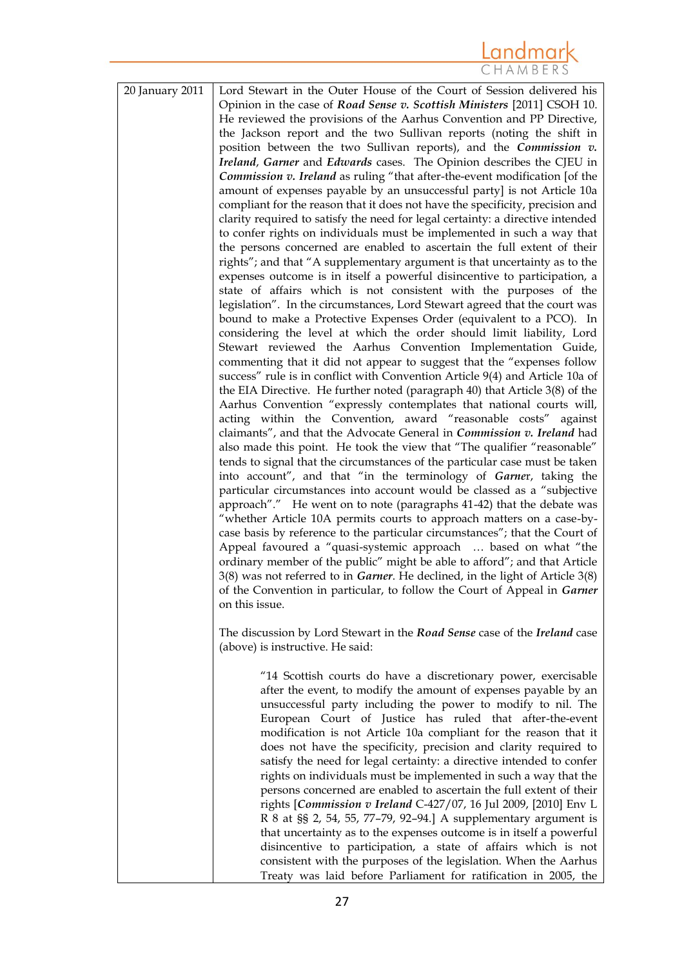| 20 January 2011 | Lord Stewart in the Outer House of the Court of Session delivered his<br>Opinion in the case of Road Sense v. Scottish Ministers [2011] CSOH 10.<br>He reviewed the provisions of the Aarhus Convention and PP Directive,<br>the Jackson report and the two Sullivan reports (noting the shift in<br>position between the two Sullivan reports), and the <i>Commission <math>v</math></i> .<br>Ireland, Garner and Edwards cases. The Opinion describes the CJEU in<br>Commission v. Ireland as ruling "that after-the-event modification [of the<br>amount of expenses payable by an unsuccessful party] is not Article 10a<br>compliant for the reason that it does not have the specificity, precision and<br>clarity required to satisfy the need for legal certainty: a directive intended<br>to confer rights on individuals must be implemented in such a way that<br>the persons concerned are enabled to ascertain the full extent of their<br>rights"; and that "A supplementary argument is that uncertainty as to the<br>expenses outcome is in itself a powerful disincentive to participation, a<br>state of affairs which is not consistent with the purposes of the<br>legislation". In the circumstances, Lord Stewart agreed that the court was<br>bound to make a Protective Expenses Order (equivalent to a PCO). In<br>considering the level at which the order should limit liability, Lord<br>Stewart reviewed the Aarhus Convention Implementation Guide,<br>commenting that it did not appear to suggest that the "expenses follow<br>success" rule is in conflict with Convention Article 9(4) and Article 10a of<br>the EIA Directive. He further noted (paragraph 40) that Article 3(8) of the<br>Aarhus Convention "expressly contemplates that national courts will,<br>acting within the Convention, award "reasonable costs" against<br>claimants", and that the Advocate General in Commission v. Ireland had<br>also made this point. He took the view that "The qualifier "reasonable"<br>tends to signal that the circumstances of the particular case must be taken<br>into account", and that "in the terminology of Garner, taking the<br>particular circumstances into account would be classed as a "subjective<br>approach"." He went on to note (paragraphs 41-42) that the debate was<br>"whether Article 10A permits courts to approach matters on a case-by-<br>case basis by reference to the particular circumstances"; that the Court of<br>Appeal favoured a "quasi-systemic approach  based on what "the<br>ordinary member of the public" might be able to afford"; and that Article<br>3(8) was not referred to in Garner. He declined, in the light of Article 3(8)<br>of the Convention in particular, to follow the Court of Appeal in Garner<br>on this issue. |
|-----------------|-------------------------------------------------------------------------------------------------------------------------------------------------------------------------------------------------------------------------------------------------------------------------------------------------------------------------------------------------------------------------------------------------------------------------------------------------------------------------------------------------------------------------------------------------------------------------------------------------------------------------------------------------------------------------------------------------------------------------------------------------------------------------------------------------------------------------------------------------------------------------------------------------------------------------------------------------------------------------------------------------------------------------------------------------------------------------------------------------------------------------------------------------------------------------------------------------------------------------------------------------------------------------------------------------------------------------------------------------------------------------------------------------------------------------------------------------------------------------------------------------------------------------------------------------------------------------------------------------------------------------------------------------------------------------------------------------------------------------------------------------------------------------------------------------------------------------------------------------------------------------------------------------------------------------------------------------------------------------------------------------------------------------------------------------------------------------------------------------------------------------------------------------------------------------------------------------------------------------------------------------------------------------------------------------------------------------------------------------------------------------------------------------------------------------------------------------------------------------------------------------------------------------------------------------------------------------------------------------------------------------------------------------------------------------------------------------------------------------------------------------------------------------------------------------------------------------|
|                 | The discussion by Lord Stewart in the Road Sense case of the Ireland case<br>(above) is instructive. He said:                                                                                                                                                                                                                                                                                                                                                                                                                                                                                                                                                                                                                                                                                                                                                                                                                                                                                                                                                                                                                                                                                                                                                                                                                                                                                                                                                                                                                                                                                                                                                                                                                                                                                                                                                                                                                                                                                                                                                                                                                                                                                                                                                                                                                                                                                                                                                                                                                                                                                                                                                                                                                                                                                                           |
|                 | "14 Scottish courts do have a discretionary power, exercisable<br>after the event, to modify the amount of expenses payable by an<br>unsuccessful party including the power to modify to nil. The<br>European Court of Justice has ruled that after-the-event<br>modification is not Article 10a compliant for the reason that it<br>does not have the specificity, precision and clarity required to<br>satisfy the need for legal certainty: a directive intended to confer<br>rights on individuals must be implemented in such a way that the<br>persons concerned are enabled to ascertain the full extent of their<br>rights [Commission v Ireland C-427/07, 16 Jul 2009, [2010] Env L<br>R 8 at §§ 2, 54, 55, 77-79, 92-94.] A supplementary argument is<br>that uncertainty as to the expenses outcome is in itself a powerful<br>disincentive to participation, a state of affairs which is not<br>consistent with the purposes of the legislation. When the Aarhus<br>Treaty was laid before Parliament for ratification in 2005, the                                                                                                                                                                                                                                                                                                                                                                                                                                                                                                                                                                                                                                                                                                                                                                                                                                                                                                                                                                                                                                                                                                                                                                                                                                                                                                                                                                                                                                                                                                                                                                                                                                                                                                                                                                         |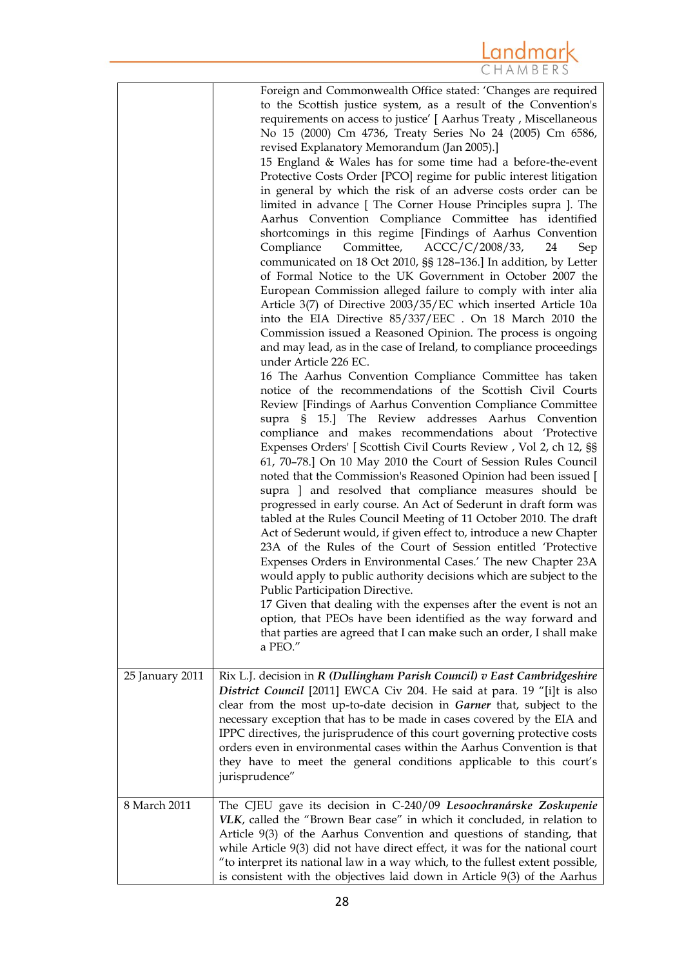|                 | <b>Landmark</b>                                                                                                                                                                                                                                                                                                                                                                                                                                                                                                                                                                                                                                                                                                                                                                                                                                                                                                                                                                                                                                                                                                                                                                                                                                                                                                                                                                                                                                                                                                                                                                                                                                                                                                                                                                                                                                                                                                                                                                                                                                                                                                                                                                                                                                                                                                                                                                                                                                                                                                                     |
|-----------------|-------------------------------------------------------------------------------------------------------------------------------------------------------------------------------------------------------------------------------------------------------------------------------------------------------------------------------------------------------------------------------------------------------------------------------------------------------------------------------------------------------------------------------------------------------------------------------------------------------------------------------------------------------------------------------------------------------------------------------------------------------------------------------------------------------------------------------------------------------------------------------------------------------------------------------------------------------------------------------------------------------------------------------------------------------------------------------------------------------------------------------------------------------------------------------------------------------------------------------------------------------------------------------------------------------------------------------------------------------------------------------------------------------------------------------------------------------------------------------------------------------------------------------------------------------------------------------------------------------------------------------------------------------------------------------------------------------------------------------------------------------------------------------------------------------------------------------------------------------------------------------------------------------------------------------------------------------------------------------------------------------------------------------------------------------------------------------------------------------------------------------------------------------------------------------------------------------------------------------------------------------------------------------------------------------------------------------------------------------------------------------------------------------------------------------------------------------------------------------------------------------------------------------------|
|                 | Foreign and Commonwealth Office stated: 'Changes are required<br>to the Scottish justice system, as a result of the Convention's<br>requirements on access to justice' [ Aarhus Treaty, Miscellaneous<br>No 15 (2000) Cm 4736, Treaty Series No 24 (2005) Cm 6586,<br>revised Explanatory Memorandum (Jan 2005).]<br>15 England & Wales has for some time had a before-the-event<br>Protective Costs Order [PCO] regime for public interest litigation<br>in general by which the risk of an adverse costs order can be<br>limited in advance [ The Corner House Principles supra ]. The<br>Aarhus Convention Compliance Committee has identified<br>shortcomings in this regime [Findings of Aarhus Convention<br>Committee, ACCC/C/2008/33,<br>Compliance<br>24<br>Sep<br>communicated on 18 Oct 2010, §§ 128-136.] In addition, by Letter<br>of Formal Notice to the UK Government in October 2007 the<br>European Commission alleged failure to comply with inter alia<br>Article 3(7) of Directive 2003/35/EC which inserted Article 10a<br>into the EIA Directive 85/337/EEC. On 18 March 2010 the<br>Commission issued a Reasoned Opinion. The process is ongoing<br>and may lead, as in the case of Ireland, to compliance proceedings<br>under Article 226 EC.<br>16 The Aarhus Convention Compliance Committee has taken<br>notice of the recommendations of the Scottish Civil Courts<br>Review [Findings of Aarhus Convention Compliance Committee<br>supra § 15.] The Review addresses Aarhus Convention<br>compliance and makes recommendations about 'Protective<br>Expenses Orders' [ Scottish Civil Courts Review, Vol 2, ch 12, §§<br>61, 70-78.] On 10 May 2010 the Court of Session Rules Council<br>noted that the Commission's Reasoned Opinion had been issued [<br>supra ] and resolved that compliance measures should be<br>progressed in early course. An Act of Sederunt in draft form was<br>tabled at the Rules Council Meeting of 11 October 2010. The draft<br>Act of Sederunt would, if given effect to, introduce a new Chapter<br>23A of the Rules of the Court of Session entitled 'Protective<br>Expenses Orders in Environmental Cases.' The new Chapter 23A<br>would apply to public authority decisions which are subject to the<br>Public Participation Directive.<br>17 Given that dealing with the expenses after the event is not an<br>option, that PEOs have been identified as the way forward and<br>that parties are agreed that I can make such an order, I shall make<br>a PEO." |
| 25 January 2011 | Rix L.J. decision in R (Dullingham Parish Council) v East Cambridgeshire<br>District Council [2011] EWCA Civ 204. He said at para. 19 "[i]t is also<br>clear from the most up-to-date decision in Garner that, subject to the<br>necessary exception that has to be made in cases covered by the EIA and<br>IPPC directives, the jurisprudence of this court governing protective costs<br>orders even in environmental cases within the Aarhus Convention is that<br>they have to meet the general conditions applicable to this court's<br>jurisprudence"                                                                                                                                                                                                                                                                                                                                                                                                                                                                                                                                                                                                                                                                                                                                                                                                                                                                                                                                                                                                                                                                                                                                                                                                                                                                                                                                                                                                                                                                                                                                                                                                                                                                                                                                                                                                                                                                                                                                                                         |
| 8 March 2011    | The CJEU gave its decision in C-240/09 Lesoochranárske Zoskupenie<br>VLK, called the "Brown Bear case" in which it concluded, in relation to<br>Article 9(3) of the Aarhus Convention and questions of standing, that<br>while Article 9(3) did not have direct effect, it was for the national court<br>"to interpret its national law in a way which, to the fullest extent possible,<br>is consistent with the objectives laid down in Article 9(3) of the Aarhus                                                                                                                                                                                                                                                                                                                                                                                                                                                                                                                                                                                                                                                                                                                                                                                                                                                                                                                                                                                                                                                                                                                                                                                                                                                                                                                                                                                                                                                                                                                                                                                                                                                                                                                                                                                                                                                                                                                                                                                                                                                                |

٠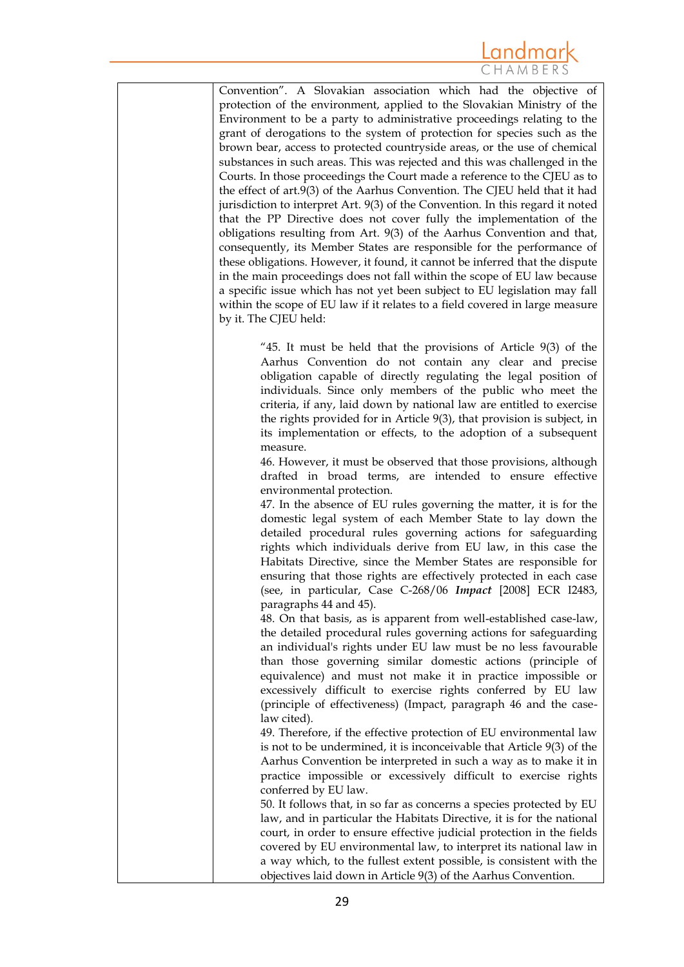Convention". A Slovakian association which had the objective of protection of the environment, applied to the Slovakian Ministry of the Environment to be a party to administrative proceedings relating to the grant of derogations to the system of protection for species such as the brown bear, access to protected countryside areas, or the use of chemical substances in such areas. This was rejected and this was challenged in the Courts. In those proceedings the Court made a reference to the CJEU as to the effect of art.9(3) of the Aarhus Convention. The CJEU held that it had jurisdiction to interpret Art. 9(3) of the Convention. In this regard it noted that the PP Directive does not cover fully the implementation of the obligations resulting from Art. 9(3) of the Aarhus Convention and that, consequently, its Member States are responsible for the performance of these obligations. However, it found, it cannot be inferred that the dispute in the main proceedings does not fall within the scope of EU law because a specific issue which has not yet been subject to EU legislation may fall within the scope of EU law if it relates to a field covered in large measure by it. The CJEU held:

> "45. It must be held that the provisions of Article 9(3) of the Aarhus Convention do not contain any clear and precise obligation capable of directly regulating the legal position of individuals. Since only members of the public who meet the criteria, if any, laid down by national law are entitled to exercise the rights provided for in Article 9(3), that provision is subject, in its implementation or effects, to the adoption of a subsequent measure.

> 46. However, it must be observed that those provisions, although drafted in broad terms, are intended to ensure effective environmental protection.

> 47. In the absence of EU rules governing the matter, it is for the domestic legal system of each Member State to lay down the detailed procedural rules governing actions for safeguarding rights which individuals derive from EU law, in this case the Habitats Directive, since the Member States are responsible for ensuring that those rights are effectively protected in each case (see, in particular, Case C-268/06 *Impact* [2008] ECR I2483, paragraphs 44 and 45).

> 48. On that basis, as is apparent from well-established case-law, the detailed procedural rules governing actions for safeguarding an individual's rights under EU law must be no less favourable than those governing similar domestic actions (principle of equivalence) and must not make it in practice impossible or excessively difficult to exercise rights conferred by EU law (principle of effectiveness) (Impact, paragraph 46 and the caselaw cited).

> 49. Therefore, if the effective protection of EU environmental law is not to be undermined, it is inconceivable that Article 9(3) of the Aarhus Convention be interpreted in such a way as to make it in practice impossible or excessively difficult to exercise rights conferred by EU law.

> 50. It follows that, in so far as concerns a species protected by EU law, and in particular the Habitats Directive, it is for the national court, in order to ensure effective judicial protection in the fields covered by EU environmental law, to interpret its national law in a way which, to the fullest extent possible, is consistent with the objectives laid down in Article 9(3) of the Aarhus Convention.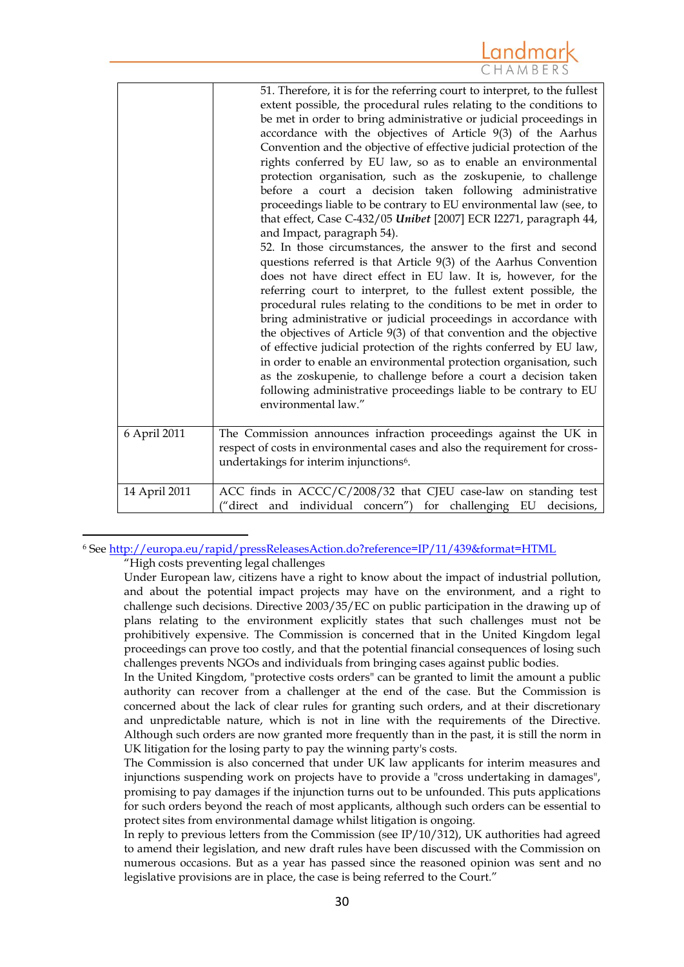|               | CHAMBERS                                                                                                                                                                                                                                                                                                                                                                                                                                                                                                                                                                                                                                                                                                                                                                                                                                                                                                                                                                                                                                                                                                                                                                                                                                                                                                                                                                                                                                                                                                                                   |
|---------------|--------------------------------------------------------------------------------------------------------------------------------------------------------------------------------------------------------------------------------------------------------------------------------------------------------------------------------------------------------------------------------------------------------------------------------------------------------------------------------------------------------------------------------------------------------------------------------------------------------------------------------------------------------------------------------------------------------------------------------------------------------------------------------------------------------------------------------------------------------------------------------------------------------------------------------------------------------------------------------------------------------------------------------------------------------------------------------------------------------------------------------------------------------------------------------------------------------------------------------------------------------------------------------------------------------------------------------------------------------------------------------------------------------------------------------------------------------------------------------------------------------------------------------------------|
|               | 51. Therefore, it is for the referring court to interpret, to the fullest<br>extent possible, the procedural rules relating to the conditions to<br>be met in order to bring administrative or judicial proceedings in<br>accordance with the objectives of Article 9(3) of the Aarhus<br>Convention and the objective of effective judicial protection of the<br>rights conferred by EU law, so as to enable an environmental<br>protection organisation, such as the zoskupenie, to challenge<br>before a court a decision taken following administrative<br>proceedings liable to be contrary to EU environmental law (see, to<br>that effect, Case C-432/05 Unibet [2007] ECR I2271, paragraph 44,<br>and Impact, paragraph 54).<br>52. In those circumstances, the answer to the first and second<br>questions referred is that Article 9(3) of the Aarhus Convention<br>does not have direct effect in EU law. It is, however, for the<br>referring court to interpret, to the fullest extent possible, the<br>procedural rules relating to the conditions to be met in order to<br>bring administrative or judicial proceedings in accordance with<br>the objectives of Article 9(3) of that convention and the objective<br>of effective judicial protection of the rights conferred by EU law,<br>in order to enable an environmental protection organisation, such<br>as the zoskupenie, to challenge before a court a decision taken<br>following administrative proceedings liable to be contrary to EU<br>environmental law." |
| 6 April 2011  | The Commission announces infraction proceedings against the UK in<br>respect of costs in environmental cases and also the requirement for cross-<br>undertakings for interim injunctions <sup>6</sup> .                                                                                                                                                                                                                                                                                                                                                                                                                                                                                                                                                                                                                                                                                                                                                                                                                                                                                                                                                                                                                                                                                                                                                                                                                                                                                                                                    |
| 14 April 2011 | ACC finds in ACCC/C/2008/32 that CJEU case-law on standing test<br>("direct and individual concern") for challenging EU decisions,                                                                                                                                                                                                                                                                                                                                                                                                                                                                                                                                                                                                                                                                                                                                                                                                                                                                                                                                                                                                                                                                                                                                                                                                                                                                                                                                                                                                         |

"High costs preventing legal challenges

In the United Kingdom, "protective costs orders" can be granted to limit the amount a public authority can recover from a challenger at the end of the case. But the Commission is concerned about the lack of clear rules for granting such orders, and at their discretionary and unpredictable nature, which is not in line with the requirements of the Directive. Although such orders are now granted more frequently than in the past, it is still the norm in UK litigation for the losing party to pay the winning party's costs.

In reply to previous letters from the Commission (see IP/10/312), UK authorities had agreed to amend their legislation, and new draft rules have been discussed with the Commission on numerous occasions. But as a year has passed since the reasoned opinion was sent and no legislative provisions are in place, the case is being referred to the Court."

<sup>&</sup>lt;u>.</u> <sup>6</sup> See<http://europa.eu/rapid/pressReleasesAction.do?reference=IP/11/439&format=HTML>

Under European law, citizens have a right to know about the impact of industrial pollution, and about the potential impact projects may have on the environment, and a right to challenge such decisions. Directive 2003/35/EC on public participation in the drawing up of plans relating to the environment explicitly states that such challenges must not be prohibitively expensive. The Commission is concerned that in the United Kingdom legal proceedings can prove too costly, and that the potential financial consequences of losing such challenges prevents NGOs and individuals from bringing cases against public bodies.

The Commission is also concerned that under UK law applicants for interim measures and injunctions suspending work on projects have to provide a "cross undertaking in damages", promising to pay damages if the injunction turns out to be unfounded. This puts applications for such orders beyond the reach of most applicants, although such orders can be essential to protect sites from environmental damage whilst litigation is ongoing.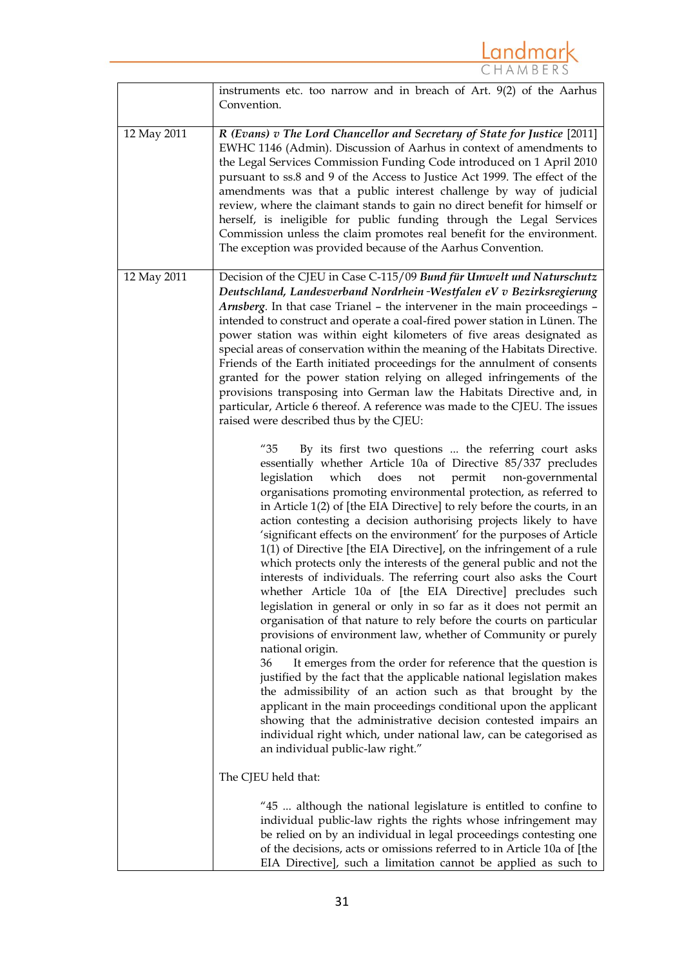instruments etc. too narrow and in breach of Art. 9(2) of the Aarhus Convention. 12 May 2011 *R (Evans) v The Lord Chancellor and Secretary of State for Justice* [2011] EWHC 1146 (Admin). Discussion of Aarhus in context of amendments to the Legal Services Commission Funding Code introduced on 1 April 2010 pursuant to ss.8 and 9 of the Access to Justice Act 1999. The effect of the amendments was that a public interest challenge by way of judicial review, where the claimant stands to gain no direct benefit for himself or herself, is ineligible for public funding through the Legal Services Commission unless the claim promotes real benefit for the environment. The exception was provided because of the Aarhus Convention. 12 May 2011 Decision of the CJEU in Case C-115/09 *Bund für Umwelt und Naturschutz Deutschland, Landesverband Nordrhein*‑*Westfalen eV v Bezirksregierung Arnsberg*. In that case Trianel – the intervener in the main proceedings – intended to construct and operate a coal-fired power station in Lünen. The power station was within eight kilometers of five areas designated as special areas of conservation within the meaning of the Habitats Directive. Friends of the Earth initiated proceedings for the annulment of consents granted for the power station relying on alleged infringements of the provisions transposing into German law the Habitats Directive and, in particular, Article 6 thereof. A reference was made to the CJEU. The issues raised were described thus by the CJEU: "35 By its first two questions ... the referring court asks essentially whether Article 10a of Directive 85/337 precludes legislation which does not permit non-governmental organisations promoting environmental protection, as referred to in Article 1(2) of [the EIA Directive] to rely before the courts, in an action contesting a decision authorising projects likely to have 'significant effects on the environment' for the purposes of Article 1(1) of Directive [the EIA Directive], on the infringement of a rule which protects only the interests of the general public and not the interests of individuals. The referring court also asks the Court whether Article 10a of [the EIA Directive] precludes such legislation in general or only in so far as it does not permit an organisation of that nature to rely before the courts on particular provisions of environment law, whether of Community or purely national origin. 36 It emerges from the order for reference that the question is justified by the fact that the applicable national legislation makes the admissibility of an action such as that brought by the applicant in the main proceedings conditional upon the applicant showing that the administrative decision contested impairs an individual right which, under national law, can be categorised as an individual public-law right." The CJEU held that: "45 ... although the national legislature is entitled to confine to individual public-law rights the rights whose infringement may be relied on by an individual in legal proceedings contesting one of the decisions, acts or omissions referred to in Article 10a of [the EIA Directive], such a limitation cannot be applied as such to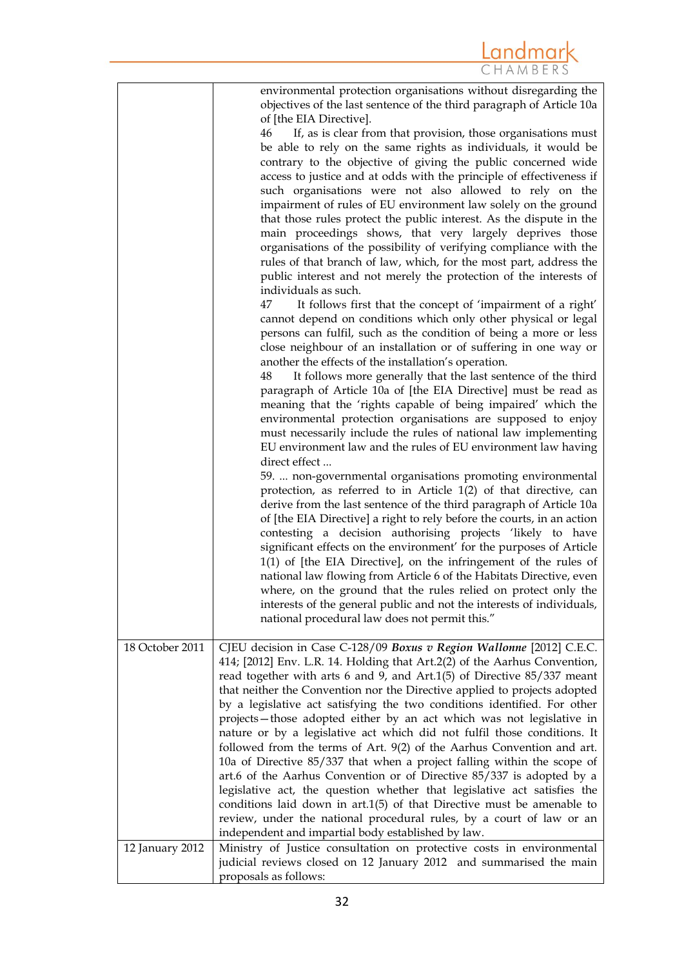|                 | <b>Landmark</b>                                                                                                                                                                                                                                                                                                                                                                                                                                                                                                                                                                                                                                                                                                                                                                                                                                                                                                                                                                                                                                                                                                                                                                                                                                                                                                                                                                                                                                                                                                                                                                                                                                                                                                                |
|-----------------|--------------------------------------------------------------------------------------------------------------------------------------------------------------------------------------------------------------------------------------------------------------------------------------------------------------------------------------------------------------------------------------------------------------------------------------------------------------------------------------------------------------------------------------------------------------------------------------------------------------------------------------------------------------------------------------------------------------------------------------------------------------------------------------------------------------------------------------------------------------------------------------------------------------------------------------------------------------------------------------------------------------------------------------------------------------------------------------------------------------------------------------------------------------------------------------------------------------------------------------------------------------------------------------------------------------------------------------------------------------------------------------------------------------------------------------------------------------------------------------------------------------------------------------------------------------------------------------------------------------------------------------------------------------------------------------------------------------------------------|
|                 | environmental protection organisations without disregarding the<br>objectives of the last sentence of the third paragraph of Article 10a                                                                                                                                                                                                                                                                                                                                                                                                                                                                                                                                                                                                                                                                                                                                                                                                                                                                                                                                                                                                                                                                                                                                                                                                                                                                                                                                                                                                                                                                                                                                                                                       |
|                 | of [the EIA Directive].<br>If, as is clear from that provision, those organisations must<br>46<br>be able to rely on the same rights as individuals, it would be<br>contrary to the objective of giving the public concerned wide<br>access to justice and at odds with the principle of effectiveness if<br>such organisations were not also allowed to rely on the<br>impairment of rules of EU environment law solely on the ground<br>that those rules protect the public interest. As the dispute in the<br>main proceedings shows, that very largely deprives those<br>organisations of the possibility of verifying compliance with the<br>rules of that branch of law, which, for the most part, address the<br>public interest and not merely the protection of the interests of<br>individuals as such.<br>It follows first that the concept of 'impairment of a right'<br>47<br>cannot depend on conditions which only other physical or legal<br>persons can fulfil, such as the condition of being a more or less<br>close neighbour of an installation or of suffering in one way or<br>another the effects of the installation's operation.<br>It follows more generally that the last sentence of the third<br>48<br>paragraph of Article 10a of [the EIA Directive] must be read as<br>meaning that the 'rights capable of being impaired' which the<br>environmental protection organisations are supposed to enjoy<br>must necessarily include the rules of national law implementing<br>EU environment law and the rules of EU environment law having<br>direct effect<br>59.  non-governmental organisations promoting environmental<br>protection, as referred to in Article 1(2) of that directive, can |
|                 | derive from the last sentence of the third paragraph of Article 10a<br>of [the EIA Directive] a right to rely before the courts, in an action<br>contesting a decision authorising projects 'likely to have<br>significant effects on the environment' for the purposes of Article<br>$1(1)$ of [the EIA Directive], on the infringement of the rules of<br>national law flowing from Article 6 of the Habitats Directive, even<br>where, on the ground that the rules relied on protect only the<br>interests of the general public and not the interests of individuals,<br>national procedural law does not permit this."                                                                                                                                                                                                                                                                                                                                                                                                                                                                                                                                                                                                                                                                                                                                                                                                                                                                                                                                                                                                                                                                                                   |
| 18 October 2011 | CJEU decision in Case C-128/09 Boxus v Region Wallonne [2012] C.E.C.<br>414; [2012] Env. L.R. 14. Holding that Art.2(2) of the Aarhus Convention,<br>read together with arts 6 and 9, and Art.1(5) of Directive 85/337 meant<br>that neither the Convention nor the Directive applied to projects adopted<br>by a legislative act satisfying the two conditions identified. For other<br>projects - those adopted either by an act which was not legislative in<br>nature or by a legislative act which did not fulfil those conditions. It<br>followed from the terms of Art. 9(2) of the Aarhus Convention and art.<br>10a of Directive 85/337 that when a project falling within the scope of<br>art.6 of the Aarhus Convention or of Directive 85/337 is adopted by a<br>legislative act, the question whether that legislative act satisfies the<br>conditions laid down in $art.1(5)$ of that Directive must be amenable to<br>review, under the national procedural rules, by a court of law or an<br>independent and impartial body established by law.                                                                                                                                                                                                                                                                                                                                                                                                                                                                                                                                                                                                                                                                |
| 12 January 2012 | Ministry of Justice consultation on protective costs in environmental<br>judicial reviews closed on 12 January 2012 and summarised the main<br>proposals as follows:                                                                                                                                                                                                                                                                                                                                                                                                                                                                                                                                                                                                                                                                                                                                                                                                                                                                                                                                                                                                                                                                                                                                                                                                                                                                                                                                                                                                                                                                                                                                                           |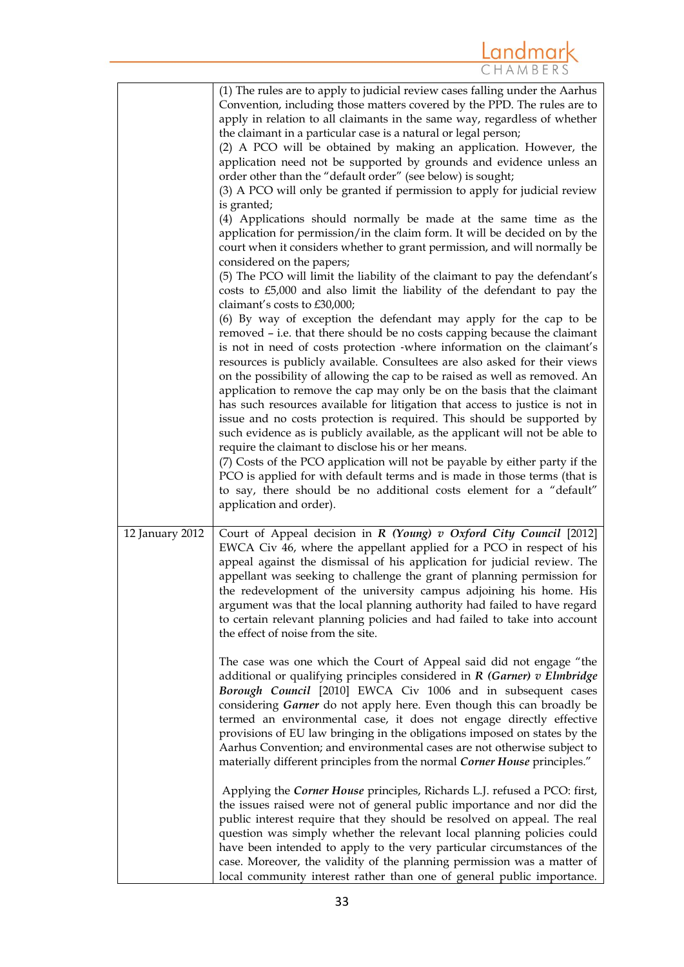|                 | <b>Landmark</b>                                                                                                                                                                                                                                                                                                                                                                                                                                                                                                                                                                                                                                                                                                                                                                                                                                                                                                                                                                                                                                                                                                                                                                                                                                                                                                                                                                                                                                                                                                                                                                                                                                                                                                                                                                                                                                                                                                                                                                                                                                                                                           |
|-----------------|-----------------------------------------------------------------------------------------------------------------------------------------------------------------------------------------------------------------------------------------------------------------------------------------------------------------------------------------------------------------------------------------------------------------------------------------------------------------------------------------------------------------------------------------------------------------------------------------------------------------------------------------------------------------------------------------------------------------------------------------------------------------------------------------------------------------------------------------------------------------------------------------------------------------------------------------------------------------------------------------------------------------------------------------------------------------------------------------------------------------------------------------------------------------------------------------------------------------------------------------------------------------------------------------------------------------------------------------------------------------------------------------------------------------------------------------------------------------------------------------------------------------------------------------------------------------------------------------------------------------------------------------------------------------------------------------------------------------------------------------------------------------------------------------------------------------------------------------------------------------------------------------------------------------------------------------------------------------------------------------------------------------------------------------------------------------------------------------------------------|
|                 | (1) The rules are to apply to judicial review cases falling under the Aarhus<br>Convention, including those matters covered by the PPD. The rules are to<br>apply in relation to all claimants in the same way, regardless of whether<br>the claimant in a particular case is a natural or legal person;<br>(2) A PCO will be obtained by making an application. However, the<br>application need not be supported by grounds and evidence unless an<br>order other than the "default order" (see below) is sought;<br>(3) A PCO will only be granted if permission to apply for judicial review<br>is granted;<br>(4) Applications should normally be made at the same time as the<br>application for permission/in the claim form. It will be decided on by the<br>court when it considers whether to grant permission, and will normally be<br>considered on the papers;<br>(5) The PCO will limit the liability of the claimant to pay the defendant's<br>costs to £5,000 and also limit the liability of the defendant to pay the<br>claimant's costs to £30,000;<br>(6) By way of exception the defendant may apply for the cap to be<br>removed - i.e. that there should be no costs capping because the claimant<br>is not in need of costs protection -where information on the claimant's<br>resources is publicly available. Consultees are also asked for their views<br>on the possibility of allowing the cap to be raised as well as removed. An<br>application to remove the cap may only be on the basis that the claimant<br>has such resources available for litigation that access to justice is not in<br>issue and no costs protection is required. This should be supported by<br>such evidence as is publicly available, as the applicant will not be able to<br>require the claimant to disclose his or her means.<br>(7) Costs of the PCO application will not be payable by either party if the<br>PCO is applied for with default terms and is made in those terms (that is<br>to say, there should be no additional costs element for a "default"<br>application and order). |
| 12 January 2012 | Court of Appeal decision in R (Young) v Oxford City Council [2012]<br>EWCA Civ 46, where the appellant applied for a PCO in respect of his<br>appeal against the dismissal of his application for judicial review. The<br>appellant was seeking to challenge the grant of planning permission for<br>the redevelopment of the university campus adjoining his home. His<br>argument was that the local planning authority had failed to have regard<br>to certain relevant planning policies and had failed to take into account<br>the effect of noise from the site.<br>The case was one which the Court of Appeal said did not engage "the<br>additional or qualifying principles considered in $R$ (Garner) $v$ Elmbridge<br>Borough Council [2010] EWCA Civ 1006 and in subsequent cases<br>considering Garner do not apply here. Even though this can broadly be<br>termed an environmental case, it does not engage directly effective<br>provisions of EU law bringing in the obligations imposed on states by the<br>Aarhus Convention; and environmental cases are not otherwise subject to<br>materially different principles from the normal Corner House principles."<br>Applying the Corner House principles, Richards L.J. refused a PCO: first,<br>the issues raised were not of general public importance and nor did the<br>public interest require that they should be resolved on appeal. The real<br>question was simply whether the relevant local planning policies could<br>have been intended to apply to the very particular circumstances of the<br>case. Moreover, the validity of the planning permission was a matter of<br>local community interest rather than one of general public importance.                                                                                                                                                                                                                                                                                                                                                                          |

٠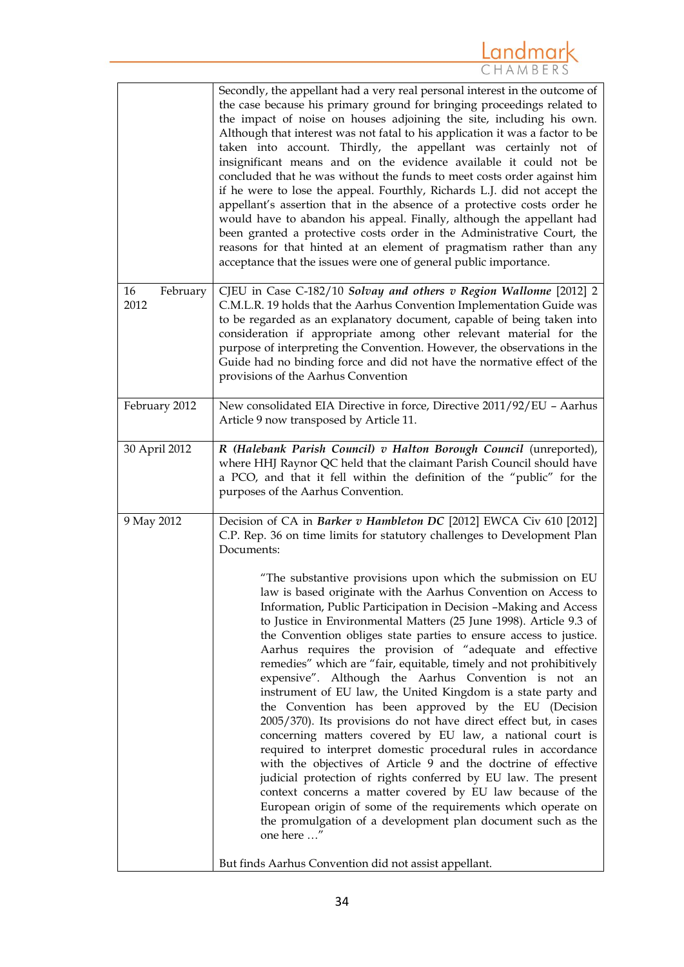|                        | CHAMBERS                                                                                                                                                                                                                                                                                                                                                                                                                                                                                                                                                                                                                                                                                                                                                                                                                                                                                                                                                                                                                                                                                                                                                                                                          |
|------------------------|-------------------------------------------------------------------------------------------------------------------------------------------------------------------------------------------------------------------------------------------------------------------------------------------------------------------------------------------------------------------------------------------------------------------------------------------------------------------------------------------------------------------------------------------------------------------------------------------------------------------------------------------------------------------------------------------------------------------------------------------------------------------------------------------------------------------------------------------------------------------------------------------------------------------------------------------------------------------------------------------------------------------------------------------------------------------------------------------------------------------------------------------------------------------------------------------------------------------|
|                        | Secondly, the appellant had a very real personal interest in the outcome of<br>the case because his primary ground for bringing proceedings related to<br>the impact of noise on houses adjoining the site, including his own.<br>Although that interest was not fatal to his application it was a factor to be<br>taken into account. Thirdly, the appellant was certainly not of<br>insignificant means and on the evidence available it could not be<br>concluded that he was without the funds to meet costs order against him<br>if he were to lose the appeal. Fourthly, Richards L.J. did not accept the<br>appellant's assertion that in the absence of a protective costs order he<br>would have to abandon his appeal. Finally, although the appellant had<br>been granted a protective costs order in the Administrative Court, the<br>reasons for that hinted at an element of pragmatism rather than any<br>acceptance that the issues were one of general public importance.                                                                                                                                                                                                                        |
| 16<br>February<br>2012 | CJEU in Case C-182/10 Solvay and others v Region Wallonne [2012] 2<br>C.M.L.R. 19 holds that the Aarhus Convention Implementation Guide was<br>to be regarded as an explanatory document, capable of being taken into<br>consideration if appropriate among other relevant material for the<br>purpose of interpreting the Convention. However, the observations in the<br>Guide had no binding force and did not have the normative effect of the<br>provisions of the Aarhus Convention                                                                                                                                                                                                                                                                                                                                                                                                                                                                                                                                                                                                                                                                                                                         |
| February 2012          | New consolidated EIA Directive in force, Directive 2011/92/EU - Aarhus<br>Article 9 now transposed by Article 11.                                                                                                                                                                                                                                                                                                                                                                                                                                                                                                                                                                                                                                                                                                                                                                                                                                                                                                                                                                                                                                                                                                 |
| 30 April 2012          | R (Halebank Parish Council) v Halton Borough Council (unreported),<br>where HHJ Raynor QC held that the claimant Parish Council should have<br>a PCO, and that it fell within the definition of the "public" for the<br>purposes of the Aarhus Convention.                                                                                                                                                                                                                                                                                                                                                                                                                                                                                                                                                                                                                                                                                                                                                                                                                                                                                                                                                        |
| 9 May 2012             | Decision of CA in Barker v Hambleton DC [2012] EWCA Civ 610 [2012]<br>C.P. Rep. 36 on time limits for statutory challenges to Development Plan<br>Documents:                                                                                                                                                                                                                                                                                                                                                                                                                                                                                                                                                                                                                                                                                                                                                                                                                                                                                                                                                                                                                                                      |
|                        | "The substantive provisions upon which the submission on EU<br>law is based originate with the Aarhus Convention on Access to<br>Information, Public Participation in Decision -Making and Access<br>to Justice in Environmental Matters (25 June 1998). Article 9.3 of<br>the Convention obliges state parties to ensure access to justice.<br>Aarhus requires the provision of "adequate and effective<br>remedies" which are "fair, equitable, timely and not prohibitively<br>expensive". Although the Aarhus Convention is not an<br>instrument of EU law, the United Kingdom is a state party and<br>the Convention has been approved by the EU (Decision<br>2005/370). Its provisions do not have direct effect but, in cases<br>concerning matters covered by EU law, a national court is<br>required to interpret domestic procedural rules in accordance<br>with the objectives of Article 9 and the doctrine of effective<br>judicial protection of rights conferred by EU law. The present<br>context concerns a matter covered by EU law because of the<br>European origin of some of the requirements which operate on<br>the promulgation of a development plan document such as the<br>one here " |
|                        | But finds Aarhus Convention did not assist appellant.                                                                                                                                                                                                                                                                                                                                                                                                                                                                                                                                                                                                                                                                                                                                                                                                                                                                                                                                                                                                                                                                                                                                                             |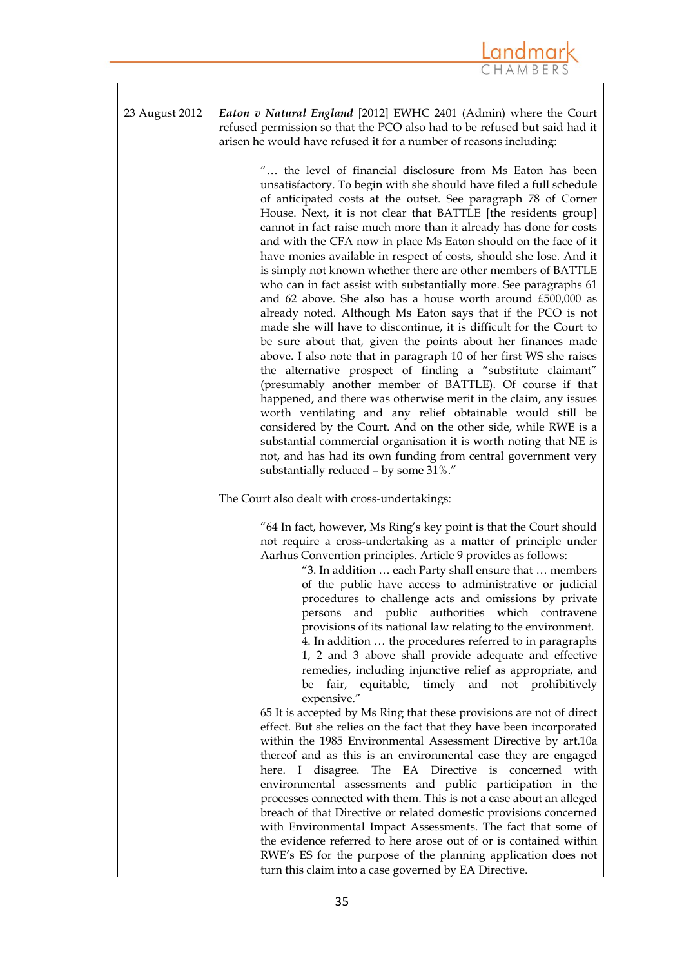|                | <b>Landmark</b>                                                                                                                                                                                                                                                                                                                                                                                                                                                                                                                                                                                                                                                                                                                                                                                                                                                                                                                                                                                                                                                                                                                                                                                                                                                                                                                                                                                                                                                                     |
|----------------|-------------------------------------------------------------------------------------------------------------------------------------------------------------------------------------------------------------------------------------------------------------------------------------------------------------------------------------------------------------------------------------------------------------------------------------------------------------------------------------------------------------------------------------------------------------------------------------------------------------------------------------------------------------------------------------------------------------------------------------------------------------------------------------------------------------------------------------------------------------------------------------------------------------------------------------------------------------------------------------------------------------------------------------------------------------------------------------------------------------------------------------------------------------------------------------------------------------------------------------------------------------------------------------------------------------------------------------------------------------------------------------------------------------------------------------------------------------------------------------|
|                |                                                                                                                                                                                                                                                                                                                                                                                                                                                                                                                                                                                                                                                                                                                                                                                                                                                                                                                                                                                                                                                                                                                                                                                                                                                                                                                                                                                                                                                                                     |
|                |                                                                                                                                                                                                                                                                                                                                                                                                                                                                                                                                                                                                                                                                                                                                                                                                                                                                                                                                                                                                                                                                                                                                                                                                                                                                                                                                                                                                                                                                                     |
| 23 August 2012 | Eaton v Natural England [2012] EWHC 2401 (Admin) where the Court<br>refused permission so that the PCO also had to be refused but said had it<br>arisen he would have refused it for a number of reasons including:                                                                                                                                                                                                                                                                                                                                                                                                                                                                                                                                                                                                                                                                                                                                                                                                                                                                                                                                                                                                                                                                                                                                                                                                                                                                 |
|                | " the level of financial disclosure from Ms Eaton has been<br>unsatisfactory. To begin with she should have filed a full schedule<br>of anticipated costs at the outset. See paragraph 78 of Corner<br>House. Next, it is not clear that BATTLE [the residents group]<br>cannot in fact raise much more than it already has done for costs<br>and with the CFA now in place Ms Eaton should on the face of it<br>have monies available in respect of costs, should she lose. And it<br>is simply not known whether there are other members of BATTLE<br>who can in fact assist with substantially more. See paragraphs 61<br>and 62 above. She also has a house worth around £500,000 as<br>already noted. Although Ms Eaton says that if the PCO is not<br>made she will have to discontinue, it is difficult for the Court to<br>be sure about that, given the points about her finances made<br>above. I also note that in paragraph 10 of her first WS she raises<br>the alternative prospect of finding a "substitute claimant"<br>(presumably another member of BATTLE). Of course if that<br>happened, and there was otherwise merit in the claim, any issues<br>worth ventilating and any relief obtainable would still be<br>considered by the Court. And on the other side, while RWE is a<br>substantial commercial organisation it is worth noting that NE is<br>not, and has had its own funding from central government very<br>substantially reduced - by some 31%." |
|                | The Court also dealt with cross-undertakings:                                                                                                                                                                                                                                                                                                                                                                                                                                                                                                                                                                                                                                                                                                                                                                                                                                                                                                                                                                                                                                                                                                                                                                                                                                                                                                                                                                                                                                       |
|                | "64 In fact, however, Ms Ring's key point is that the Court should<br>not require a cross-undertaking as a matter of principle under<br>Aarhus Convention principles. Article 9 provides as follows:<br>"3. In addition  each Party shall ensure that  members<br>of the public have access to administrative or judicial<br>procedures to challenge acts and omissions by private<br>persons and public authorities which contravene<br>provisions of its national law relating to the environment.<br>4. In addition  the procedures referred to in paragraphs<br>1, 2 and 3 above shall provide adequate and effective<br>remedies, including injunctive relief as appropriate, and<br>equitable, timely and not prohibitively<br>fair,<br>be<br>expensive."                                                                                                                                                                                                                                                                                                                                                                                                                                                                                                                                                                                                                                                                                                                     |
|                | 65 It is accepted by Ms Ring that these provisions are not of direct<br>effect. But she relies on the fact that they have been incorporated<br>within the 1985 Environmental Assessment Directive by art.10a<br>thereof and as this is an environmental case they are engaged<br>here. I disagree. The EA Directive is concerned with<br>environmental assessments and public participation in the<br>processes connected with them. This is not a case about an alleged<br>breach of that Directive or related domestic provisions concerned<br>with Environmental Impact Assessments. The fact that some of<br>the evidence referred to here arose out of or is contained within<br>RWE's ES for the purpose of the planning application does not<br>turn this claim into a case governed by EA Directive.                                                                                                                                                                                                                                                                                                                                                                                                                                                                                                                                                                                                                                                                        |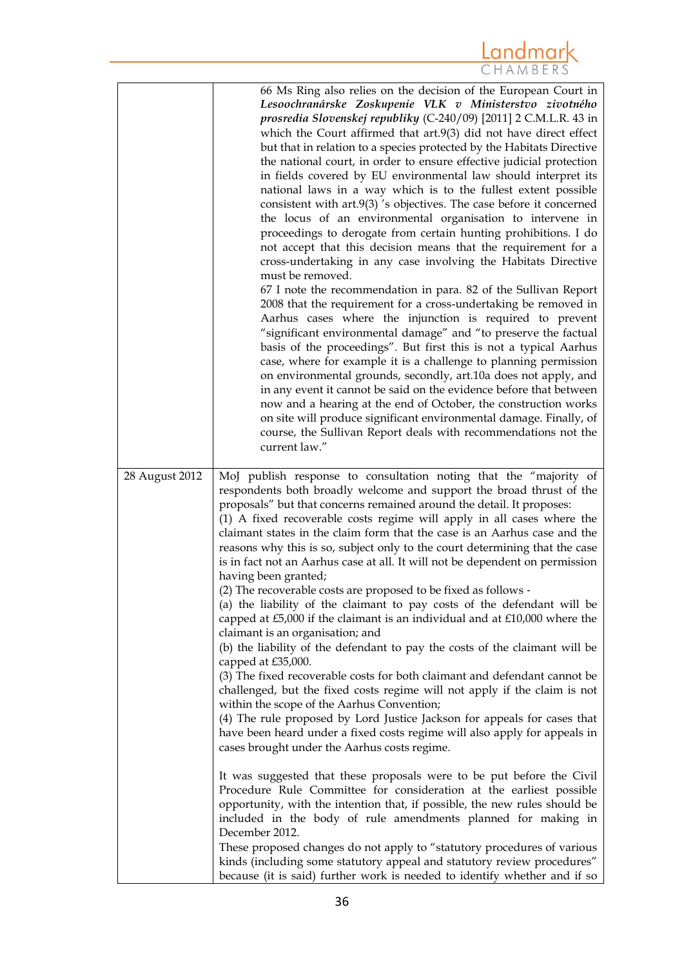|                                                                                           | 66 Ms Ring also relies on the decision of the European Court in<br>Lesoochranárske Zoskupenie VLK v Ministerstvo zivotného<br>prosredia Slovenskej republiky (C-240/09) [2011] 2 C.M.L.R. 43 in<br>which the Court affirmed that art.9(3) did not have direct effect<br>but that in relation to a species protected by the Habitats Directive<br>the national court, in order to ensure effective judicial protection<br>in fields covered by EU environmental law should interpret its<br>national laws in a way which is to the fullest extent possible<br>consistent with art.9(3) 's objectives. The case before it concerned<br>the locus of an environmental organisation to intervene in<br>proceedings to derogate from certain hunting prohibitions. I do<br>not accept that this decision means that the requirement for a<br>cross-undertaking in any case involving the Habitats Directive<br>must be removed.<br>67 I note the recommendation in para. 82 of the Sullivan Report<br>2008 that the requirement for a cross-undertaking be removed in<br>Aarhus cases where the injunction is required to prevent<br>"significant environmental damage" and "to preserve the factual<br>basis of the proceedings". But first this is not a typical Aarhus<br>case, where for example it is a challenge to planning permission<br>on environmental grounds, secondly, art.10a does not apply, and<br>in any event it cannot be said on the evidence before that between<br>now and a hearing at the end of October, the construction works<br>on site will produce significant environmental damage. Finally, of<br>course, the Sullivan Report deals with recommendations not the<br>current law."                                          |
|-------------------------------------------------------------------------------------------|--------------------------------------------------------------------------------------------------------------------------------------------------------------------------------------------------------------------------------------------------------------------------------------------------------------------------------------------------------------------------------------------------------------------------------------------------------------------------------------------------------------------------------------------------------------------------------------------------------------------------------------------------------------------------------------------------------------------------------------------------------------------------------------------------------------------------------------------------------------------------------------------------------------------------------------------------------------------------------------------------------------------------------------------------------------------------------------------------------------------------------------------------------------------------------------------------------------------------------------------------------------------------------------------------------------------------------------------------------------------------------------------------------------------------------------------------------------------------------------------------------------------------------------------------------------------------------------------------------------------------------------------------------------------------------------------------------------------------------------------------------|
| 28 August 2012<br>kinds (including some statutory appeal and statutory review procedures" | MoJ publish response to consultation noting that the "majority of<br>respondents both broadly welcome and support the broad thrust of the<br>proposals" but that concerns remained around the detail. It proposes:<br>(1) A fixed recoverable costs regime will apply in all cases where the<br>claimant states in the claim form that the case is an Aarhus case and the<br>reasons why this is so, subject only to the court determining that the case<br>is in fact not an Aarhus case at all. It will not be dependent on permission<br>having been granted;<br>(2) The recoverable costs are proposed to be fixed as follows -<br>(a) the liability of the claimant to pay costs of the defendant will be<br>capped at $£5,000$ if the claimant is an individual and at $£10,000$ where the<br>claimant is an organisation; and<br>(b) the liability of the defendant to pay the costs of the claimant will be<br>capped at £35,000.<br>(3) The fixed recoverable costs for both claimant and defendant cannot be<br>challenged, but the fixed costs regime will not apply if the claim is not<br>within the scope of the Aarhus Convention;<br>(4) The rule proposed by Lord Justice Jackson for appeals for cases that<br>have been heard under a fixed costs regime will also apply for appeals in<br>cases brought under the Aarhus costs regime.<br>It was suggested that these proposals were to be put before the Civil<br>Procedure Rule Committee for consideration at the earliest possible<br>opportunity, with the intention that, if possible, the new rules should be<br>included in the body of rule amendments planned for making in<br>December 2012.<br>These proposed changes do not apply to "statutory procedures of various |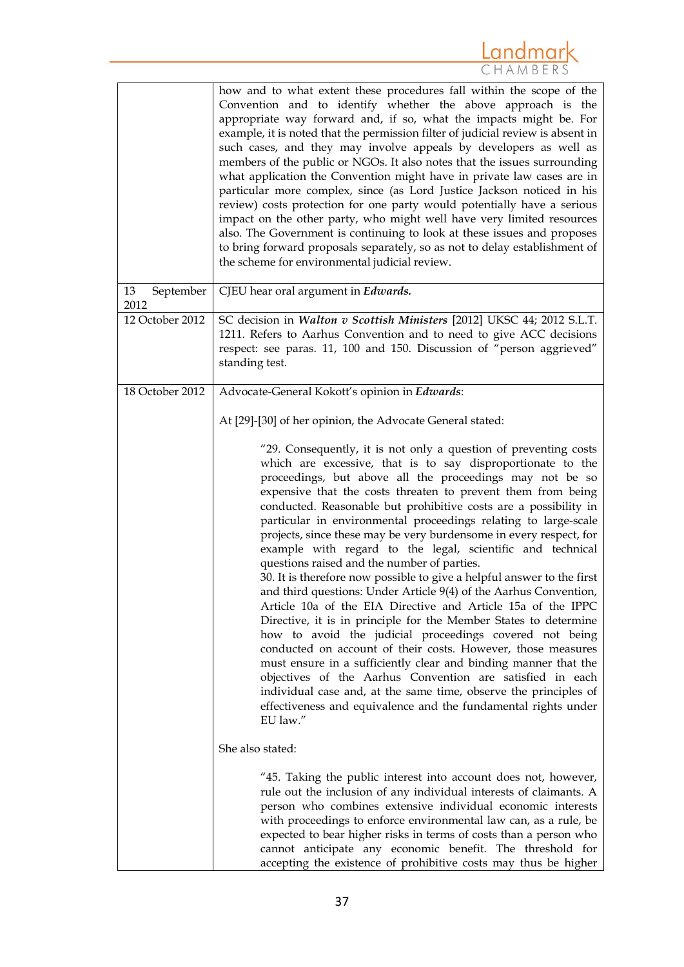|                         | <b>Landmark</b>                                                                                                                                                                                                                                                                                                                                                                                                                                                                                                                                                                                                                                                                                                                                                                                                                                                                                                                                                                                                                                                                                                                                                                                                                                                                                                                                    |
|-------------------------|----------------------------------------------------------------------------------------------------------------------------------------------------------------------------------------------------------------------------------------------------------------------------------------------------------------------------------------------------------------------------------------------------------------------------------------------------------------------------------------------------------------------------------------------------------------------------------------------------------------------------------------------------------------------------------------------------------------------------------------------------------------------------------------------------------------------------------------------------------------------------------------------------------------------------------------------------------------------------------------------------------------------------------------------------------------------------------------------------------------------------------------------------------------------------------------------------------------------------------------------------------------------------------------------------------------------------------------------------|
|                         | how and to what extent these procedures fall within the scope of the<br>Convention and to identify whether the above approach is the<br>appropriate way forward and, if so, what the impacts might be. For<br>example, it is noted that the permission filter of judicial review is absent in<br>such cases, and they may involve appeals by developers as well as<br>members of the public or NGOs. It also notes that the issues surrounding<br>what application the Convention might have in private law cases are in<br>particular more complex, since (as Lord Justice Jackson noticed in his<br>review) costs protection for one party would potentially have a serious<br>impact on the other party, who might well have very limited resources<br>also. The Government is continuing to look at these issues and proposes<br>to bring forward proposals separately, so as not to delay establishment of<br>the scheme for environmental judicial review.                                                                                                                                                                                                                                                                                                                                                                                   |
| 13<br>September<br>2012 | CJEU hear oral argument in Edwards.                                                                                                                                                                                                                                                                                                                                                                                                                                                                                                                                                                                                                                                                                                                                                                                                                                                                                                                                                                                                                                                                                                                                                                                                                                                                                                                |
| 12 October 2012         | SC decision in Walton v Scottish Ministers [2012] UKSC 44; 2012 S.L.T.<br>1211. Refers to Aarhus Convention and to need to give ACC decisions<br>respect: see paras. 11, 100 and 150. Discussion of "person aggrieved"<br>standing test.                                                                                                                                                                                                                                                                                                                                                                                                                                                                                                                                                                                                                                                                                                                                                                                                                                                                                                                                                                                                                                                                                                           |
| 18 October 2012         | Advocate-General Kokott's opinion in Edwards:                                                                                                                                                                                                                                                                                                                                                                                                                                                                                                                                                                                                                                                                                                                                                                                                                                                                                                                                                                                                                                                                                                                                                                                                                                                                                                      |
|                         | At [29]-[30] of her opinion, the Advocate General stated:<br>"29. Consequently, it is not only a question of preventing costs<br>which are excessive, that is to say disproportionate to the<br>proceedings, but above all the proceedings may not be so<br>expensive that the costs threaten to prevent them from being<br>conducted. Reasonable but prohibitive costs are a possibility in<br>particular in environmental proceedings relating to large-scale<br>projects, since these may be very burdensome in every respect, for<br>example with regard to the legal, scientific and technical<br>questions raised and the number of parties.<br>30. It is therefore now possible to give a helpful answer to the first<br>and third questions: Under Article 9(4) of the Aarhus Convention,<br>Article 10a of the EIA Directive and Article 15a of the IPPC<br>Directive, it is in principle for the Member States to determine<br>how to avoid the judicial proceedings covered not being<br>conducted on account of their costs. However, those measures<br>must ensure in a sufficiently clear and binding manner that the<br>objectives of the Aarhus Convention are satisfied in each<br>individual case and, at the same time, observe the principles of<br>effectiveness and equivalence and the fundamental rights under<br>EU law." |
|                         | She also stated:<br>"45. Taking the public interest into account does not, however,<br>rule out the inclusion of any individual interests of claimants. A<br>person who combines extensive individual economic interests<br>with proceedings to enforce environmental law can, as a rule, be<br>expected to bear higher risks in terms of costs than a person who<br>cannot anticipate any economic benefit. The threshold for<br>accepting the existence of prohibitive costs may thus be higher                                                                                                                                                                                                                                                                                                                                                                                                                                                                                                                                                                                                                                                                                                                                                                                                                                                  |